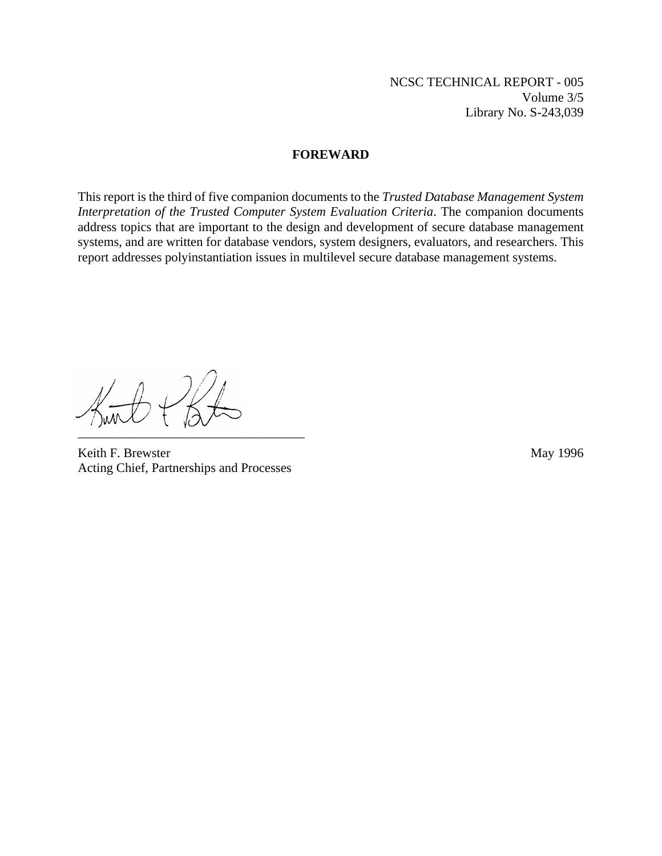#### **FOREWARD**

This report is the third of five companion documents to the *Trusted Database Management System Interpretation of the Trusted Computer System Evaluation Criteria*. The companion documents address topics that are important to the design and development of secure database management systems, and are written for database vendors, system designers, evaluators, and researchers. This report addresses polyinstantiation issues in multilevel secure database management systems.

\_\_\_\_\_\_\_\_\_\_\_\_\_\_\_\_\_\_\_\_\_\_\_\_\_\_\_\_\_\_\_\_\_\_\_

Keith F. Brewster May 1996 Acting Chief, Partnerships and Processes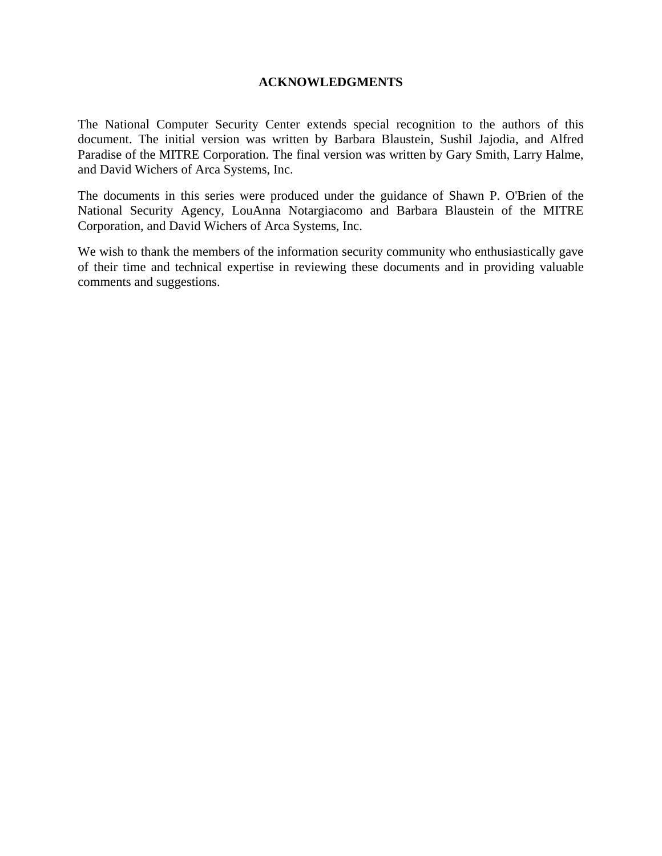### **ACKNOWLEDGMENTS**

The National Computer Security Center extends special recognition to the authors of this document. The initial version was written by Barbara Blaustein, Sushil Jajodia, and Alfred Paradise of the MITRE Corporation. The final version was written by Gary Smith, Larry Halme, and David Wichers of Arca Systems, Inc.

The documents in this series were produced under the guidance of Shawn P. O'Brien of the National Security Agency, LouAnna Notargiacomo and Barbara Blaustein of the MITRE Corporation, and David Wichers of Arca Systems, Inc.

We wish to thank the members of the information security community who enthusiastically gave of their time and technical expertise in reviewing these documents and in providing valuable comments and suggestions.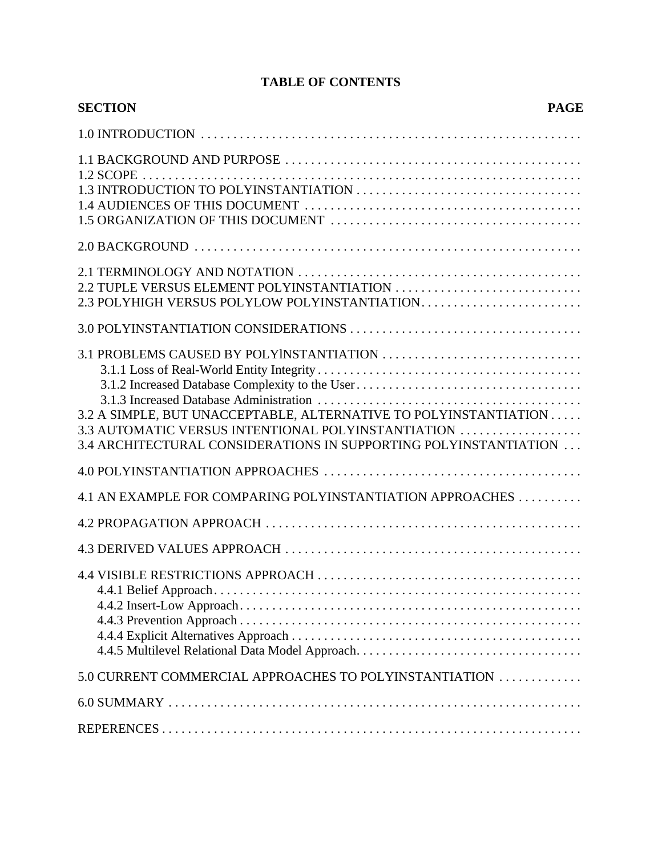# **TABLE OF CONTENTS**

| <b>SECTION</b>                                                                                                                                                                                                                                                                            | <b>PAGE</b> |
|-------------------------------------------------------------------------------------------------------------------------------------------------------------------------------------------------------------------------------------------------------------------------------------------|-------------|
|                                                                                                                                                                                                                                                                                           |             |
|                                                                                                                                                                                                                                                                                           |             |
|                                                                                                                                                                                                                                                                                           |             |
| 2.2 TUPLE VERSUS ELEMENT POLYINSTANTIATION<br>2.3 POLYHIGH VERSUS POLYLOW POLYINSTANTIATION                                                                                                                                                                                               |             |
|                                                                                                                                                                                                                                                                                           |             |
| 3.1 PROBLEMS CAUSED BY POLYINSTANTIATION<br>3.1.2 Increased Database Complexity to the User<br>3.2 A SIMPLE, BUT UNACCEPTABLE, ALTERNATIVE TO POLYINSTANTIATION<br>3.3 AUTOMATIC VERSUS INTENTIONAL POLYINSTANTIATION<br>3.4 ARCHITECTURAL CONSIDERATIONS IN SUPPORTING POLYINSTANTIATION |             |
|                                                                                                                                                                                                                                                                                           |             |
| 4.1 AN EXAMPLE FOR COMPARING POLYINSTANTIATION APPROACHES                                                                                                                                                                                                                                 |             |
|                                                                                                                                                                                                                                                                                           |             |
|                                                                                                                                                                                                                                                                                           |             |
|                                                                                                                                                                                                                                                                                           |             |
| 5.0 CURRENT COMMERCIAL APPROACHES TO POLYINSTANTIATION                                                                                                                                                                                                                                    |             |
|                                                                                                                                                                                                                                                                                           |             |
|                                                                                                                                                                                                                                                                                           |             |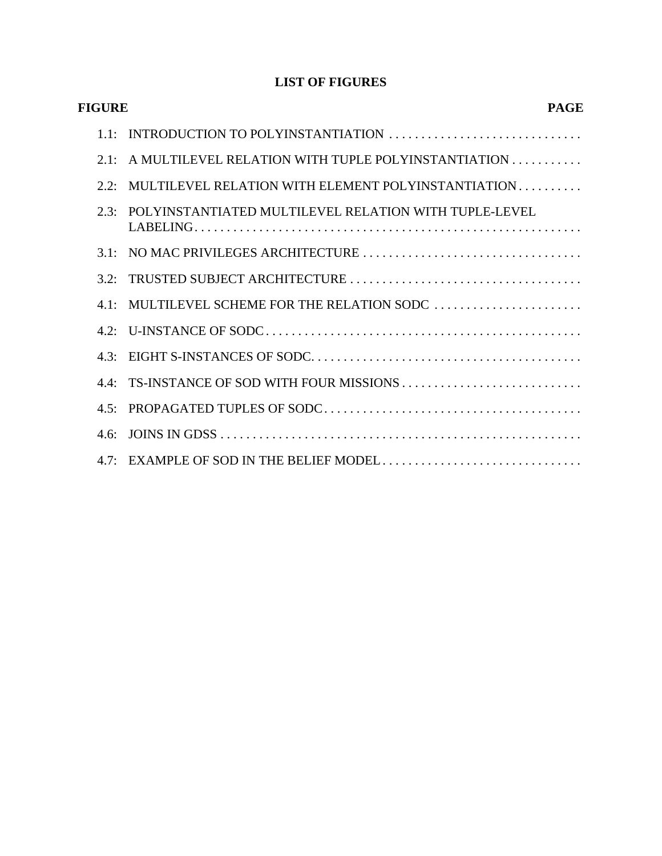# **LIST OF FIGURES**

| <b>PAGE</b>                                                | <b>FIGURE</b>    |
|------------------------------------------------------------|------------------|
| 1.1: INTRODUCTION TO POLYINSTANTIATION                     |                  |
| A MULTILEVEL RELATION WITH TUPLE POLYINSTANTIATION         | 2.1              |
| MULTILEVEL RELATION WITH ELEMENT POLYINSTANTIATION         | 2.2              |
| 2.3: POLYINSTANTIATED MULTILEVEL RELATION WITH TUPLE-LEVEL |                  |
|                                                            | 31               |
|                                                            |                  |
| MULTILEVEL SCHEME FOR THE RELATION SODC                    | $41 \cdot$       |
|                                                            |                  |
|                                                            | 4.3:             |
| 4.4: TS-INSTANCE OF SOD WITH FOUR MISSIONS                 |                  |
|                                                            |                  |
|                                                            | 46 <sup>°</sup>  |
| EXAMPLE OF SOD IN THE BELIEF MODEL                         | 4.7 <sup>·</sup> |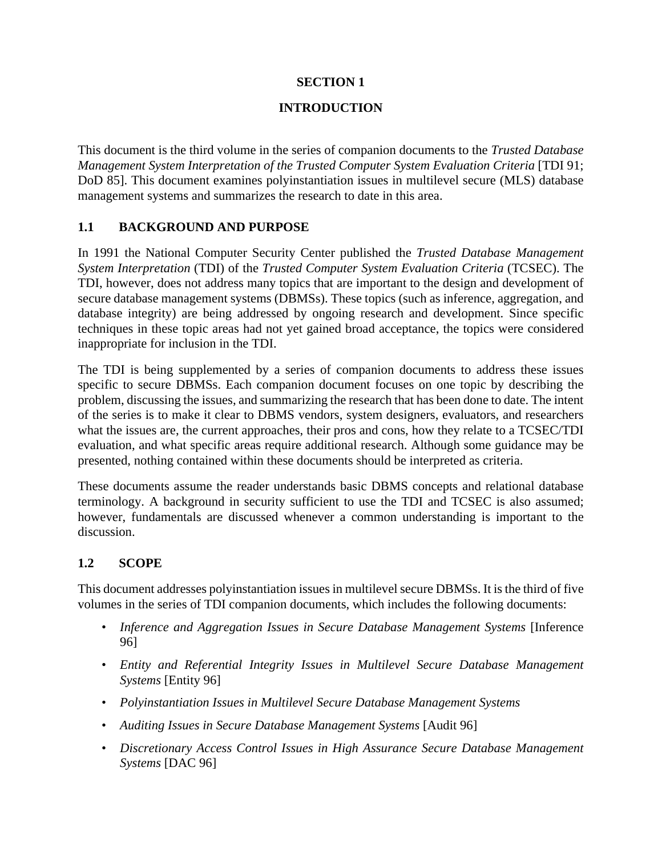### **SECTION 1**

### **INTRODUCTION**

This document is the third volume in the series of companion documents to the *Trusted Database Management System Interpretation of the Trusted Computer System Evaluation Criteria* [TDI 91; DoD 85]. This document examines polyinstantiation issues in multilevel secure (MLS) database management systems and summarizes the research to date in this area.

### **1.1 BACKGROUND AND PURPOSE**

In 1991 the National Computer Security Center published the *Trusted Database Management System Interpretation* (TDI) of the *Trusted Computer System Evaluation Criteria* (TCSEC). The TDI, however, does not address many topics that are important to the design and development of secure database management systems (DBMSs). These topics (such as inference, aggregation, and database integrity) are being addressed by ongoing research and development. Since specific techniques in these topic areas had not yet gained broad acceptance, the topics were considered inappropriate for inclusion in the TDI.

The TDI is being supplemented by a series of companion documents to address these issues specific to secure DBMSs. Each companion document focuses on one topic by describing the problem, discussing the issues, and summarizing the research that has been done to date. The intent of the series is to make it clear to DBMS vendors, system designers, evaluators, and researchers what the issues are, the current approaches, their pros and cons, how they relate to a TCSEC/TDI evaluation, and what specific areas require additional research. Although some guidance may be presented, nothing contained within these documents should be interpreted as criteria.

These documents assume the reader understands basic DBMS concepts and relational database terminology. A background in security sufficient to use the TDI and TCSEC is also assumed; however, fundamentals are discussed whenever a common understanding is important to the discussion.

### **1.2 SCOPE**

This document addresses polyinstantiation issues in multilevel secure DBMSs. It is the third of five volumes in the series of TDI companion documents, which includes the following documents:

- *Inference and Aggregation Issues in Secure Database Management Systems* [Inference 96]
- *Entity and Referential Integrity Issues in Multilevel Secure Database Management Systems* [Entity 96]
- *Polyinstantiation Issues in Multilevel Secure Database Management Systems*
- *Auditing Issues in Secure Database Management Systems* [Audit 96]
- *Discretionary Access Control Issues in High Assurance Secure Database Management Systems* [DAC 96]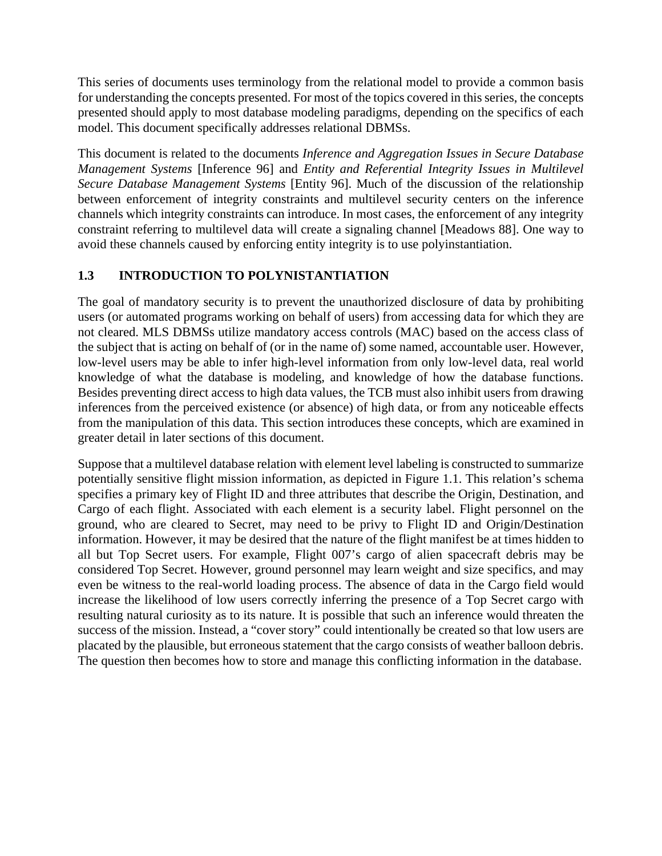This series of documents uses terminology from the relational model to provide a common basis for understanding the concepts presented. For most of the topics covered in this series, the concepts presented should apply to most database modeling paradigms, depending on the specifics of each model. This document specifically addresses relational DBMSs.

This document is related to the documents *Inference and Aggregation Issues in Secure Database Management Systems* [Inference 96] and *Entity and Referential Integrity Issues in Multilevel Secure Database Management Systems* [Entity 96]. Much of the discussion of the relationship between enforcement of integrity constraints and multilevel security centers on the inference channels which integrity constraints can introduce. In most cases, the enforcement of any integrity constraint referring to multilevel data will create a signaling channel [Meadows 88]. One way to avoid these channels caused by enforcing entity integrity is to use polyinstantiation.

# **1.3 INTRODUCTION TO POLYNISTANTIATION**

The goal of mandatory security is to prevent the unauthorized disclosure of data by prohibiting users (or automated programs working on behalf of users) from accessing data for which they are not cleared. MLS DBMSs utilize mandatory access controls (MAC) based on the access class of the subject that is acting on behalf of (or in the name of) some named, accountable user. However, low-level users may be able to infer high-level information from only low-level data, real world knowledge of what the database is modeling, and knowledge of how the database functions. Besides preventing direct access to high data values, the TCB must also inhibit users from drawing inferences from the perceived existence (or absence) of high data, or from any noticeable effects from the manipulation of this data. This section introduces these concepts, which are examined in greater detail in later sections of this document.

Suppose that a multilevel database relation with element level labeling is constructed to summarize potentially sensitive flight mission information, as depicted in Figure 1.1. This relation's schema specifies a primary key of Flight ID and three attributes that describe the Origin, Destination, and Cargo of each flight. Associated with each element is a security label. Flight personnel on the ground, who are cleared to Secret, may need to be privy to Flight ID and Origin/Destination information. However, it may be desired that the nature of the flight manifest be at times hidden to all but Top Secret users. For example, Flight 007's cargo of alien spacecraft debris may be considered Top Secret. However, ground personnel may learn weight and size specifics, and may even be witness to the real-world loading process. The absence of data in the Cargo field would increase the likelihood of low users correctly inferring the presence of a Top Secret cargo with resulting natural curiosity as to its nature. It is possible that such an inference would threaten the success of the mission. Instead, a "cover story" could intentionally be created so that low users are placated by the plausible, but erroneous statement that the cargo consists of weather balloon debris. The question then becomes how to store and manage this conflicting information in the database.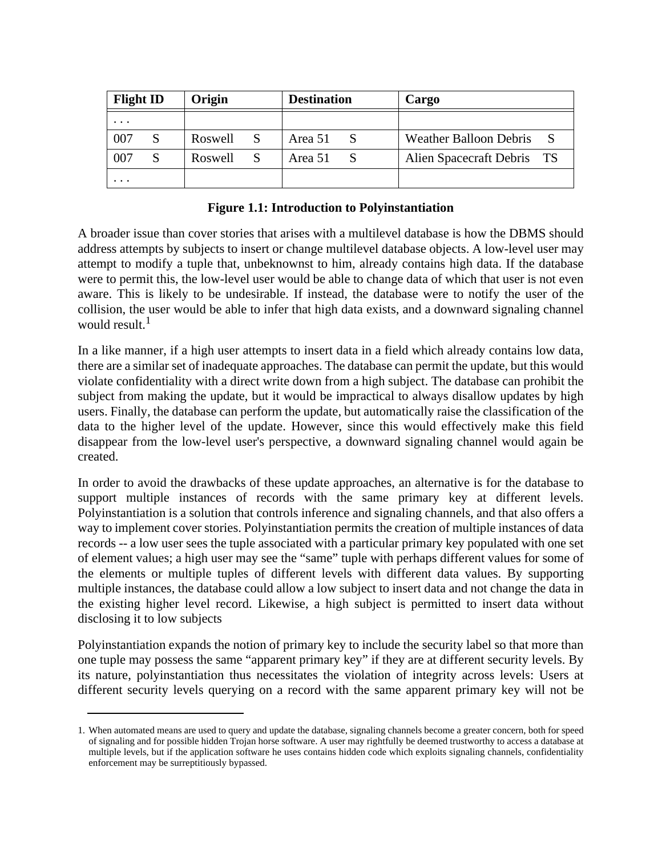| <b>Flight ID</b> | Origin  |   | <b>Destination</b> |              | Cargo                      |
|------------------|---------|---|--------------------|--------------|----------------------------|
| $\cdots$         |         |   |                    |              |                            |
| 007              | Roswell | S | Area 51            | S            | Weather Balloon Debris S   |
| 007              | Roswell | S | Area 51            | <sub>S</sub> | Alien Spacecraft Debris TS |
| $\cdots$         |         |   |                    |              |                            |

### **Figure 1.1: Introduction to Polyinstantiation**

A broader issue than cover stories that arises with a multilevel database is how the DBMS should address attempts by subjects to insert or change multilevel database objects. A low-level user may attempt to modify a tuple that, unbeknownst to him, already contains high data. If the database were to permit this, the low-level user would be able to change data of which that user is not even aware. This is likely to be undesirable. If instead, the database were to notify the user of the collision, the user would be able to infer that high data exists, and a downward signaling channel would result. $1$ 

In a like manner, if a high user attempts to insert data in a field which already contains low data, there are a similar set of inadequate approaches. The database can permit the update, but this would violate confidentiality with a direct write down from a high subject. The database can prohibit the subject from making the update, but it would be impractical to always disallow updates by high users. Finally, the database can perform the update, but automatically raise the classification of the data to the higher level of the update. However, since this would effectively make this field disappear from the low-level user's perspective, a downward signaling channel would again be created.

In order to avoid the drawbacks of these update approaches, an alternative is for the database to support multiple instances of records with the same primary key at different levels. Polyinstantiation is a solution that controls inference and signaling channels, and that also offers a way to implement cover stories. Polyinstantiation permits the creation of multiple instances of data records -- a low user sees the tuple associated with a particular primary key populated with one set of element values; a high user may see the "same" tuple with perhaps different values for some of the elements or multiple tuples of different levels with different data values. By supporting multiple instances, the database could allow a low subject to insert data and not change the data in the existing higher level record. Likewise, a high subject is permitted to insert data without disclosing it to low subjects

Polyinstantiation expands the notion of primary key to include the security label so that more than one tuple may possess the same "apparent primary key" if they are at different security levels. By its nature, polyinstantiation thus necessitates the violation of integrity across levels: Users at different security levels querying on a record with the same apparent primary key will not be

<sup>1.</sup> When automated means are used to query and update the database, signaling channels become a greater concern, both for speed of signaling and for possible hidden Trojan horse software. A user may rightfully be deemed trustworthy to access a database at multiple levels, but if the application software he uses contains hidden code which exploits signaling channels, confidentiality enforcement may be surreptitiously bypassed.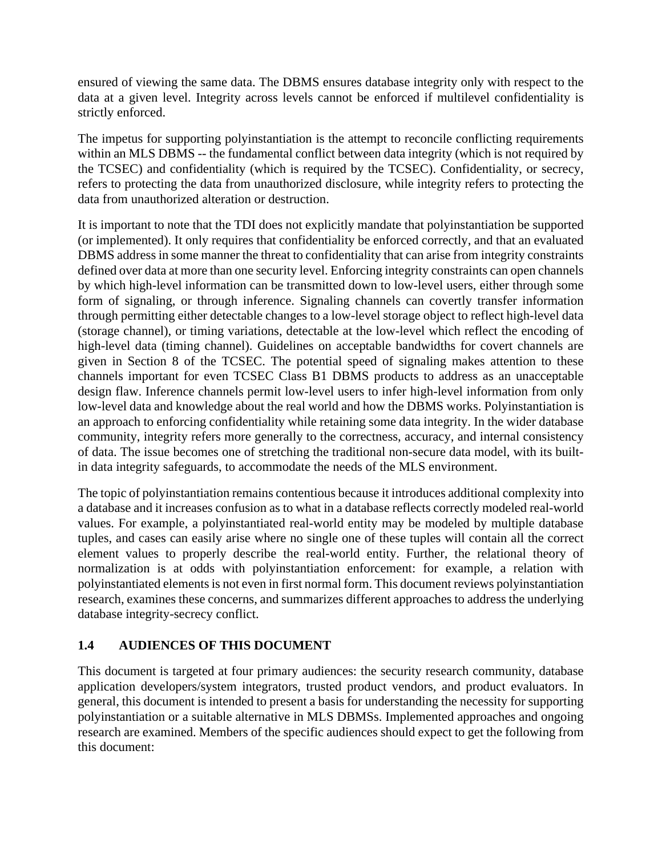ensured of viewing the same data. The DBMS ensures database integrity only with respect to the data at a given level. Integrity across levels cannot be enforced if multilevel confidentiality is strictly enforced.

The impetus for supporting polyinstantiation is the attempt to reconcile conflicting requirements within an MLS DBMS -- the fundamental conflict between data integrity (which is not required by the TCSEC) and confidentiality (which is required by the TCSEC). Confidentiality, or secrecy, refers to protecting the data from unauthorized disclosure, while integrity refers to protecting the data from unauthorized alteration or destruction.

It is important to note that the TDI does not explicitly mandate that polyinstantiation be supported (or implemented). It only requires that confidentiality be enforced correctly, and that an evaluated DBMS address in some manner the threat to confidentiality that can arise from integrity constraints defined over data at more than one security level. Enforcing integrity constraints can open channels by which high-level information can be transmitted down to low-level users, either through some form of signaling, or through inference. Signaling channels can covertly transfer information through permitting either detectable changes to a low-level storage object to reflect high-level data (storage channel), or timing variations, detectable at the low-level which reflect the encoding of high-level data (timing channel). Guidelines on acceptable bandwidths for covert channels are given in Section 8 of the TCSEC. The potential speed of signaling makes attention to these channels important for even TCSEC Class B1 DBMS products to address as an unacceptable design flaw. Inference channels permit low-level users to infer high-level information from only low-level data and knowledge about the real world and how the DBMS works. Polyinstantiation is an approach to enforcing confidentiality while retaining some data integrity. In the wider database community, integrity refers more generally to the correctness, accuracy, and internal consistency of data. The issue becomes one of stretching the traditional non-secure data model, with its builtin data integrity safeguards, to accommodate the needs of the MLS environment.

The topic of polyinstantiation remains contentious because it introduces additional complexity into a database and it increases confusion as to what in a database reflects correctly modeled real-world values. For example, a polyinstantiated real-world entity may be modeled by multiple database tuples, and cases can easily arise where no single one of these tuples will contain all the correct element values to properly describe the real-world entity. Further, the relational theory of normalization is at odds with polyinstantiation enforcement: for example, a relation with polyinstantiated elements is not even in first normal form. This document reviews polyinstantiation research, examines these concerns, and summarizes different approaches to address the underlying database integrity-secrecy conflict.

### **1.4 AUDIENCES OF THIS DOCUMENT**

This document is targeted at four primary audiences: the security research community, database application developers/system integrators, trusted product vendors, and product evaluators. In general, this document is intended to present a basis for understanding the necessity for supporting polyinstantiation or a suitable alternative in MLS DBMSs. Implemented approaches and ongoing research are examined. Members of the specific audiences should expect to get the following from this document: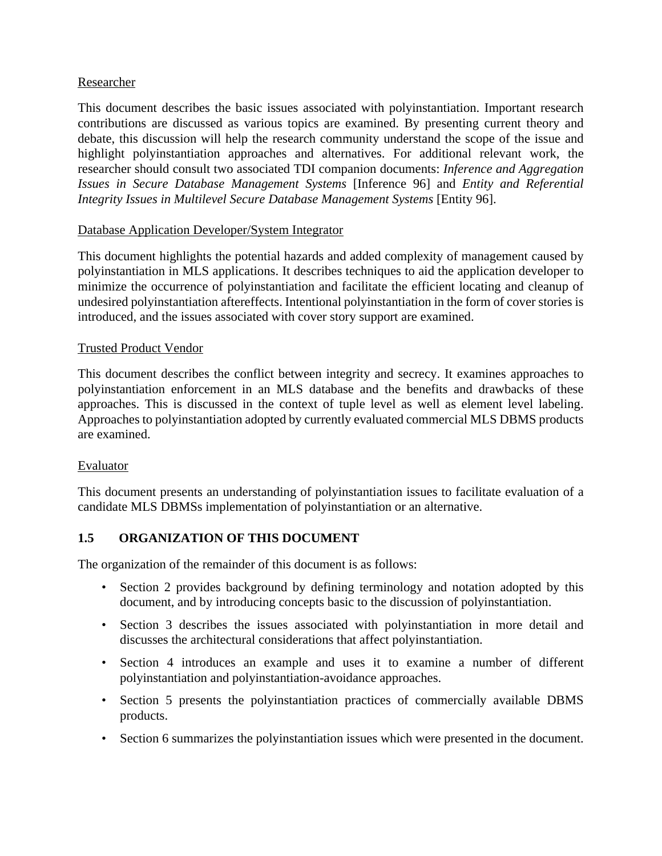### Researcher

This document describes the basic issues associated with polyinstantiation. Important research contributions are discussed as various topics are examined. By presenting current theory and debate, this discussion will help the research community understand the scope of the issue and highlight polyinstantiation approaches and alternatives. For additional relevant work, the researcher should consult two associated TDI companion documents: *Inference and Aggregation Issues in Secure Database Management Systems* [Inference 96] and *Entity and Referential Integrity Issues in Multilevel Secure Database Management Systems* [Entity 96].

### Database Application Developer/System Integrator

This document highlights the potential hazards and added complexity of management caused by polyinstantiation in MLS applications. It describes techniques to aid the application developer to minimize the occurrence of polyinstantiation and facilitate the efficient locating and cleanup of undesired polyinstantiation aftereffects. Intentional polyinstantiation in the form of cover stories is introduced, and the issues associated with cover story support are examined.

### Trusted Product Vendor

This document describes the conflict between integrity and secrecy. It examines approaches to polyinstantiation enforcement in an MLS database and the benefits and drawbacks of these approaches. This is discussed in the context of tuple level as well as element level labeling. Approaches to polyinstantiation adopted by currently evaluated commercial MLS DBMS products are examined.

### Evaluator

This document presents an understanding of polyinstantiation issues to facilitate evaluation of a candidate MLS DBMSs implementation of polyinstantiation or an alternative.

### **1.5 ORGANIZATION OF THIS DOCUMENT**

The organization of the remainder of this document is as follows:

- Section 2 provides background by defining terminology and notation adopted by this document, and by introducing concepts basic to the discussion of polyinstantiation.
- Section 3 describes the issues associated with polyinstantiation in more detail and discusses the architectural considerations that affect polyinstantiation.
- Section 4 introduces an example and uses it to examine a number of different polyinstantiation and polyinstantiation-avoidance approaches.
- Section 5 presents the polyinstantiation practices of commercially available DBMS products.
- Section 6 summarizes the polyinstantiation issues which were presented in the document.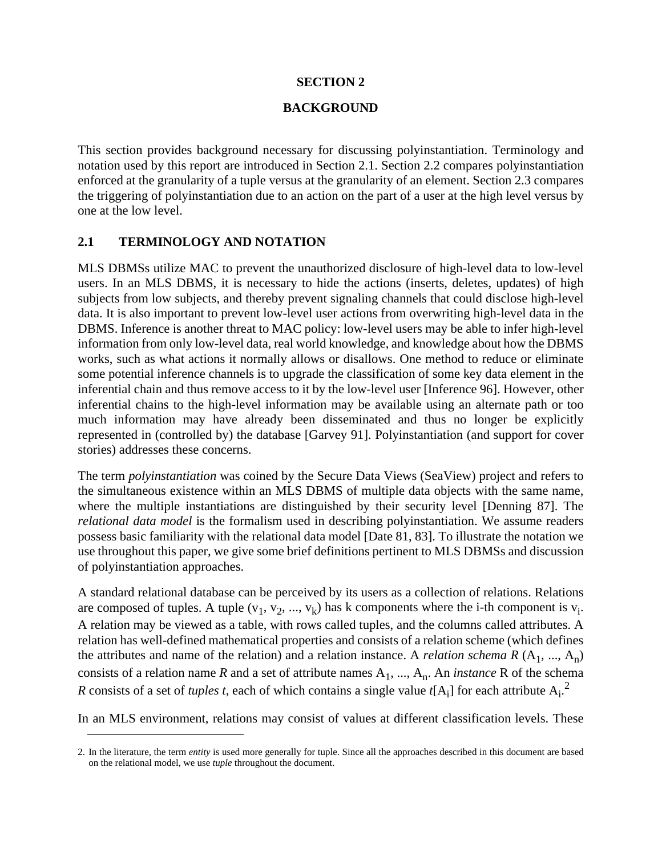#### **SECTION 2**

#### **BACKGROUND**

This section provides background necessary for discussing polyinstantiation. Terminology and notation used by this report are introduced in Section 2.1. Section 2.2 compares polyinstantiation enforced at the granularity of a tuple versus at the granularity of an element. Section 2.3 compares the triggering of polyinstantiation due to an action on the part of a user at the high level versus by one at the low level.

### **2.1 TERMINOLOGY AND NOTATION**

MLS DBMSs utilize MAC to prevent the unauthorized disclosure of high-level data to low-level users. In an MLS DBMS, it is necessary to hide the actions (inserts, deletes, updates) of high subjects from low subjects, and thereby prevent signaling channels that could disclose high-level data. It is also important to prevent low-level user actions from overwriting high-level data in the DBMS. Inference is another threat to MAC policy: low-level users may be able to infer high-level information from only low-level data, real world knowledge, and knowledge about how the DBMS works, such as what actions it normally allows or disallows. One method to reduce or eliminate some potential inference channels is to upgrade the classification of some key data element in the inferential chain and thus remove access to it by the low-level user [Inference 96]. However, other inferential chains to the high-level information may be available using an alternate path or too much information may have already been disseminated and thus no longer be explicitly represented in (controlled by) the database [Garvey 91]. Polyinstantiation (and support for cover stories) addresses these concerns.

The term *polyinstantiation* was coined by the Secure Data Views (SeaView) project and refers to the simultaneous existence within an MLS DBMS of multiple data objects with the same name, where the multiple instantiations are distinguished by their security level [Denning 87]. The *relational data model* is the formalism used in describing polyinstantiation. We assume readers possess basic familiarity with the relational data model [Date 81, 83]. To illustrate the notation we use throughout this paper, we give some brief definitions pertinent to MLS DBMSs and discussion of polyinstantiation approaches.

A standard relational database can be perceived by its users as a collection of relations. Relations are composed of tuples. A tuple  $(v_1, v_2, ..., v_k)$  has k components where the i-th component is  $v_i$ . A relation may be viewed as a table, with rows called tuples, and the columns called attributes. A relation has well-defined mathematical properties and consists of a relation scheme (which defines the attributes and name of the relation) and a relation instance. A *relation schema R*  $(A_1, ..., A_n)$ consists of a relation name *R* and a set of attribute names  $A_1$ , ...,  $A_n$ . An *instance* R of the schema *R* consists of a set of *tuples t*, each of which contains a single value  $t[A_i]$  for each attribute  $A_i$ .<sup>2</sup>

In an MLS environment, relations may consist of values at different classification levels. These

<sup>2.</sup> In the literature, the term *entity* is used more generally for tuple. Since all the approaches described in this document are based on the relational model, we use *tuple* throughout the document.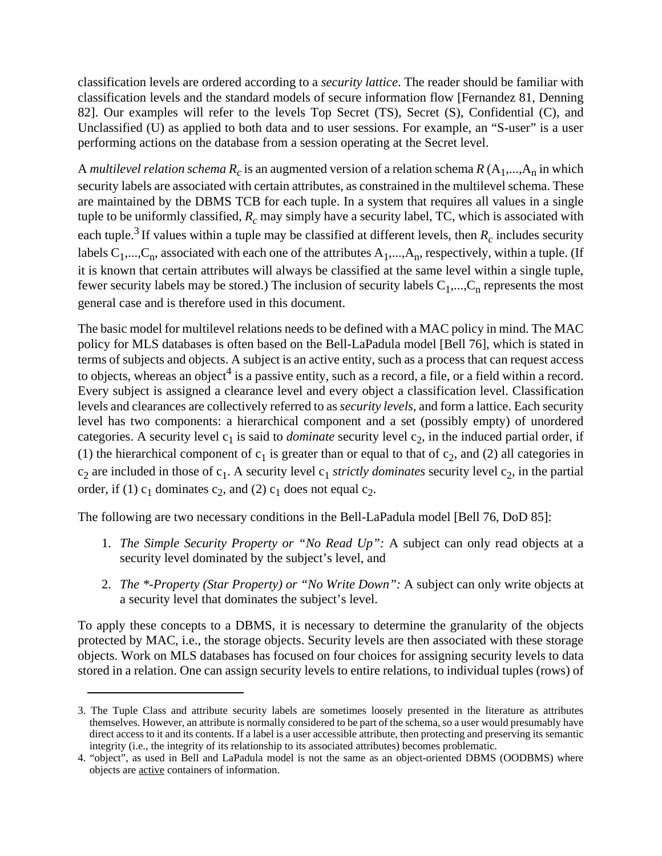classification levels are ordered according to a *security lattice*. The reader should be familiar with classification levels and the standard models of secure information flow [Fernandez 81, Denning 82]. Our examples will refer to the levels Top Secret (TS), Secret (S), Confidential (C), and Unclassified (U) as applied to both data and to user sessions. For example, an "S-user" is a user performing actions on the database from a session operating at the Secret level.

A *multilevel relation schema*  $R_c$  is an augmented version of a relation schema  $R(A_1,...,A_n)$  in which security labels are associated with certain attributes, as constrained in the multilevel schema. These are maintained by the DBMS TCB for each tuple. In a system that requires all values in a single tuple to be uniformly classified,  $R_c$  may simply have a security label, TC, which is associated with each tuple.<sup>3</sup> If values within a tuple may be classified at different levels, then  $R_c$  includes security labels  $C_1$ ,..., $C_n$ , associated with each one of the attributes  $A_1$ ,..., $A_n$ , respectively, within a tuple. (If it is known that certain attributes will always be classified at the same level within a single tuple, fewer security labels may be stored.) The inclusion of security labels  $C_1$ ,..., $C_n$  represents the most general case and is therefore used in this document.

The basic model for multilevel relations needs to be defined with a MAC policy in mind. The MAC policy for MLS databases is often based on the Bell-LaPadula model [Bell 76], which is stated in terms of subjects and objects. A subject is an active entity, such as a process that can request access to objects, whereas an object<sup>4</sup> is a passive entity, such as a record, a file, or a field within a record. Every subject is assigned a clearance level and every object a classification level. Classification levels and clearances are collectively referred to as *security levels,* and form a lattice. Each security level has two components: a hierarchical component and a set (possibly empty) of unordered categories. A security level  $c_1$  is said to *dominate* security level  $c_2$ , in the induced partial order, if (1) the hierarchical component of  $c_1$  is greater than or equal to that of  $c_2$ , and (2) all categories in  $c_2$  are included in those of  $c_1$ . A security level  $c_1$  *strictly dominates* security level  $c_2$ , in the partial order, if (1)  $c_1$  dominates  $c_2$ , and (2)  $c_1$  does not equal  $c_2$ .

The following are two necessary conditions in the Bell-LaPadula model [Bell 76, DoD 85]:

- 1. *The Simple Security Property or "No Read Up":* A subject can only read objects at a security level dominated by the subject's level, and
- 2. *The \*-Property (Star Property) or "No Write Down":* A subject can only write objects at a security level that dominates the subject's level.

To apply these concepts to a DBMS, it is necessary to determine the granularity of the objects protected by MAC, i.e., the storage objects. Security levels are then associated with these storage objects. Work on MLS databases has focused on four choices for assigning security levels to data stored in a relation. One can assign security levels to entire relations, to individual tuples (rows) of

<sup>3.</sup> The Tuple Class and attribute security labels are sometimes loosely presented in the literature as attributes themselves. However, an attribute is normally considered to be part of the schema, so a user would presumably have direct access to it and its contents. If a label is a user accessible attribute, then protecting and preserving its semantic integrity (i.e., the integrity of its relationship to its associated attributes) becomes problematic.

<sup>4. &</sup>quot;object", as used in Bell and LaPadula model is not the same as an object-oriented DBMS (OODBMS) where objects are active containers of information.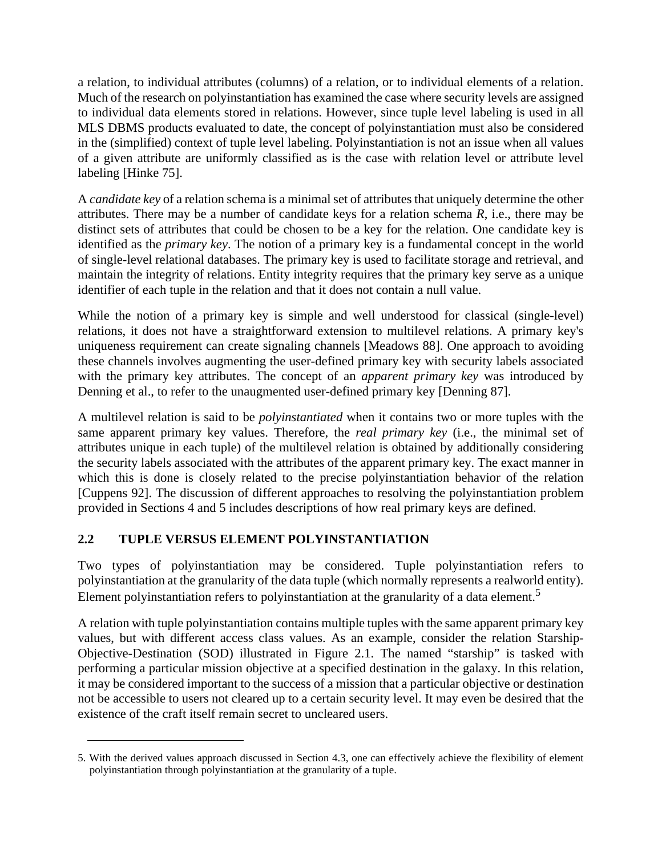a relation, to individual attributes (columns) of a relation, or to individual elements of a relation. Much of the research on polyinstantiation has examined the case where security levels are assigned to individual data elements stored in relations. However, since tuple level labeling is used in all MLS DBMS products evaluated to date, the concept of polyinstantiation must also be considered in the (simplified) context of tuple level labeling. Polyinstantiation is not an issue when all values of a given attribute are uniformly classified as is the case with relation level or attribute level labeling [Hinke 75].

A *candidate key* of a relation schema is a minimal set of attributes that uniquely determine the other attributes. There may be a number of candidate keys for a relation schema *R*, i.e., there may be distinct sets of attributes that could be chosen to be a key for the relation. One candidate key is identified as the *primary key*. The notion of a primary key is a fundamental concept in the world of single-level relational databases. The primary key is used to facilitate storage and retrieval, and maintain the integrity of relations. Entity integrity requires that the primary key serve as a unique identifier of each tuple in the relation and that it does not contain a null value.

While the notion of a primary key is simple and well understood for classical (single-level) relations, it does not have a straightforward extension to multilevel relations. A primary key's uniqueness requirement can create signaling channels [Meadows 88]. One approach to avoiding these channels involves augmenting the user-defined primary key with security labels associated with the primary key attributes. The concept of an *apparent primary key* was introduced by Denning et al., to refer to the unaugmented user-defined primary key [Denning 87].

A multilevel relation is said to be *polyinstantiated* when it contains two or more tuples with the same apparent primary key values. Therefore, the *real primary key* (i.e., the minimal set of attributes unique in each tuple) of the multilevel relation is obtained by additionally considering the security labels associated with the attributes of the apparent primary key. The exact manner in which this is done is closely related to the precise polyinstantiation behavior of the relation [Cuppens 92]. The discussion of different approaches to resolving the polyinstantiation problem provided in Sections 4 and 5 includes descriptions of how real primary keys are defined.

# **2.2 TUPLE VERSUS ELEMENT POLYINSTANTIATION**

Two types of polyinstantiation may be considered. Tuple polyinstantiation refers to polyinstantiation at the granularity of the data tuple (which normally represents a realworld entity). Element polyinstantiation refers to polyinstantiation at the granularity of a data element.<sup>5</sup>

A relation with tuple polyinstantiation contains multiple tuples with the same apparent primary key values, but with different access class values. As an example, consider the relation Starship-Objective-Destination (SOD) illustrated in Figure 2.1. The named "starship" is tasked with performing a particular mission objective at a specified destination in the galaxy. In this relation, it may be considered important to the success of a mission that a particular objective or destination not be accessible to users not cleared up to a certain security level. It may even be desired that the existence of the craft itself remain secret to uncleared users.

<sup>5.</sup> With the derived values approach discussed in Section 4.3, one can effectively achieve the flexibility of element polyinstantiation through polyinstantiation at the granularity of a tuple.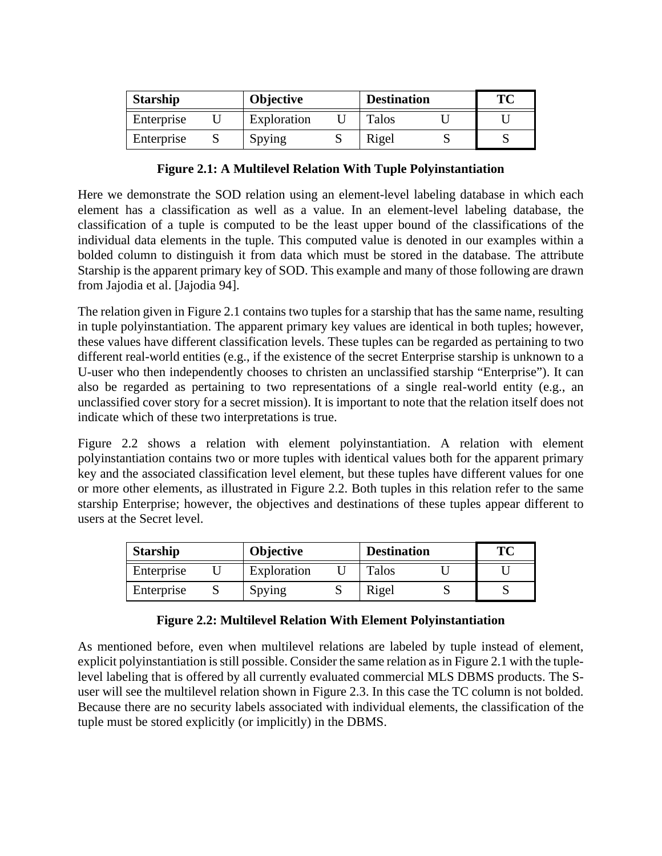| <b>Starship</b> |  | <b>Objective</b> | <b>Destination</b> | ТC |
|-----------------|--|------------------|--------------------|----|
| Enterprise      |  | Exploration      | Talos              |    |
| Enterprise      |  | Spying           | Rigel              |    |

### **Figure 2.1: A Multilevel Relation With Tuple Polyinstantiation**

Here we demonstrate the SOD relation using an element-level labeling database in which each element has a classification as well as a value. In an element-level labeling database, the classification of a tuple is computed to be the least upper bound of the classifications of the individual data elements in the tuple. This computed value is denoted in our examples within a bolded column to distinguish it from data which must be stored in the database. The attribute Starship is the apparent primary key of SOD. This example and many of those following are drawn from Jajodia et al. [Jajodia 94].

The relation given in Figure 2.1 contains two tuples for a starship that has the same name, resulting in tuple polyinstantiation. The apparent primary key values are identical in both tuples; however, these values have different classification levels. These tuples can be regarded as pertaining to two different real-world entities (e.g., if the existence of the secret Enterprise starship is unknown to a U-user who then independently chooses to christen an unclassified starship "Enterprise"). It can also be regarded as pertaining to two representations of a single real-world entity (e.g., an unclassified cover story for a secret mission). It is important to note that the relation itself does not indicate which of these two interpretations is true.

Figure 2.2 shows a relation with element polyinstantiation. A relation with element polyinstantiation contains two or more tuples with identical values both for the apparent primary key and the associated classification level element, but these tuples have different values for one or more other elements, as illustrated in Figure 2.2. Both tuples in this relation refer to the same starship Enterprise; however, the objectives and destinations of these tuples appear different to users at the Secret level.

| <b>Starship</b><br>Objective<br><b>Destination</b> |  | тс          |       |  |  |
|----------------------------------------------------|--|-------------|-------|--|--|
| Enterprise                                         |  | Exploration | Talos |  |  |
| Enterprise                                         |  | Spying      | Rigel |  |  |

### **Figure 2.2: Multilevel Relation With Element Polyinstantiation**

As mentioned before, even when multilevel relations are labeled by tuple instead of element, explicit polyinstantiation is still possible. Consider the same relation as in Figure 2.1 with the tuplelevel labeling that is offered by all currently evaluated commercial MLS DBMS products. The Suser will see the multilevel relation shown in Figure 2.3. In this case the TC column is not bolded. Because there are no security labels associated with individual elements, the classification of the tuple must be stored explicitly (or implicitly) in the DBMS.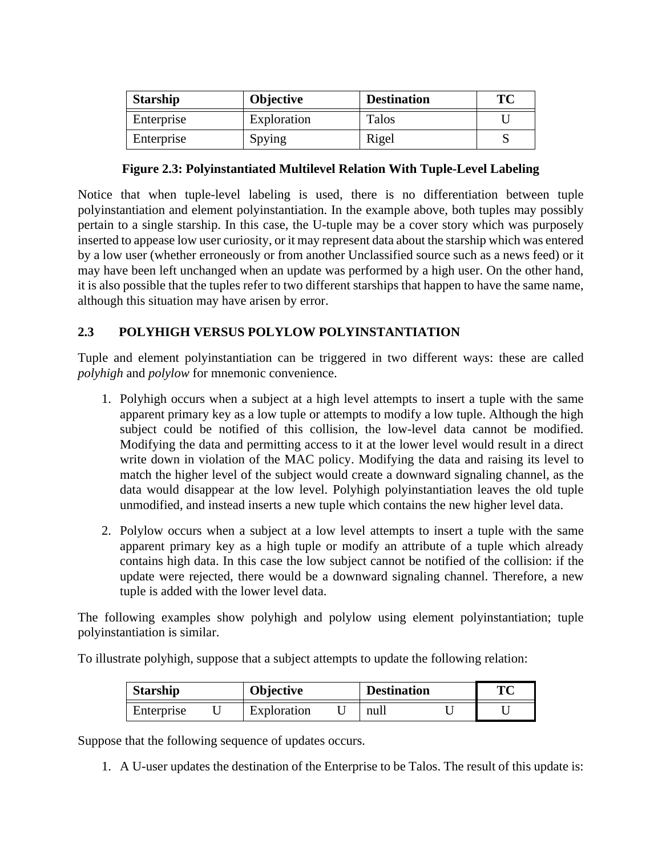| <b>Starship</b> | <b>Objective</b> | <b>Destination</b> | ТC |
|-----------------|------------------|--------------------|----|
| Enterprise      | Exploration      | Talos              |    |
| Enterprise      | Spying           | Rigel              |    |

### **Figure 2.3: Polyinstantiated Multilevel Relation With Tuple-Level Labeling**

Notice that when tuple-level labeling is used, there is no differentiation between tuple polyinstantiation and element polyinstantiation. In the example above, both tuples may possibly pertain to a single starship. In this case, the U-tuple may be a cover story which was purposely inserted to appease low user curiosity, or it may represent data about the starship which was entered by a low user (whether erroneously or from another Unclassified source such as a news feed) or it may have been left unchanged when an update was performed by a high user. On the other hand, it is also possible that the tuples refer to two different starships that happen to have the same name, although this situation may have arisen by error.

# **2.3 POLYHIGH VERSUS POLYLOW POLYINSTANTIATION**

Tuple and element polyinstantiation can be triggered in two different ways: these are called *polyhigh* and *polylow* for mnemonic convenience.

- 1. Polyhigh occurs when a subject at a high level attempts to insert a tuple with the same apparent primary key as a low tuple or attempts to modify a low tuple. Although the high subject could be notified of this collision, the low-level data cannot be modified. Modifying the data and permitting access to it at the lower level would result in a direct write down in violation of the MAC policy. Modifying the data and raising its level to match the higher level of the subject would create a downward signaling channel, as the data would disappear at the low level. Polyhigh polyinstantiation leaves the old tuple unmodified, and instead inserts a new tuple which contains the new higher level data.
- 2. Polylow occurs when a subject at a low level attempts to insert a tuple with the same apparent primary key as a high tuple or modify an attribute of a tuple which already contains high data. In this case the low subject cannot be notified of the collision: if the update were rejected, there would be a downward signaling channel. Therefore, a new tuple is added with the lower level data.

The following examples show polyhigh and polylow using element polyinstantiation; tuple polyinstantiation is similar.

To illustrate polyhigh, suppose that a subject attempts to update the following relation:

| <b>Starship</b> |  | Objective   |  | <b>Destination</b> |  | $\mathbf{T}$ $\mathbf{C}$ |
|-----------------|--|-------------|--|--------------------|--|---------------------------|
| Enterprise      |  | Exploration |  | null               |  |                           |

Suppose that the following sequence of updates occurs.

1. A U-user updates the destination of the Enterprise to be Talos. The result of this update is: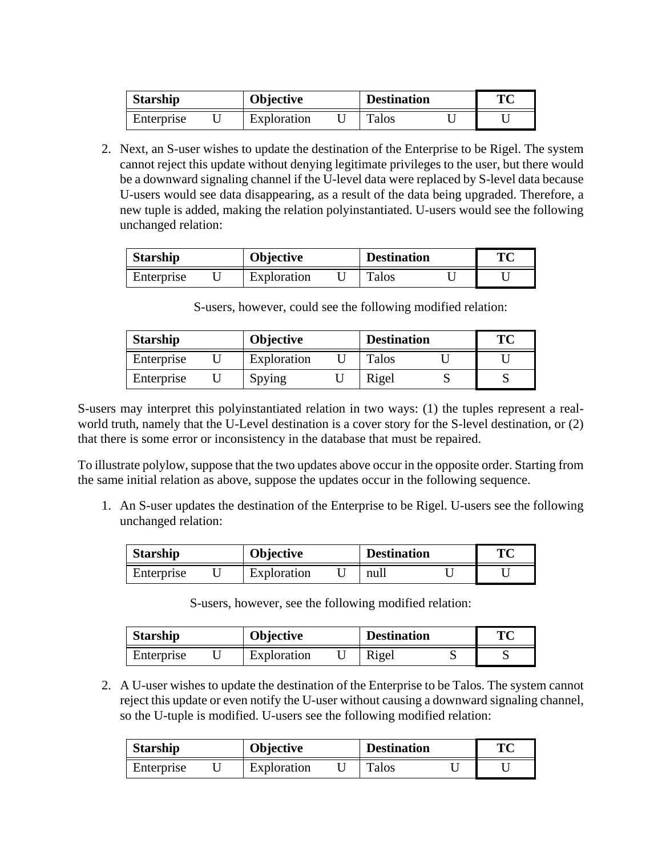| <b>Starship</b> |  | <b>Objective</b> |  | <b>Destination</b> |  | TМ |
|-----------------|--|------------------|--|--------------------|--|----|
| Enterprise      |  | Exploration      |  | Talos              |  |    |

2. Next, an S-user wishes to update the destination of the Enterprise to be Rigel. The system cannot reject this update without denying legitimate privileges to the user, but there would be a downward signaling channel if the U-level data were replaced by S-level data because U-users would see data disappearing, as a result of the data being upgraded. Therefore, a new tuple is added, making the relation polyinstantiated. U-users would see the following unchanged relation:

| <b>Starship</b> |  | Objective   |  | <b>Destination</b> |  | TМ |
|-----------------|--|-------------|--|--------------------|--|----|
| Enterprise      |  | Exploration |  | <b>Talos</b>       |  |    |

S-users, however, could see the following modified relation:

| <b>Starship</b> |  | <b>Objective</b> |  | <b>Destination</b> |  | ТC |
|-----------------|--|------------------|--|--------------------|--|----|
| Enterprise      |  | Exploration      |  | Talos              |  |    |
| Enterprise      |  | Spying           |  | Rigel              |  |    |

S-users may interpret this polyinstantiated relation in two ways: (1) the tuples represent a realworld truth, namely that the U-Level destination is a cover story for the S-level destination, or (2) that there is some error or inconsistency in the database that must be repaired.

To illustrate polylow, suppose that the two updates above occur in the opposite order. Starting from the same initial relation as above, suppose the updates occur in the following sequence.

1. An S-user updates the destination of the Enterprise to be Rigel. U-users see the following unchanged relation:

| <b>Starship</b><br><b>Objective</b> |  | <b>Destination</b> | ТC |      |  |  |
|-------------------------------------|--|--------------------|----|------|--|--|
| Enterprise                          |  | Exploration        |    | null |  |  |

S-users, however, see the following modified relation:

| <b>Starship</b> |  | <b>Objective</b> |  | <b>Destination</b> |  | TС |
|-----------------|--|------------------|--|--------------------|--|----|
| Enterprise      |  | Exploration      |  | Rigel              |  |    |

2. A U-user wishes to update the destination of the Enterprise to be Talos. The system cannot reject this update or even notify the U-user without causing a downward signaling channel, so the U-tuple is modified. U-users see the following modified relation:

| <b>Starship</b> |  | <b>Objective</b> |  | <b>Destination</b> |  | TМ |
|-----------------|--|------------------|--|--------------------|--|----|
| Enterprise      |  | Exploration      |  | Talos              |  |    |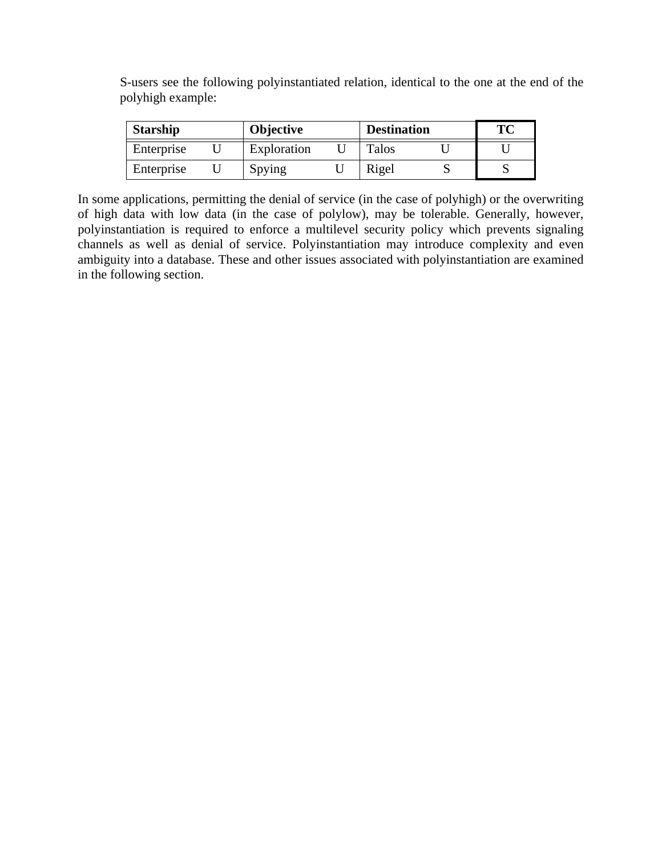S-users see the following polyinstantiated relation, identical to the one at the end of the polyhigh example:

| <b>Starship</b> |  | <b>Objective</b> |  | <b>Destination</b> |  | TC |
|-----------------|--|------------------|--|--------------------|--|----|
| Enterprise      |  | Exploration      |  | Talos              |  |    |
| Enterprise      |  | Spying           |  | Rigel              |  |    |

In some applications, permitting the denial of service (in the case of polyhigh) or the overwriting of high data with low data (in the case of polylow), may be tolerable. Generally, however, polyinstantiation is required to enforce a multilevel security policy which prevents signaling channels as well as denial of service. Polyinstantiation may introduce complexity and even ambiguity into a database. These and other issues associated with polyinstantiation are examined in the following section.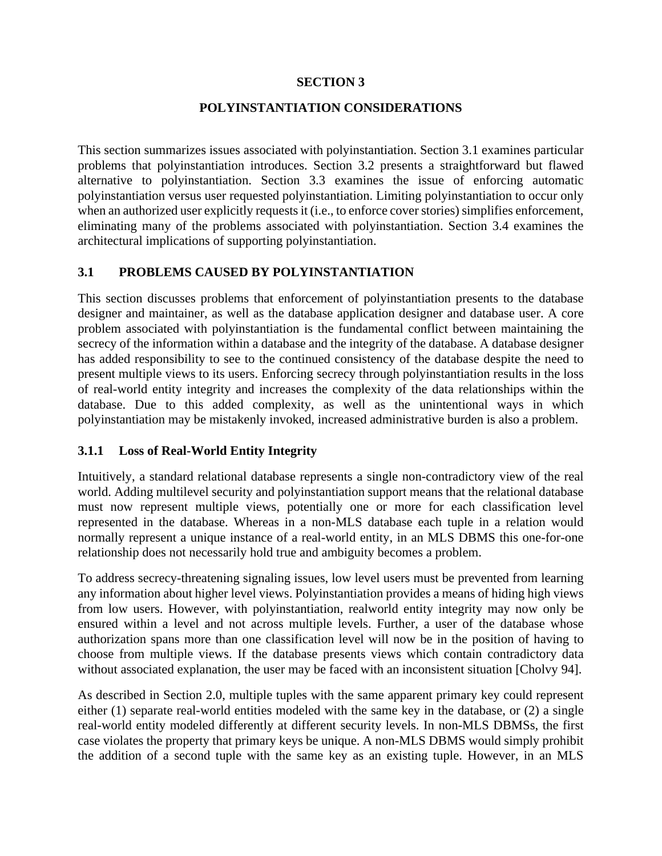### **SECTION 3**

### **POLYINSTANTIATION CONSIDERATIONS**

This section summarizes issues associated with polyinstantiation. Section 3.1 examines particular problems that polyinstantiation introduces. Section 3.2 presents a straightforward but flawed alternative to polyinstantiation. Section 3.3 examines the issue of enforcing automatic polyinstantiation versus user requested polyinstantiation. Limiting polyinstantiation to occur only when an authorized user explicitly requests it (i.e., to enforce cover stories) simplifies enforcement, eliminating many of the problems associated with polyinstantiation. Section 3.4 examines the architectural implications of supporting polyinstantiation.

### **3.1 PROBLEMS CAUSED BY POLYINSTANTIATION**

This section discusses problems that enforcement of polyinstantiation presents to the database designer and maintainer, as well as the database application designer and database user. A core problem associated with polyinstantiation is the fundamental conflict between maintaining the secrecy of the information within a database and the integrity of the database. A database designer has added responsibility to see to the continued consistency of the database despite the need to present multiple views to its users. Enforcing secrecy through polyinstantiation results in the loss of real-world entity integrity and increases the complexity of the data relationships within the database. Due to this added complexity, as well as the unintentional ways in which polyinstantiation may be mistakenly invoked, increased administrative burden is also a problem.

### **3.1.1 Loss of Real-World Entity Integrity**

Intuitively, a standard relational database represents a single non-contradictory view of the real world. Adding multilevel security and polyinstantiation support means that the relational database must now represent multiple views, potentially one or more for each classification level represented in the database. Whereas in a non-MLS database each tuple in a relation would normally represent a unique instance of a real-world entity, in an MLS DBMS this one-for-one relationship does not necessarily hold true and ambiguity becomes a problem.

To address secrecy-threatening signaling issues, low level users must be prevented from learning any information about higher level views. Polyinstantiation provides a means of hiding high views from low users. However, with polyinstantiation, realworld entity integrity may now only be ensured within a level and not across multiple levels. Further, a user of the database whose authorization spans more than one classification level will now be in the position of having to choose from multiple views. If the database presents views which contain contradictory data without associated explanation, the user may be faced with an inconsistent situation [Cholvy 94].

As described in Section 2.0, multiple tuples with the same apparent primary key could represent either (1) separate real-world entities modeled with the same key in the database, or (2) a single real-world entity modeled differently at different security levels. In non-MLS DBMSs, the first case violates the property that primary keys be unique. A non-MLS DBMS would simply prohibit the addition of a second tuple with the same key as an existing tuple. However, in an MLS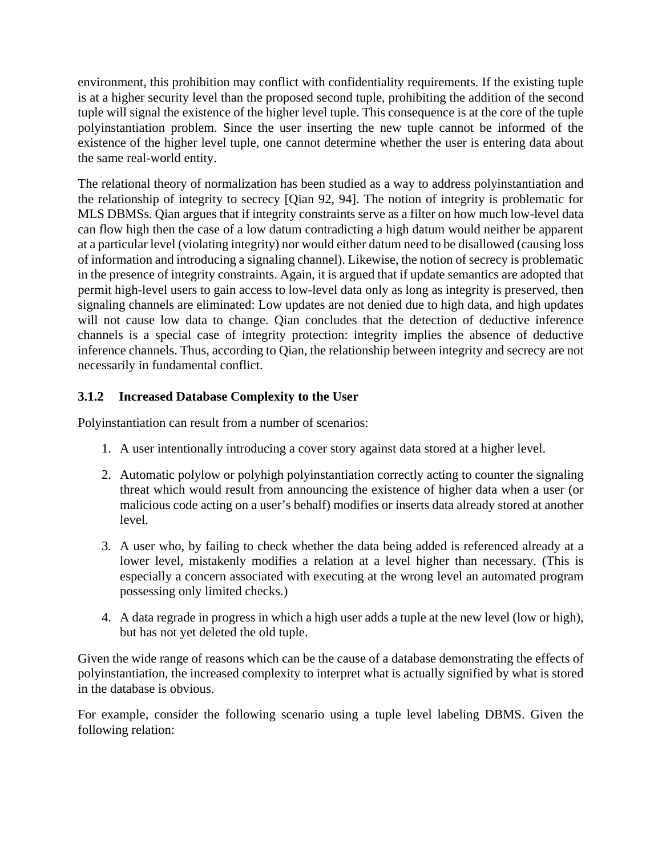environment, this prohibition may conflict with confidentiality requirements. If the existing tuple is at a higher security level than the proposed second tuple, prohibiting the addition of the second tuple will signal the existence of the higher level tuple. This consequence is at the core of the tuple polyinstantiation problem. Since the user inserting the new tuple cannot be informed of the existence of the higher level tuple, one cannot determine whether the user is entering data about the same real-world entity.

The relational theory of normalization has been studied as a way to address polyinstantiation and the relationship of integrity to secrecy [Qian 92, 94]. The notion of integrity is problematic for MLS DBMSs. Qian argues that if integrity constraints serve as a filter on how much low-level data can flow high then the case of a low datum contradicting a high datum would neither be apparent at a particular level (violating integrity) nor would either datum need to be disallowed (causing loss of information and introducing a signaling channel). Likewise, the notion of secrecy is problematic in the presence of integrity constraints. Again, it is argued that if update semantics are adopted that permit high-level users to gain access to low-level data only as long as integrity is preserved, then signaling channels are eliminated: Low updates are not denied due to high data, and high updates will not cause low data to change. Qian concludes that the detection of deductive inference channels is a special case of integrity protection: integrity implies the absence of deductive inference channels. Thus, according to Qian, the relationship between integrity and secrecy are not necessarily in fundamental conflict.

# **3.1.2 Increased Database Complexity to the User**

Polyinstantiation can result from a number of scenarios:

- 1. A user intentionally introducing a cover story against data stored at a higher level.
- 2. Automatic polylow or polyhigh polyinstantiation correctly acting to counter the signaling threat which would result from announcing the existence of higher data when a user (or malicious code acting on a user's behalf) modifies or inserts data already stored at another level.
- 3. A user who, by failing to check whether the data being added is referenced already at a lower level, mistakenly modifies a relation at a level higher than necessary. (This is especially a concern associated with executing at the wrong level an automated program possessing only limited checks.)
- 4. A data regrade in progress in which a high user adds a tuple at the new level (low or high), but has not yet deleted the old tuple.

Given the wide range of reasons which can be the cause of a database demonstrating the effects of polyinstantiation, the increased complexity to interpret what is actually signified by what is stored in the database is obvious.

For example, consider the following scenario using a tuple level labeling DBMS. Given the following relation: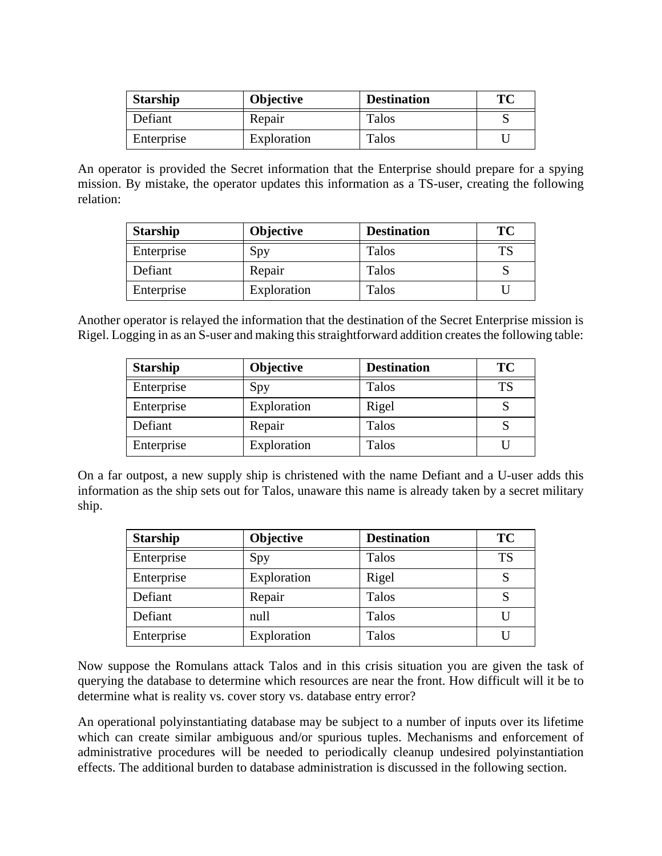| <b>Starship</b> | <b>Objective</b> | <b>Destination</b> | ТC |
|-----------------|------------------|--------------------|----|
| Defiant         | Repair           | Talos              |    |
| Enterprise      | Exploration      | Talos              |    |

An operator is provided the Secret information that the Enterprise should prepare for a spying mission. By mistake, the operator updates this information as a TS-user, creating the following relation:

| <b>Starship</b> | <b>Objective</b> | <b>Destination</b> | ТC |
|-----------------|------------------|--------------------|----|
| Enterprise      | Spy              | <b>Talos</b>       |    |
| Defiant         | Repair           | Talos              |    |
| Enterprise      | Exploration      | Talos              |    |

Another operator is relayed the information that the destination of the Secret Enterprise mission is Rigel. Logging in as an S-user and making this straightforward addition creates the following table:

| <b>Starship</b> | <b>Objective</b> | <b>Destination</b> | TC |
|-----------------|------------------|--------------------|----|
| Enterprise      | Spy              | Talos              | TS |
| Enterprise      | Exploration      | Rigel              |    |
| Defiant         | Repair           | Talos              |    |
| Enterprise      | Exploration      | Talos              |    |

On a far outpost, a new supply ship is christened with the name Defiant and a U-user adds this information as the ship sets out for Talos, unaware this name is already taken by a secret military ship.

| <b>Starship</b> | <b>Objective</b> | <b>Destination</b> | TC        |
|-----------------|------------------|--------------------|-----------|
| Enterprise      | Spy              | Talos              | <b>TS</b> |
| Enterprise      | Exploration      | Rigel              |           |
| Defiant         | Repair           | Talos              | S         |
| Defiant         | null             | Talos              |           |
| Enterprise      | Exploration      | Talos              |           |

Now suppose the Romulans attack Talos and in this crisis situation you are given the task of querying the database to determine which resources are near the front. How difficult will it be to determine what is reality vs. cover story vs. database entry error?

An operational polyinstantiating database may be subject to a number of inputs over its lifetime which can create similar ambiguous and/or spurious tuples. Mechanisms and enforcement of administrative procedures will be needed to periodically cleanup undesired polyinstantiation effects. The additional burden to database administration is discussed in the following section.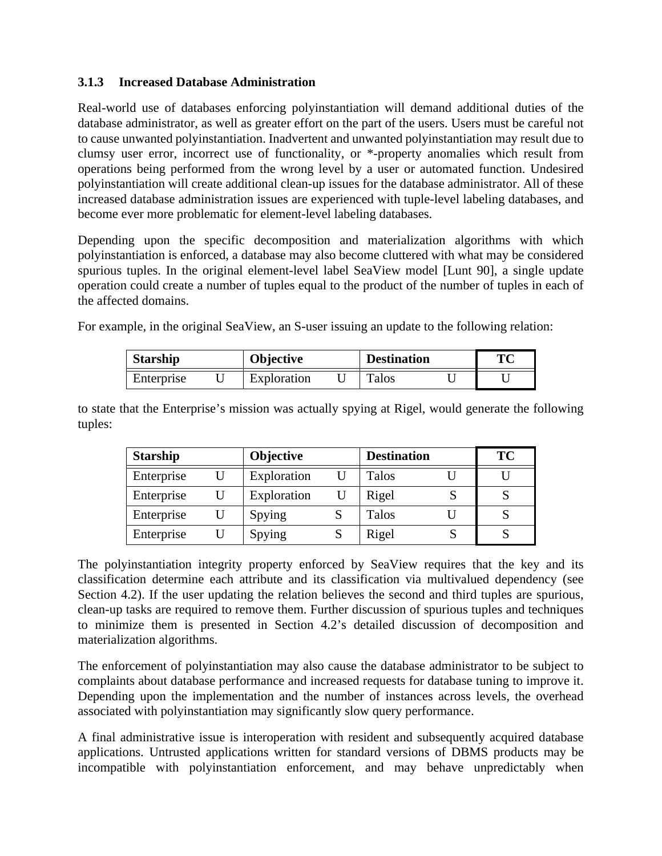### **3.1.3 Increased Database Administration**

Real-world use of databases enforcing polyinstantiation will demand additional duties of the database administrator, as well as greater effort on the part of the users. Users must be careful not to cause unwanted polyinstantiation. Inadvertent and unwanted polyinstantiation may result due to clumsy user error, incorrect use of functionality, or \*-property anomalies which result from operations being performed from the wrong level by a user or automated function. Undesired polyinstantiation will create additional clean-up issues for the database administrator. All of these increased database administration issues are experienced with tuple-level labeling databases, and become ever more problematic for element-level labeling databases.

Depending upon the specific decomposition and materialization algorithms with which polyinstantiation is enforced, a database may also become cluttered with what may be considered spurious tuples. In the original element-level label SeaView model [Lunt 90], a single update operation could create a number of tuples equal to the product of the number of tuples in each of the affected domains.

For example, in the original SeaView, an S-user issuing an update to the following relation:

| <b>Starship</b> |  | <b>Objective</b> |  | <b>Destination</b> |  | TC |
|-----------------|--|------------------|--|--------------------|--|----|
| Enterprise      |  | Exploration      |  | Talos              |  |    |

to state that the Enterprise's mission was actually spying at Rigel, would generate the following tuples:

| <b>Starship</b> | <b>Objective</b> | <b>Destination</b> | <b>TC</b> |
|-----------------|------------------|--------------------|-----------|
| Enterprise      | Exploration      | Talos              |           |
| Enterprise      | Exploration      | Rigel              |           |
| Enterprise      | Spying           | Talos              |           |
| Enterprise      | Spying           | Rigel              |           |

The polyinstantiation integrity property enforced by SeaView requires that the key and its classification determine each attribute and its classification via multivalued dependency (see Section 4.2). If the user updating the relation believes the second and third tuples are spurious, clean-up tasks are required to remove them. Further discussion of spurious tuples and techniques to minimize them is presented in Section 4.2's detailed discussion of decomposition and materialization algorithms.

The enforcement of polyinstantiation may also cause the database administrator to be subject to complaints about database performance and increased requests for database tuning to improve it. Depending upon the implementation and the number of instances across levels, the overhead associated with polyinstantiation may significantly slow query performance.

A final administrative issue is interoperation with resident and subsequently acquired database applications. Untrusted applications written for standard versions of DBMS products may be incompatible with polyinstantiation enforcement, and may behave unpredictably when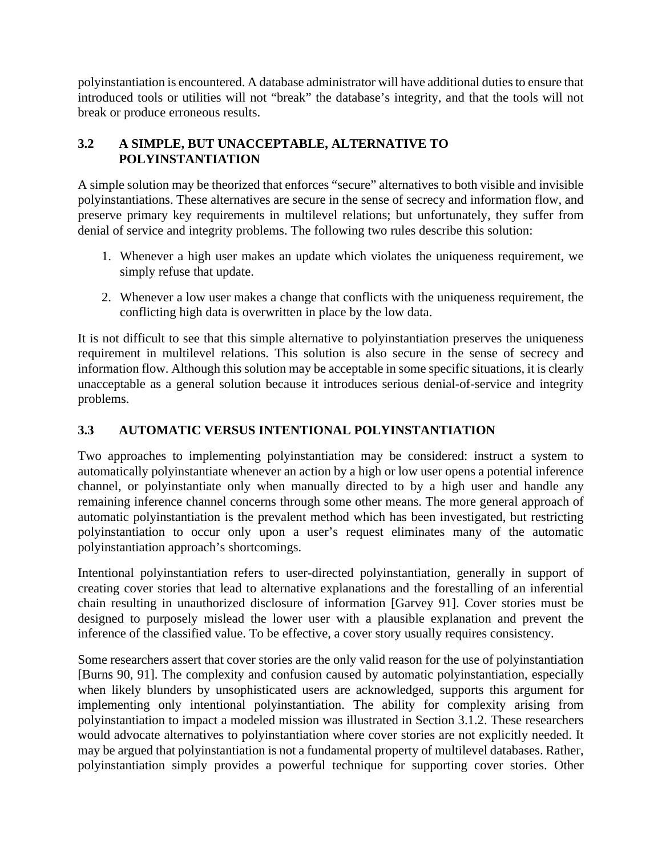polyinstantiation is encountered. A database administrator will have additional duties to ensure that introduced tools or utilities will not "break" the database's integrity, and that the tools will not break or produce erroneous results.

### **3.2 A SIMPLE, BUT UNACCEPTABLE, ALTERNATIVE TO POLYINSTANTIATION**

A simple solution may be theorized that enforces "secure" alternatives to both visible and invisible polyinstantiations. These alternatives are secure in the sense of secrecy and information flow, and preserve primary key requirements in multilevel relations; but unfortunately, they suffer from denial of service and integrity problems. The following two rules describe this solution:

- 1. Whenever a high user makes an update which violates the uniqueness requirement, we simply refuse that update.
- 2. Whenever a low user makes a change that conflicts with the uniqueness requirement, the conflicting high data is overwritten in place by the low data.

It is not difficult to see that this simple alternative to polyinstantiation preserves the uniqueness requirement in multilevel relations. This solution is also secure in the sense of secrecy and information flow. Although this solution may be acceptable in some specific situations, it is clearly unacceptable as a general solution because it introduces serious denial-of-service and integrity problems.

# **3.3 AUTOMATIC VERSUS INTENTIONAL POLYINSTANTIATION**

Two approaches to implementing polyinstantiation may be considered: instruct a system to automatically polyinstantiate whenever an action by a high or low user opens a potential inference channel, or polyinstantiate only when manually directed to by a high user and handle any remaining inference channel concerns through some other means. The more general approach of automatic polyinstantiation is the prevalent method which has been investigated, but restricting polyinstantiation to occur only upon a user's request eliminates many of the automatic polyinstantiation approach's shortcomings.

Intentional polyinstantiation refers to user-directed polyinstantiation, generally in support of creating cover stories that lead to alternative explanations and the forestalling of an inferential chain resulting in unauthorized disclosure of information [Garvey 91]. Cover stories must be designed to purposely mislead the lower user with a plausible explanation and prevent the inference of the classified value. To be effective, a cover story usually requires consistency.

Some researchers assert that cover stories are the only valid reason for the use of polyinstantiation [Burns 90, 91]. The complexity and confusion caused by automatic polyinstantiation, especially when likely blunders by unsophisticated users are acknowledged, supports this argument for implementing only intentional polyinstantiation. The ability for complexity arising from polyinstantiation to impact a modeled mission was illustrated in Section 3.1.2. These researchers would advocate alternatives to polyinstantiation where cover stories are not explicitly needed. It may be argued that polyinstantiation is not a fundamental property of multilevel databases. Rather, polyinstantiation simply provides a powerful technique for supporting cover stories. Other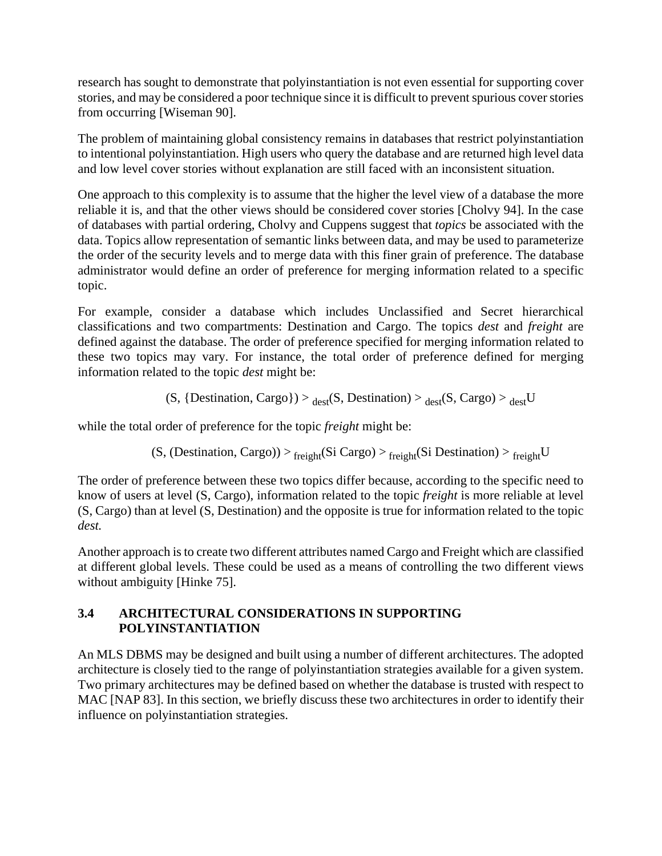research has sought to demonstrate that polyinstantiation is not even essential for supporting cover stories, and may be considered a poor technique since it is difficult to prevent spurious cover stories from occurring [Wiseman 90].

The problem of maintaining global consistency remains in databases that restrict polyinstantiation to intentional polyinstantiation. High users who query the database and are returned high level data and low level cover stories without explanation are still faced with an inconsistent situation.

One approach to this complexity is to assume that the higher the level view of a database the more reliable it is, and that the other views should be considered cover stories [Cholvy 94]. In the case of databases with partial ordering, Cholvy and Cuppens suggest that *topics* be associated with the data. Topics allow representation of semantic links between data, and may be used to parameterize the order of the security levels and to merge data with this finer grain of preference. The database administrator would define an order of preference for merging information related to a specific topic.

For example, consider a database which includes Unclassified and Secret hierarchical classifications and two compartments: Destination and Cargo. The topics *dest* and *freight* are defined against the database. The order of preference specified for merging information related to these two topics may vary. For instance, the total order of preference defined for merging information related to the topic *dest* might be:

 $(S, {Destination, Cargo}) >_{dest}(S, Destination) >_{dest}(S, Cargo) >_{dest}U$ 

while the total order of preference for the topic *freight* might be:

(S, (Destination, Cargo)) >  $_{\text{freight}}(Si\text{ Cargo})$  >  $_{\text{freight}}(Si\text{ Destination})$  >  $_{\text{freight}}U$ 

The order of preference between these two topics differ because, according to the specific need to know of users at level (S, Cargo), information related to the topic *freight* is more reliable at level (S, Cargo) than at level (S, Destination) and the opposite is true for information related to the topic *dest.*

Another approach is to create two different attributes named Cargo and Freight which are classified at different global levels. These could be used as a means of controlling the two different views without ambiguity [Hinke 75].

# **3.4 ARCHITECTURAL CONSIDERATIONS IN SUPPORTING POLYINSTANTIATION**

An MLS DBMS may be designed and built using a number of different architectures. The adopted architecture is closely tied to the range of polyinstantiation strategies available for a given system. Two primary architectures may be defined based on whether the database is trusted with respect to MAC [NAP 83]. In this section, we briefly discuss these two architectures in order to identify their influence on polyinstantiation strategies.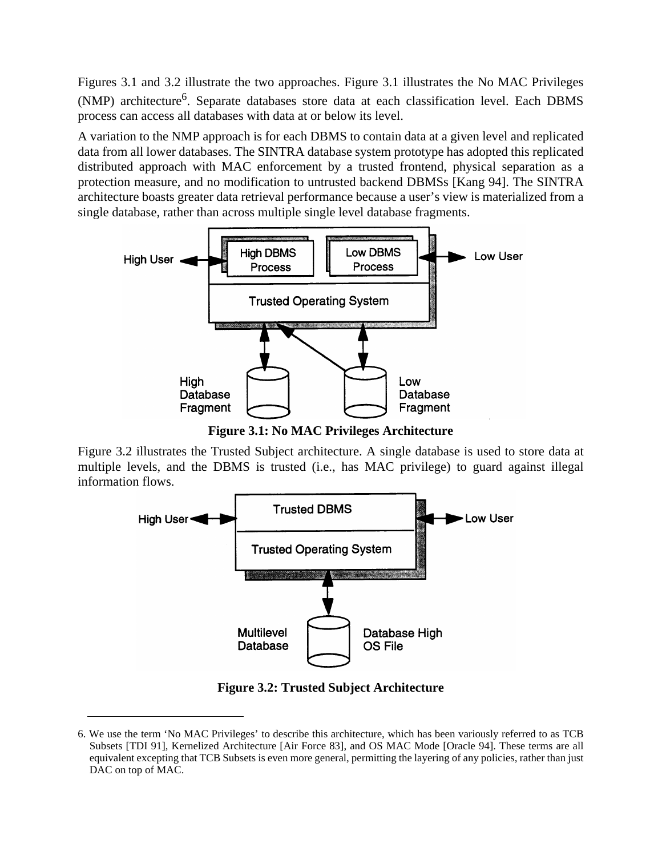Figures 3.1 and 3.2 illustrate the two approaches. Figure 3.1 illustrates the No MAC Privileges (NMP) architecture<sup>6</sup>. Separate databases store data at each classification level. Each DBMS process can access all databases with data at or below its level.

A variation to the NMP approach is for each DBMS to contain data at a given level and replicated data from all lower databases. The SINTRA database system prototype has adopted this replicated distributed approach with MAC enforcement by a trusted frontend, physical separation as a protection measure, and no modification to untrusted backend DBMSs [Kang 94]. The SINTRA architecture boasts greater data retrieval performance because a user's view is materialized from a single database, rather than across multiple single level database fragments.



**Figure 3.1: No MAC Privileges Architecture**

Figure 3.2 illustrates the Trusted Subject architecture. A single database is used to store data at multiple levels, and the DBMS is trusted (i.e., has MAC privilege) to guard against illegal information flows.



**Figure 3.2: Trusted Subject Architecture**

<sup>6.</sup> We use the term 'No MAC Privileges' to describe this architecture, which has been variously referred to as TCB Subsets [TDI 91], Kernelized Architecture [Air Force 83], and OS MAC Mode [Oracle 94]. These terms are all equivalent excepting that TCB Subsets is even more general, permitting the layering of any policies, rather than just DAC on top of MAC.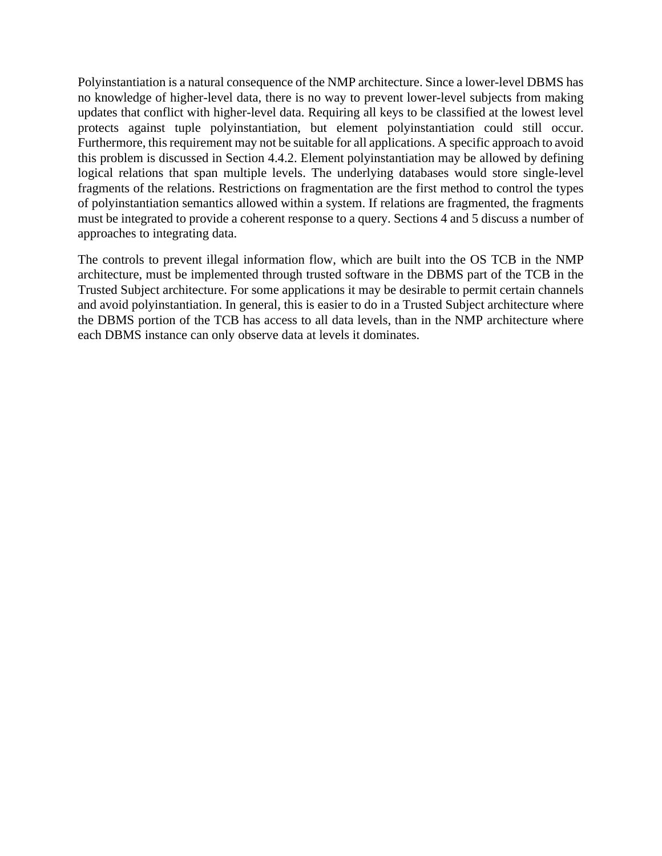Polyinstantiation is a natural consequence of the NMP architecture. Since a lower-level DBMS has no knowledge of higher-level data, there is no way to prevent lower-level subjects from making updates that conflict with higher-level data. Requiring all keys to be classified at the lowest level protects against tuple polyinstantiation, but element polyinstantiation could still occur. Furthermore, this requirement may not be suitable for all applications. A specific approach to avoid this problem is discussed in Section 4.4.2. Element polyinstantiation may be allowed by defining logical relations that span multiple levels. The underlying databases would store single-level fragments of the relations. Restrictions on fragmentation are the first method to control the types of polyinstantiation semantics allowed within a system. If relations are fragmented, the fragments must be integrated to provide a coherent response to a query. Sections 4 and 5 discuss a number of approaches to integrating data.

The controls to prevent illegal information flow, which are built into the OS TCB in the NMP architecture, must be implemented through trusted software in the DBMS part of the TCB in the Trusted Subject architecture. For some applications it may be desirable to permit certain channels and avoid polyinstantiation. In general, this is easier to do in a Trusted Subject architecture where the DBMS portion of the TCB has access to all data levels, than in the NMP architecture where each DBMS instance can only observe data at levels it dominates.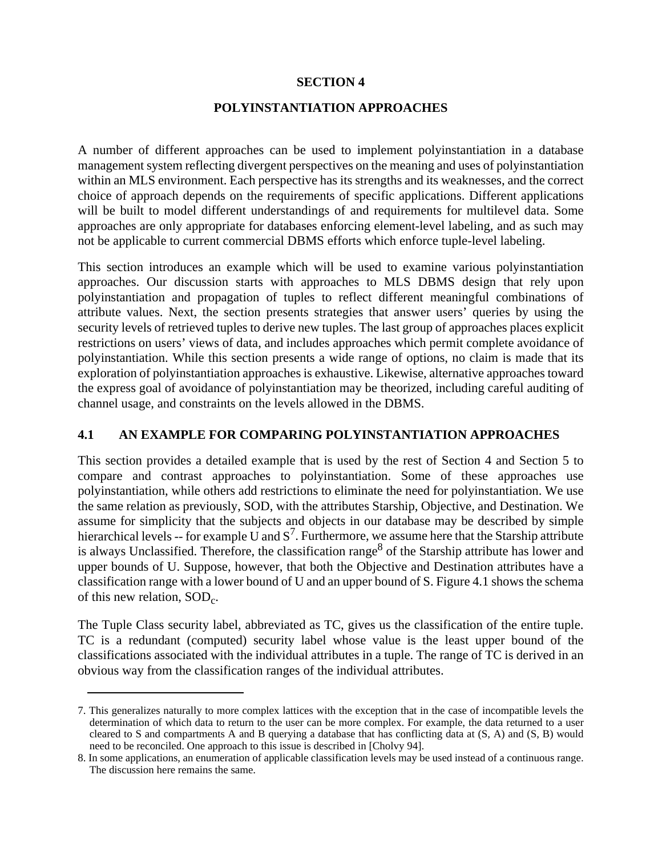#### **SECTION 4**

#### **POLYINSTANTIATION APPROACHES**

A number of different approaches can be used to implement polyinstantiation in a database management system reflecting divergent perspectives on the meaning and uses of polyinstantiation within an MLS environment. Each perspective has its strengths and its weaknesses, and the correct choice of approach depends on the requirements of specific applications. Different applications will be built to model different understandings of and requirements for multilevel data. Some approaches are only appropriate for databases enforcing element-level labeling, and as such may not be applicable to current commercial DBMS efforts which enforce tuple-level labeling.

This section introduces an example which will be used to examine various polyinstantiation approaches. Our discussion starts with approaches to MLS DBMS design that rely upon polyinstantiation and propagation of tuples to reflect different meaningful combinations of attribute values. Next, the section presents strategies that answer users' queries by using the security levels of retrieved tuples to derive new tuples. The last group of approaches places explicit restrictions on users' views of data, and includes approaches which permit complete avoidance of polyinstantiation. While this section presents a wide range of options, no claim is made that its exploration of polyinstantiation approaches is exhaustive. Likewise, alternative approaches toward the express goal of avoidance of polyinstantiation may be theorized, including careful auditing of channel usage, and constraints on the levels allowed in the DBMS.

### **4.1 AN EXAMPLE FOR COMPARING POLYINSTANTIATION APPROACHES**

This section provides a detailed example that is used by the rest of Section 4 and Section 5 to compare and contrast approaches to polyinstantiation. Some of these approaches use polyinstantiation, while others add restrictions to eliminate the need for polyinstantiation. We use the same relation as previously, SOD, with the attributes Starship, Objective, and Destination. We assume for simplicity that the subjects and objects in our database may be described by simple hierarchical levels -- for example U and  $S^7$ . Furthermore, we assume here that the Starship attribute is always Unclassified. Therefore, the classification range<sup>8</sup> of the Starship attribute has lower and upper bounds of U. Suppose, however, that both the Objective and Destination attributes have a classification range with a lower bound of U and an upper bound of S. Figure 4.1 shows the schema of this new relation,  $SOD<sub>c</sub>$ .

The Tuple Class security label, abbreviated as TC, gives us the classification of the entire tuple. TC is a redundant (computed) security label whose value is the least upper bound of the classifications associated with the individual attributes in a tuple. The range of TC is derived in an obvious way from the classification ranges of the individual attributes.

<sup>7.</sup> This generalizes naturally to more complex lattices with the exception that in the case of incompatible levels the determination of which data to return to the user can be more complex. For example, the data returned to a user cleared to S and compartments A and B querying a database that has conflicting data at (S, A) and (S, B) would need to be reconciled. One approach to this issue is described in [Cholvy 94].

<sup>8.</sup> In some applications, an enumeration of applicable classification levels may be used instead of a continuous range. The discussion here remains the same.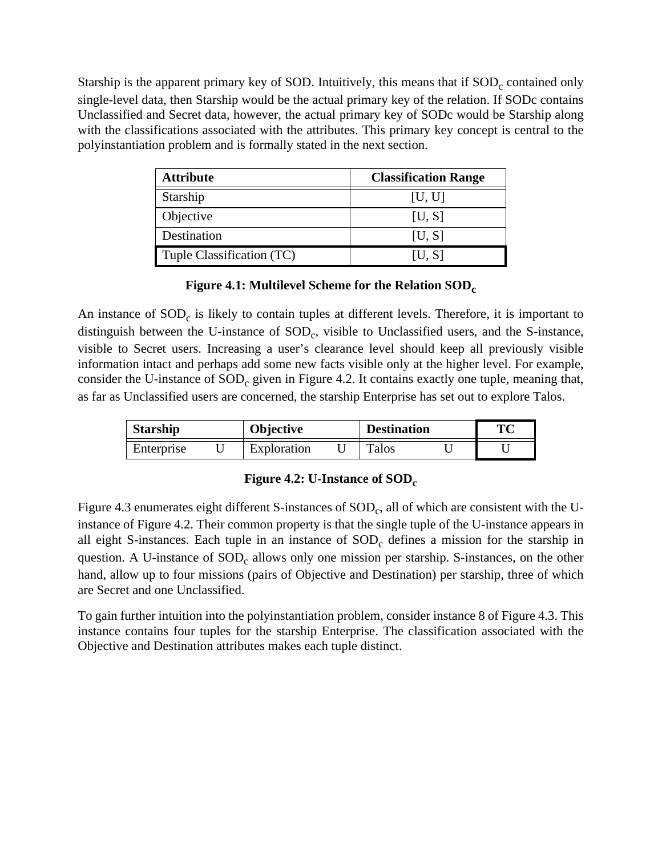Starship is the apparent primary key of SOD. Intuitively, this means that if  $SOD<sub>c</sub>$  contained only single-level data, then Starship would be the actual primary key of the relation. If SODc contains Unclassified and Secret data, however, the actual primary key of SODc would be Starship along with the classifications associated with the attributes. This primary key concept is central to the polyinstantiation problem and is formally stated in the next section.

| <b>Attribute</b>          | <b>Classification Range</b> |
|---------------------------|-----------------------------|
| Starship                  | [U, U]                      |
| Objective                 | [U, S]                      |
| Destination               | [U, S]                      |
| Tuple Classification (TC) | [U, S]                      |

### Figure 4.1: Multilevel Scheme for the Relation SOD<sub>c</sub>

An instance of  $SOD<sub>c</sub>$  is likely to contain tuples at different levels. Therefore, it is important to distinguish between the U-instance of  $SOD<sub>c</sub>$ , visible to Unclassified users, and the S-instance, visible to Secret users. Increasing a user's clearance level should keep all previously visible information intact and perhaps add some new facts visible only at the higher level. For example, consider the U-instance of  $SOD<sub>c</sub>$  given in Figure 4.2. It contains exactly one tuple, meaning that, as far as Unclassified users are concerned, the starship Enterprise has set out to explore Talos.

| <b>Starship</b> |  | <b>Objective</b> |  | <b>Destination</b> |  | TС |
|-----------------|--|------------------|--|--------------------|--|----|
| Enterprise      |  | Exploration      |  | <b>Talos</b>       |  |    |

### **Figure 4.2: U-Instance of SOD<sub>c</sub>**

Figure 4.3 enumerates eight different S-instances of SOD<sub>c</sub>, all of which are consistent with the Uinstance of Figure 4.2. Their common property is that the single tuple of the U-instance appears in all eight S-instances. Each tuple in an instance of  $SOD<sub>c</sub>$  defines a mission for the starship in question. A U-instance of  $SOD<sub>c</sub>$  allows only one mission per starship. S-instances, on the other hand, allow up to four missions (pairs of Objective and Destination) per starship, three of which are Secret and one Unclassified.

To gain further intuition into the polyinstantiation problem, consider instance 8 of Figure 4.3. This instance contains four tuples for the starship Enterprise. The classification associated with the Objective and Destination attributes makes each tuple distinct.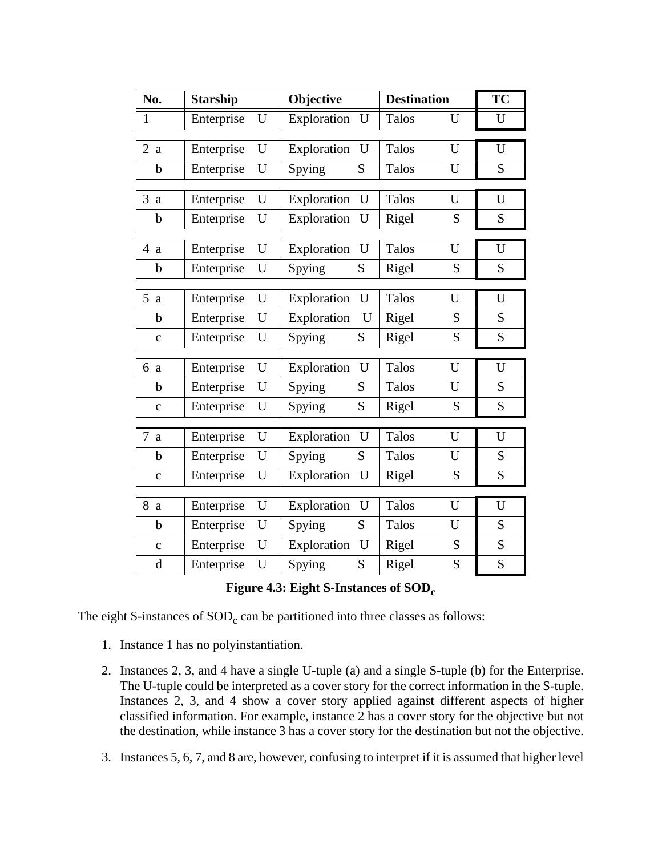| No.          | <b>Starship</b> |   | Objective   |   | <b>Destination</b> |   | <b>TC</b> |
|--------------|-----------------|---|-------------|---|--------------------|---|-----------|
| $\mathbf{1}$ | Enterprise      | U | Exploration | U | Talos              | U | U         |
|              |                 |   |             |   |                    |   |           |
| 2a           | Enterprise      | U | Exploration | U | <b>Talos</b>       | U | U         |
| $\mathbf b$  | Enterprise      | U | Spying      | S | Talos              | U | ${\bf S}$ |
|              |                 |   |             |   |                    |   |           |
| 3<br>a       | Enterprise      | U | Exploration | U | Talos              | U | U         |
| $\mathbf b$  | Enterprise      | U | Exploration | U | Rigel              | S | S         |
| 4a           | Enterprise      | U | Exploration | U | <b>Talos</b>       | U | U         |
| b            | Enterprise      | U | Spying      | S | Rigel              | S | S         |
|              |                 |   |             |   |                    |   |           |
| 5a           | Enterprise      | U | Exploration | U | Talos              | U | U         |
| $\mathbf b$  | Enterprise      | U | Exploration | U | Rigel              | S | S         |
| $\mathbf{C}$ | Enterprise      | U | Spying      | S | Rigel              | S | S         |
|              |                 |   |             |   |                    |   |           |
| 6a           | Enterprise      | U | Exploration | U | Talos              | U | U         |
| $\mathbf b$  | Enterprise      | U | Spying      | S | Talos              | U | S         |
| $\mathbf C$  | Enterprise      | U | Spying      | S | Rigel              | S | S         |
|              |                 |   |             |   |                    |   |           |
| $\tau$<br>a  | Enterprise      | U | Exploration | U | <b>Talos</b>       | U | U         |
| $\mathbf b$  | Enterprise      | U | Spying      | S | Talos              | U | S         |
| $\mathbf C$  | Enterprise      | U | Exploration | U | Rigel              | S | S         |
|              |                 |   |             |   |                    |   |           |
| 8 a          | Enterprise      | U | Exploration | U | Talos              | U | U         |
| b            | Enterprise      | U | Spying      | S | Talos              | U | S         |
| $\mathbf C$  | Enterprise      | U | Exploration | U | Rigel              | S | S         |
| $\mathbf d$  | Enterprise      | U | Spying      | S | Rigel              | S | S         |

The eight S-instances of  $SOD<sub>c</sub>$  can be partitioned into three classes as follows:

- 1. Instance 1 has no polyinstantiation.
- 2. Instances 2, 3, and 4 have a single U-tuple (a) and a single S-tuple (b) for the Enterprise. The U-tuple could be interpreted as a cover story for the correct information in the S-tuple. Instances 2, 3, and 4 show a cover story applied against different aspects of higher classified information. For example, instance 2 has a cover story for the objective but not the destination, while instance 3 has a cover story for the destination but not the objective.
- 3. Instances 5, 6, 7, and 8 are, however, confusing to interpret if it is assumed that higher level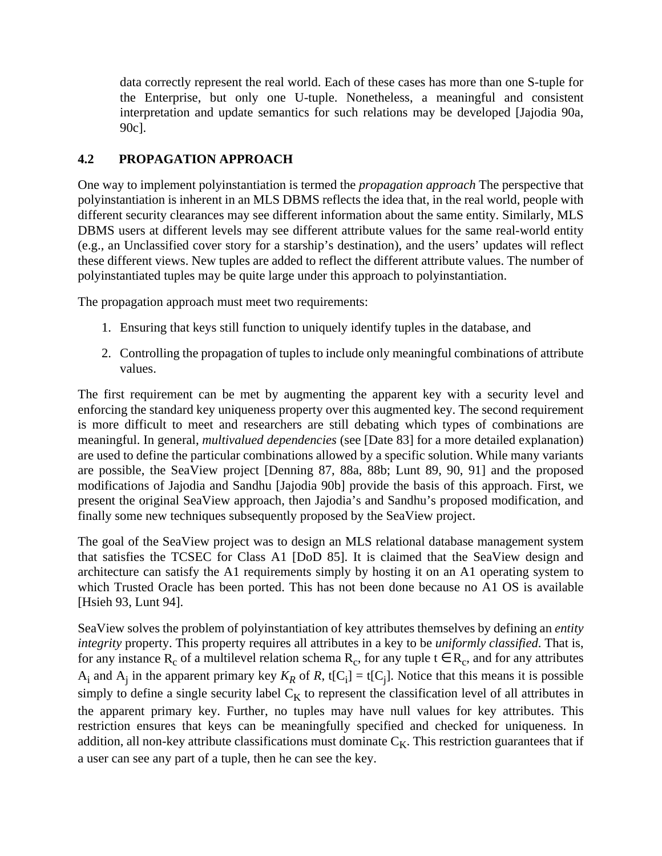data correctly represent the real world. Each of these cases has more than one S-tuple for the Enterprise, but only one U-tuple. Nonetheless, a meaningful and consistent interpretation and update semantics for such relations may be developed [Jajodia 90a, 90c].

# **4.2 PROPAGATION APPROACH**

One way to implement polyinstantiation is termed the *propagation approach* The perspective that polyinstantiation is inherent in an MLS DBMS reflects the idea that, in the real world, people with different security clearances may see different information about the same entity. Similarly, MLS DBMS users at different levels may see different attribute values for the same real-world entity (e.g., an Unclassified cover story for a starship's destination), and the users' updates will reflect these different views. New tuples are added to reflect the different attribute values. The number of polyinstantiated tuples may be quite large under this approach to polyinstantiation.

The propagation approach must meet two requirements:

- 1. Ensuring that keys still function to uniquely identify tuples in the database, and
- 2. Controlling the propagation of tuples to include only meaningful combinations of attribute values.

The first requirement can be met by augmenting the apparent key with a security level and enforcing the standard key uniqueness property over this augmented key. The second requirement is more difficult to meet and researchers are still debating which types of combinations are meaningful. In general, *multivalued dependencies* (see [Date 83] for a more detailed explanation) are used to define the particular combinations allowed by a specific solution. While many variants are possible, the SeaView project [Denning 87, 88a, 88b; Lunt 89, 90, 91] and the proposed modifications of Jajodia and Sandhu [Jajodia 90b] provide the basis of this approach. First, we present the original SeaView approach, then Jajodia's and Sandhu's proposed modification, and finally some new techniques subsequently proposed by the SeaView project.

The goal of the SeaView project was to design an MLS relational database management system that satisfies the TCSEC for Class A1 [DoD 85]. It is claimed that the SeaView design and architecture can satisfy the A1 requirements simply by hosting it on an A1 operating system to which Trusted Oracle has been ported. This has not been done because no A1 OS is available [Hsieh 93, Lunt 94].

SeaView solves the problem of polyinstantiation of key attributes themselves by defining an *entity integrity* property. This property requires all attributes in a key to be *uniformly classified*. That is, for any instance R<sub>c</sub> of a multilevel relation schema R<sub>c</sub>, for any tuple  $t \in R_c$ , and for any attributes  $A_i$  and  $A_j$  in the apparent primary key  $K_R$  of R, t[C<sub>i</sub>] = t[C<sub>j</sub>]. Notice that this means it is possible simply to define a single security label  $C_K$  to represent the classification level of all attributes in the apparent primary key. Further, no tuples may have null values for key attributes. This restriction ensures that keys can be meaningfully specified and checked for uniqueness. In addition, all non-key attribute classifications must dominate  $C_K$ . This restriction guarantees that if a user can see any part of a tuple, then he can see the key.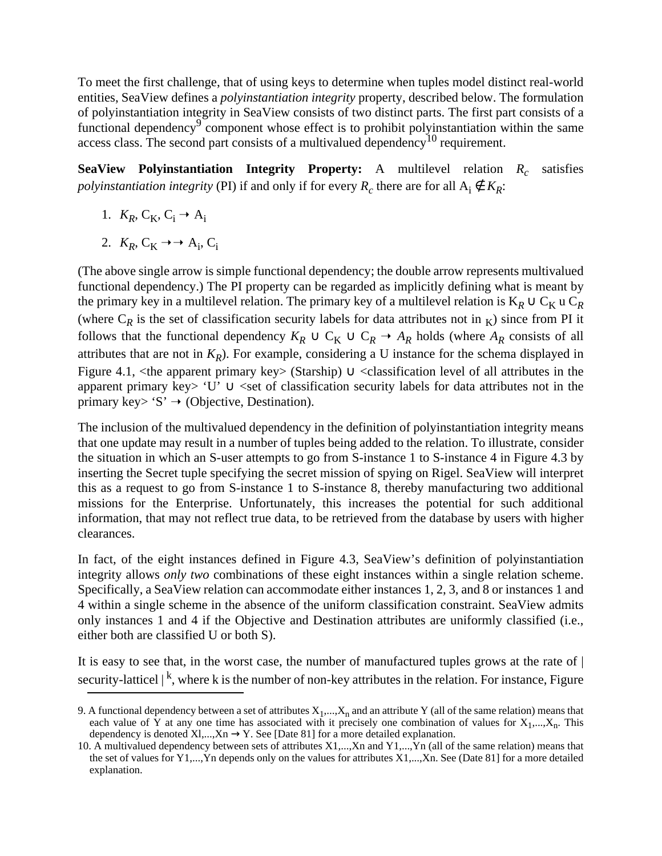To meet the first challenge, that of using keys to determine when tuples model distinct real-world entities, SeaView defines a *polyinstantiation integrity* property, described below. The formulation of polyinstantiation integrity in SeaView consists of two distinct parts. The first part consists of a functional dependency<sup>9</sup> component whose effect is to prohibit polyinstantiation within the same access class. The second part consists of a multivalued dependency10 requirement.

**SeaView Polyinstantiation Integrity Property:** A multilevel relation  $R_c$  satisfies *polyinstantiation integrity* (PI) if and only if for every  $R_c$  there are for all  $A_i \notin K_R$ :

- 1.  $K_R$ ,  $C_K$ ,  $C_i \rightarrow A_i$
- 2.  $K_R$ ,  $C_K \rightarrow \rightarrow A_i$ ,  $C_i$

(The above single arrow is simple functional dependency; the double arrow represents multivalued functional dependency.) The PI property can be regarded as implicitly defining what is meant by the primary key in a multilevel relation. The primary key of a multilevel relation is  $K_R \cup C_K$  u  $C_R$ (where  $C_R$  is the set of classification security labels for data attributes not in  $_K$ ) since from PI it follows that the functional dependency  $K_R \cup C_K \cup C_R \rightarrow A_R$  holds (where  $A_R$  consists of all attributes that are not in  $K_R$ ). For example, considering a U instance for the schema displayed in Figure 4.1, <the apparent primary key> (Starship)  $\cup$  <classification level of all attributes in the apparent primary key> 'U' ∪ <set of classification security labels for data attributes not in the primary key> 'S'  $\rightarrow$  (Objective, Destination).

The inclusion of the multivalued dependency in the definition of polyinstantiation integrity means that one update may result in a number of tuples being added to the relation. To illustrate, consider the situation in which an S-user attempts to go from S-instance 1 to S-instance 4 in Figure 4.3 by inserting the Secret tuple specifying the secret mission of spying on Rigel. SeaView will interpret this as a request to go from S-instance 1 to S-instance 8, thereby manufacturing two additional missions for the Enterprise. Unfortunately, this increases the potential for such additional information, that may not reflect true data, to be retrieved from the database by users with higher clearances.

In fact, of the eight instances defined in Figure 4.3, SeaView's definition of polyinstantiation integrity allows *only two* combinations of these eight instances within a single relation scheme. Specifically, a SeaView relation can accommodate either instances 1, 2, 3, and 8 or instances 1 and 4 within a single scheme in the absence of the uniform classification constraint. SeaView admits only instances 1 and 4 if the Objective and Destination attributes are uniformly classified (i.e., either both are classified U or both S).

It is easy to see that, in the worst case, the number of manufactured tuples grows at the rate of | security-latticel  $|^{k}$ , where k is the number of non-key attributes in the relation. For instance, Figure

<sup>9.</sup> A functional dependency between a set of attributes  $X_1,...,X_n$  and an attribute Y (all of the same relation) means that each value of Y at any one time has associated with it precisely one combination of values for  $X_1,...,X_n$ . This dependency is denoted Xl,...,Xn  $\rightarrow$  Y. See [Date 81] for a more detailed explanation.

<sup>10.</sup> A multivalued dependency between sets of attributes X1,...,Xn and Y1,...,Yn (all of the same relation) means that the set of values for Y1,...,Yn depends only on the values for attributes X1,...,Xn. See (Date 81] for a more detailed explanation.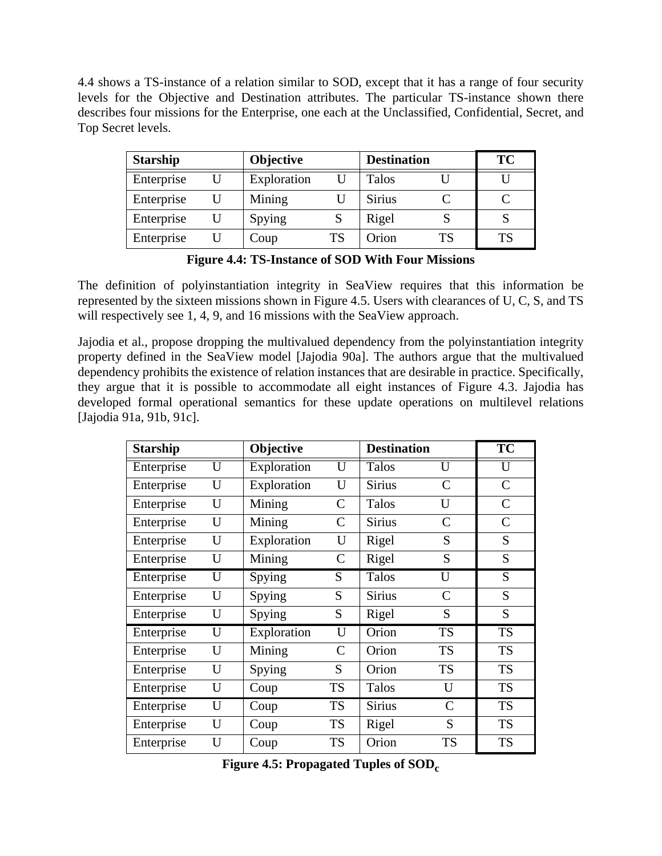4.4 shows a TS-instance of a relation similar to SOD, except that it has a range of four security levels for the Objective and Destination attributes. The particular TS-instance shown there describes four missions for the Enterprise, one each at the Unclassified, Confidential, Secret, and Top Secret levels.

| <b>Starship</b> |   | <b>Objective</b> |           | <b>Destination</b> |           | <b>TC</b> |
|-----------------|---|------------------|-----------|--------------------|-----------|-----------|
| Enterprise      |   | Exploration      |           | Talos              |           |           |
| Enterprise      | U | Mining           |           | <b>Sirius</b>      |           |           |
| Enterprise      | U | Spying           |           | Rigel              |           |           |
| Enterprise      |   | Coup             | <b>TS</b> | Orion              | <b>TS</b> | TS        |

**Figure 4.4: TS-Instance of SOD With Four Missions**

The definition of polyinstantiation integrity in SeaView requires that this information be represented by the sixteen missions shown in Figure 4.5. Users with clearances of U, C, S, and TS will respectively see 1, 4, 9, and 16 missions with the SeaView approach.

Jajodia et al., propose dropping the multivalued dependency from the polyinstantiation integrity property defined in the SeaView model [Jajodia 90a]. The authors argue that the multivalued dependency prohibits the existence of relation instances that are desirable in practice. Specifically, they argue that it is possible to accommodate all eight instances of Figure 4.3. Jajodia has developed formal operational semantics for these update operations on multilevel relations [Jajodia 91a, 91b, 91c].

| <b>Starship</b> |                         | Objective   |                         | <b>Destination</b> |                         | $\overline{\text{TC}}$ |
|-----------------|-------------------------|-------------|-------------------------|--------------------|-------------------------|------------------------|
| Enterprise      | $\overline{\mathrm{U}}$ | Exploration | $\overline{\mathrm{U}}$ | Talos              | $\overline{\mathrm{U}}$ | $\overline{U}$         |
| Enterprise      | U                       | Exploration | U                       | <b>Sirius</b>      | $\mathcal{C}$           | $\mathbf C$            |
| Enterprise      | U                       | Mining      | $\mathcal{C}$           | Talos              | U                       | $\mathcal{C}$          |
| Enterprise      | U                       | Mining      | $\mathsf{C}$            | <b>Sirius</b>      | $\mathcal{C}$           | $\mathcal{C}$          |
| Enterprise      | U                       | Exploration | U                       | Rigel              | S                       | S                      |
| Enterprise      | U                       | Mining      | $\mathsf{C}$            | Rigel              | S                       | S                      |
| Enterprise      | U                       | Spying      | S                       | Talos              | U                       | S                      |
| Enterprise      | U                       | Spying      | S                       | <b>Sirius</b>      | $\mathcal{C}$           | S                      |
| Enterprise      | U                       | Spying      | S                       | Rigel              | S                       | S                      |
| Enterprise      | U                       | Exploration | U                       | Orion              | <b>TS</b>               | <b>TS</b>              |
| Enterprise      | U                       | Mining      | $\mathcal{C}$           | Orion              | <b>TS</b>               | <b>TS</b>              |
| Enterprise      | U                       | Spying      | S                       | Orion              | <b>TS</b>               | <b>TS</b>              |
| Enterprise      | U                       | Coup        | <b>TS</b>               | Talos              | U                       | <b>TS</b>              |
| Enterprise      | U                       | Coup        | <b>TS</b>               | <b>Sirius</b>      | $\mathcal{C}$           | <b>TS</b>              |
| Enterprise      | U                       | Coup        | <b>TS</b>               | Rigel              | S                       | <b>TS</b>              |
| Enterprise      | U                       | Coup        | <b>TS</b>               | Orion              | <b>TS</b>               | <b>TS</b>              |

Figure 4.5: Propagated Tuples of SOD<sub>c</sub>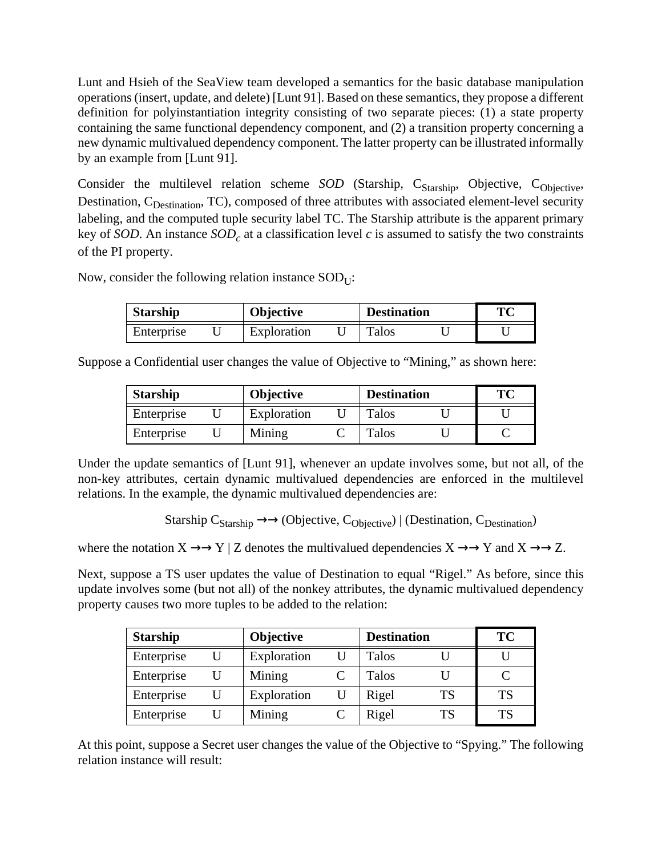Lunt and Hsieh of the SeaView team developed a semantics for the basic database manipulation operations (insert, update, and delete) [Lunt 91]. Based on these semantics, they propose a different definition for polyinstantiation integrity consisting of two separate pieces: (1) a state property containing the same functional dependency component, and (2) a transition property concerning a new dynamic multivalued dependency component. The latter property can be illustrated informally by an example from [Lunt 91].

Consider the multilevel relation scheme *SOD* (Starship, C<sub>Starship</sub>, Objective, C<sub>Objective</sub>, Destination, C<sub>Destination</sub>, TC), composed of three attributes with associated element-level security labeling, and the computed tuple security label TC. The Starship attribute is the apparent primary key of *SOD*. An instance  $SOD<sub>c</sub>$  at a classification level *c* is assumed to satisfy the two constraints of the PI property.

Now, consider the following relation instance  $SOD_{\text{U}}$ :

| <b>Starship</b> |  | <b>Objective</b> |  | <b>Destination</b> |  | ТC |
|-----------------|--|------------------|--|--------------------|--|----|
| Enterprise      |  | Exploration      |  | <b>Talos</b>       |  |    |

Suppose a Confidential user changes the value of Objective to "Mining," as shown here:

| <b>Starship</b> |  | <b>Objective</b> |  | <b>Destination</b> |  | ТC |
|-----------------|--|------------------|--|--------------------|--|----|
| Enterprise      |  | Exploration      |  | Talos              |  |    |
| Enterprise      |  | Mining           |  | Talos              |  |    |

Under the update semantics of [Lunt 91], whenever an update involves some, but not all, of the non-key attributes, certain dynamic multivalued dependencies are enforced in the multilevel relations. In the example, the dynamic multivalued dependencies are:

Starship  $C_{Starshin} \rightarrow \rightarrow$  (Objective,  $C_{Obicative}$ ) | (Destination,  $C_{Destination}$ )

where the notation  $X \to Y \mid Z$  denotes the multivalued dependencies  $X \to Y$  and  $X \to Z$ .

Next, suppose a TS user updates the value of Destination to equal "Rigel." As before, since this update involves some (but not all) of the nonkey attributes, the dynamic multivalued dependency property causes two more tuples to be added to the relation:

| <b>Starship</b> |   | <b>Objective</b> |   | <b>Destination</b> |           | <b>TC</b> |
|-----------------|---|------------------|---|--------------------|-----------|-----------|
| Enterprise      | U | Exploration      |   | Talos              |           |           |
| Enterprise      |   | Mining           |   | Talos              |           |           |
| Enterprise      | U | Exploration      | U | Rigel              | TS        | <b>TS</b> |
| Enterprise      |   | Mining           |   | Rigel              | <b>TS</b> | TS        |

At this point, suppose a Secret user changes the value of the Objective to "Spying." The following relation instance will result: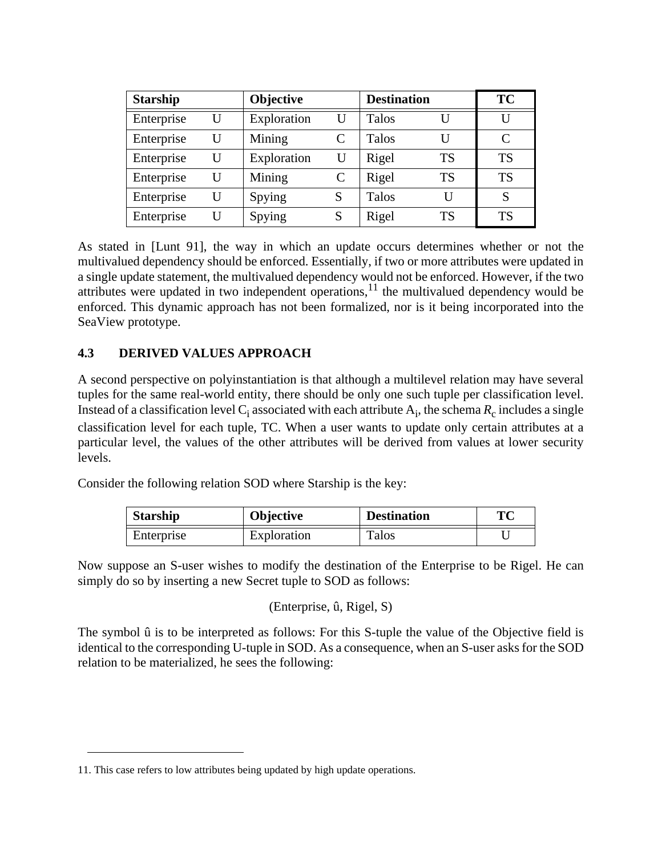| <b>Starship</b> |   | <b>Objective</b> |   | <b>Destination</b> |           | <b>TC</b> |
|-----------------|---|------------------|---|--------------------|-----------|-----------|
| Enterprise      | U | Exploration      | U | <b>Talos</b>       | U         | U         |
| Enterprise      | U | Mining           |   | Talos              | U         | C         |
| Enterprise      | U | Exploration      | U | Rigel              | <b>TS</b> | <b>TS</b> |
| Enterprise      | U | Mining           |   | Rigel              | <b>TS</b> | <b>TS</b> |
| Enterprise      | U | Spying           | S | Talos              | U         | S         |
| Enterprise      | U | Spying           | S | Rigel              | <b>TS</b> | <b>TS</b> |

As stated in [Lunt 91], the way in which an update occurs determines whether or not the multivalued dependency should be enforced. Essentially, if two or more attributes were updated in a single update statement, the multivalued dependency would not be enforced. However, if the two attributes were updated in two independent operations, $\frac{1}{1}$  the multivalued dependency would be enforced. This dynamic approach has not been formalized, nor is it being incorporated into the SeaView prototype.

# **4.3 DERIVED VALUES APPROACH**

A second perspective on polyinstantiation is that although a multilevel relation may have several tuples for the same real-world entity, there should be only one such tuple per classification level. Instead of a classification level  $C_i$  associated with each attribute  $A_i$ , the schema  $R_c$  includes a single classification level for each tuple, TC. When a user wants to update only certain attributes at a particular level, the values of the other attributes will be derived from values at lower security levels.

Consider the following relation SOD where Starship is the key:

| <b>Starship</b> | <b>Destination</b><br><b>Objective</b> |              | ТC |
|-----------------|----------------------------------------|--------------|----|
| Enterprise      | Exploration                            | <b>Talos</b> |    |

Now suppose an S-user wishes to modify the destination of the Enterprise to be Rigel. He can simply do so by inserting a new Secret tuple to SOD as follows:

(Enterprise, û, Rigel, S)

The symbol û is to be interpreted as follows: For this S-tuple the value of the Objective field is identical to the corresponding U-tuple in SOD. As a consequence, when an S-user asks for the SOD relation to be materialized, he sees the following:

<sup>11.</sup> This case refers to low attributes being updated by high update operations.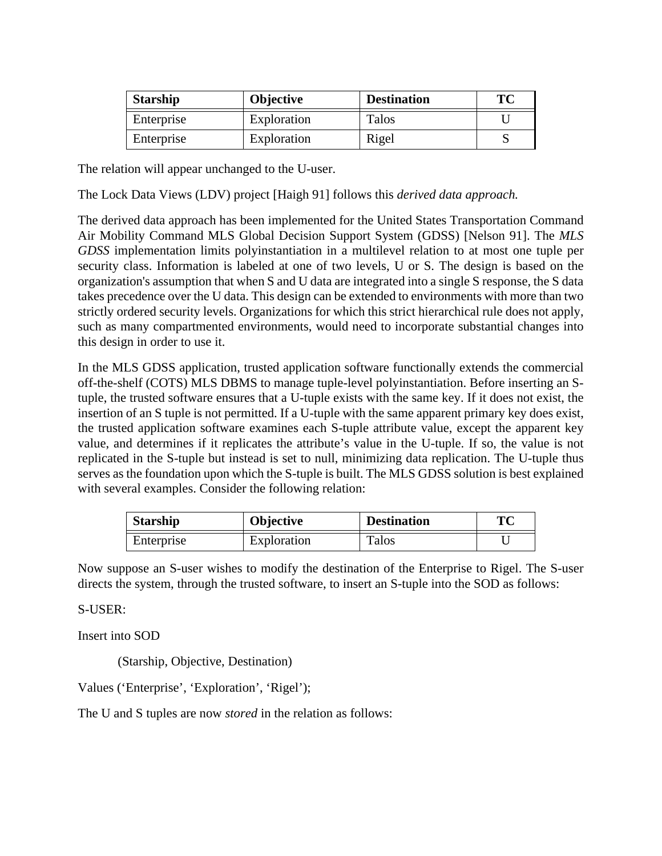| <b>Starship</b> | <b>Objective</b> | <b>Destination</b> | ТC |
|-----------------|------------------|--------------------|----|
| Enterprise      | Exploration      | Talos              |    |
| Enterprise      | Exploration      | Rigel              |    |

The relation will appear unchanged to the U-user.

The Lock Data Views (LDV) project [Haigh 91] follows this *derived data approach.*

The derived data approach has been implemented for the United States Transportation Command Air Mobility Command MLS Global Decision Support System (GDSS) [Nelson 91]. The *MLS GDSS* implementation limits polyinstantiation in a multilevel relation to at most one tuple per security class. Information is labeled at one of two levels, U or S. The design is based on the organization's assumption that when S and U data are integrated into a single S response, the S data takes precedence over the U data. This design can be extended to environments with more than two strictly ordered security levels. Organizations for which this strict hierarchical rule does not apply, such as many compartmented environments, would need to incorporate substantial changes into this design in order to use it.

In the MLS GDSS application, trusted application software functionally extends the commercial off-the-shelf (COTS) MLS DBMS to manage tuple-level polyinstantiation. Before inserting an Stuple, the trusted software ensures that a U-tuple exists with the same key. If it does not exist, the insertion of an S tuple is not permitted. If a U-tuple with the same apparent primary key does exist, the trusted application software examines each S-tuple attribute value, except the apparent key value, and determines if it replicates the attribute's value in the U-tuple. If so, the value is not replicated in the S-tuple but instead is set to null, minimizing data replication. The U-tuple thus serves as the foundation upon which the S-tuple is built. The MLS GDSS solution is best explained with several examples. Consider the following relation:

| <b>Starship</b> | <b>Objective</b> | <b>Destination</b> | ТC |
|-----------------|------------------|--------------------|----|
| Enterprise      | Exploration      | Talos              |    |

Now suppose an S-user wishes to modify the destination of the Enterprise to Rigel. The S-user directs the system, through the trusted software, to insert an S-tuple into the SOD as follows:

S-USER:

Insert into SOD

(Starship, Objective, Destination)

Values ('Enterprise', 'Exploration', 'Rigel');

The U and S tuples are now *stored* in the relation as follows: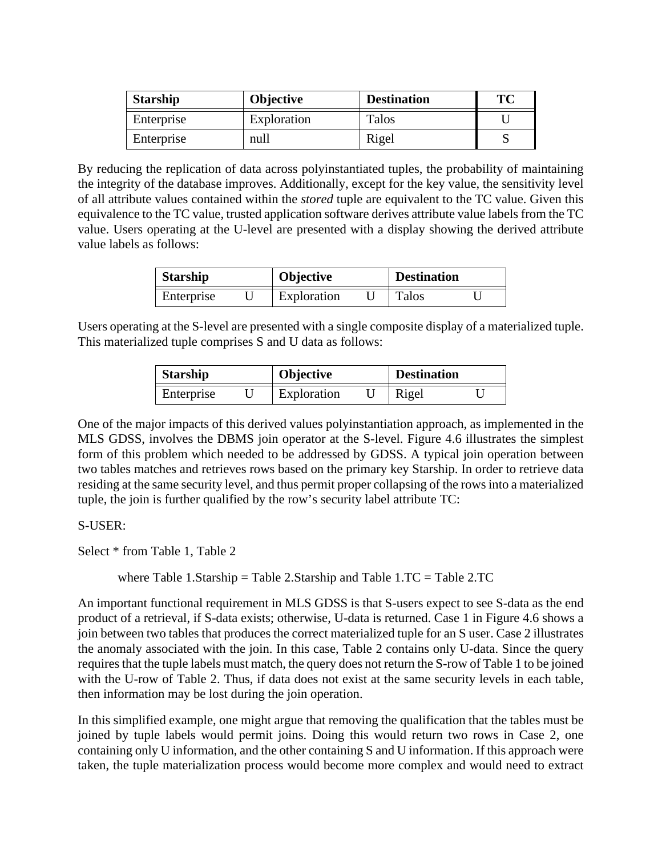| <b>Starship</b> | <b>Objective</b> | <b>Destination</b> | ТC |
|-----------------|------------------|--------------------|----|
| Enterprise      | Exploration      | Talos              |    |
| Enterprise      | null             | Rigel              |    |

By reducing the replication of data across polyinstantiated tuples, the probability of maintaining the integrity of the database improves. Additionally, except for the key value, the sensitivity level of all attribute values contained within the *stored* tuple are equivalent to the TC value. Given this equivalence to the TC value, trusted application software derives attribute value labels from the TC value. Users operating at the U-level are presented with a display showing the derived attribute value labels as follows:

| <b>Starship</b> |  | <b>Objective</b> |  | <b>Destination</b> |  |
|-----------------|--|------------------|--|--------------------|--|
| Enterprise      |  | Exploration      |  | <b>Talos</b>       |  |

Users operating at the S-level are presented with a single composite display of a materialized tuple. This materialized tuple comprises S and U data as follows:

| <b>Starship</b> |  | <b>Objective</b> |  | <b>Destination</b> |  |
|-----------------|--|------------------|--|--------------------|--|
| Enterprise      |  | Exploration      |  | Rigel              |  |

One of the major impacts of this derived values polyinstantiation approach, as implemented in the MLS GDSS, involves the DBMS join operator at the S-level. Figure 4.6 illustrates the simplest form of this problem which needed to be addressed by GDSS. A typical join operation between two tables matches and retrieves rows based on the primary key Starship. In order to retrieve data residing at the same security level, and thus permit proper collapsing of the rows into a materialized tuple, the join is further qualified by the row's security label attribute TC:

### S-USER:

Select \* from Table 1, Table 2

where Table 1.Starship = Table 2.Starship and Table  $1.TC = Table 2.TC$ 

An important functional requirement in MLS GDSS is that S-users expect to see S-data as the end product of a retrieval, if S-data exists; otherwise, U-data is returned. Case 1 in Figure 4.6 shows a join between two tables that produces the correct materialized tuple for an S user. Case 2 illustrates the anomaly associated with the join. In this case, Table 2 contains only U-data. Since the query requires that the tuple labels must match, the query does not return the S-row of Table 1 to be joined with the U-row of Table 2. Thus, if data does not exist at the same security levels in each table, then information may be lost during the join operation.

In this simplified example, one might argue that removing the qualification that the tables must be joined by tuple labels would permit joins. Doing this would return two rows in Case 2, one containing only U information, and the other containing S and U information. If this approach were taken, the tuple materialization process would become more complex and would need to extract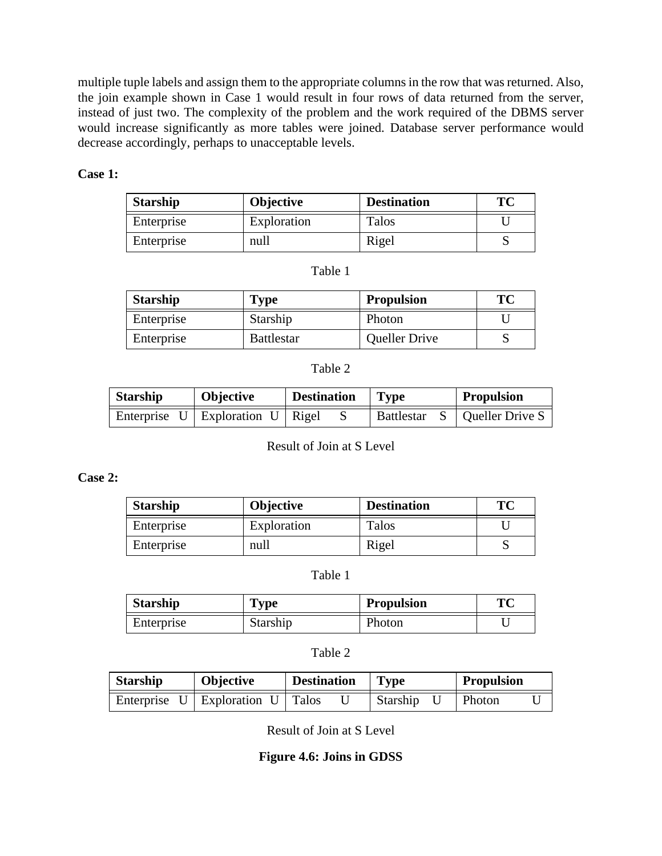multiple tuple labels and assign them to the appropriate columns in the row that was returned. Also, the join example shown in Case 1 would result in four rows of data returned from the server, instead of just two. The complexity of the problem and the work required of the DBMS server would increase significantly as more tables were joined. Database server performance would decrease accordingly, perhaps to unacceptable levels.

### **Case 1:**

| <b>Starship</b> | <b>Objective</b> | <b>Destination</b> | TC |
|-----------------|------------------|--------------------|----|
| Enterprise      | Exploration      | Talos              |    |
| Enterprise      | null             | Rigel              |    |

#### Table 1

| <b>Starship</b> | Type              | <b>Propulsion</b>    | ТC |
|-----------------|-------------------|----------------------|----|
| Enterprise      | Starship          | Photon               |    |
| Enterprise      | <b>Battlestar</b> | <b>Queller Drive</b> |    |

### Table 2

| <b>Starship</b> | <b>Objective</b>                               | <b>Destination</b> | $\vert$ Type      | <b>Propulsion</b>     |
|-----------------|------------------------------------------------|--------------------|-------------------|-----------------------|
|                 | Enterprise $U \mid$ Exploration $U \mid$ Rigel |                    | <b>Battlestar</b> | $S$   Queller Drive S |

Result of Join at S Level

### **Case 2:**

| <b>Starship</b> | Objective   | <b>Destination</b> | TC |
|-----------------|-------------|--------------------|----|
| Enterprise      | Exploration | Talos              |    |
| Enterprise      | null        | Rigel              |    |

#### Table 1

| <b>Starship</b> | <b>Type</b> | <b>Propulsion</b> | TМ |
|-----------------|-------------|-------------------|----|
| Enterprise      | Starship    | Photon            |    |

### Table 2

| <b>Starship</b> | Objective                                      | <b>Destination</b> | <b>Type</b> | <b>Propulsion</b> |
|-----------------|------------------------------------------------|--------------------|-------------|-------------------|
|                 | Enterprise $U \mid$ Exploration $U \mid$ Talos |                    | Starship    | Photon            |

Result of Join at S Level

### **Figure 4.6: Joins in GDSS**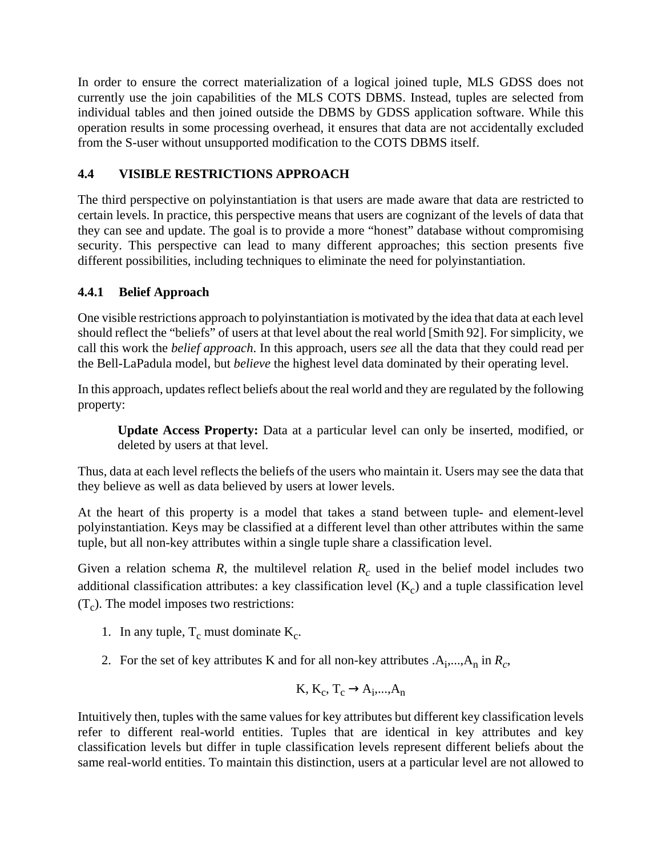In order to ensure the correct materialization of a logical joined tuple, MLS GDSS does not currently use the join capabilities of the MLS COTS DBMS. Instead, tuples are selected from individual tables and then joined outside the DBMS by GDSS application software. While this operation results in some processing overhead, it ensures that data are not accidentally excluded from the S-user without unsupported modification to the COTS DBMS itself.

# **4.4 VISIBLE RESTRICTIONS APPROACH**

The third perspective on polyinstantiation is that users are made aware that data are restricted to certain levels. In practice, this perspective means that users are cognizant of the levels of data that they can see and update. The goal is to provide a more "honest" database without compromising security. This perspective can lead to many different approaches; this section presents five different possibilities, including techniques to eliminate the need for polyinstantiation.

# **4.4.1 Belief Approach**

One visible restrictions approach to polyinstantiation is motivated by the idea that data at each level should reflect the "beliefs" of users at that level about the real world [Smith 92]. For simplicity, we call this work the *belief approach*. In this approach, users *see* all the data that they could read per the Bell-LaPadula model, but *believe* the highest level data dominated by their operating level.

In this approach, updates reflect beliefs about the real world and they are regulated by the following property:

**Update Access Property:** Data at a particular level can only be inserted, modified, or deleted by users at that level.

Thus, data at each level reflects the beliefs of the users who maintain it. Users may see the data that they believe as well as data believed by users at lower levels.

At the heart of this property is a model that takes a stand between tuple- and element-level polyinstantiation. Keys may be classified at a different level than other attributes within the same tuple, but all non-key attributes within a single tuple share a classification level.

Given a relation schema  $R$ , the multilevel relation  $R_c$  used in the belief model includes two additional classification attributes: a key classification level  $(K_c)$  and a tuple classification level  $(T_c)$ . The model imposes two restrictions:

- 1. In any tuple,  $T_c$  must dominate  $K_c$ .
- 2. For the set of key attributes K and for all non-key attributes  $.A_1, ..., A_n$  in  $R_c$ ,

$$
K, K_c, T_c \rightarrow A_i, ..., A_n
$$

Intuitively then, tuples with the same values for key attributes but different key classification levels refer to different real-world entities. Tuples that are identical in key attributes and key classification levels but differ in tuple classification levels represent different beliefs about the same real-world entities. To maintain this distinction, users at a particular level are not allowed to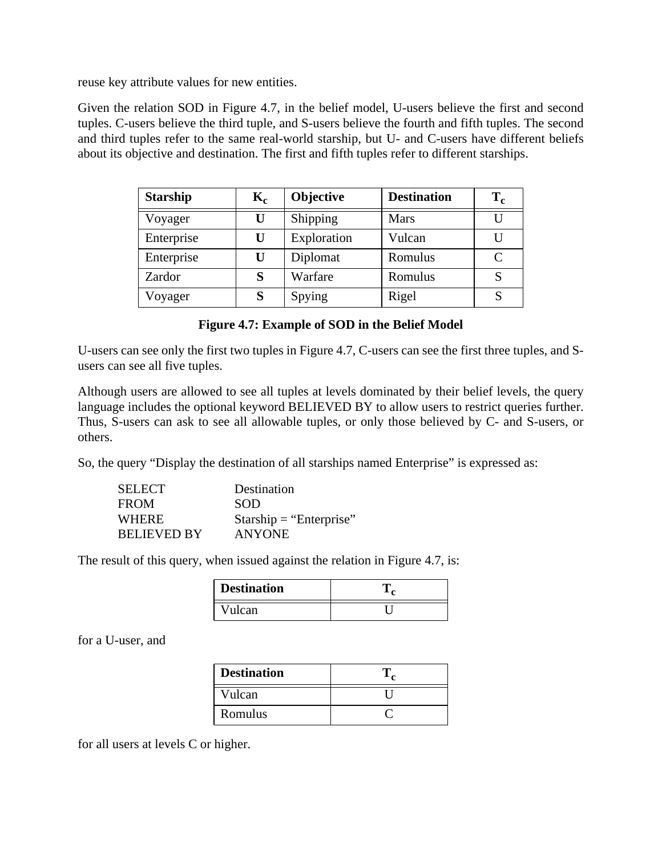reuse key attribute values for new entities.

Given the relation SOD in Figure 4.7, in the belief model, U-users believe the first and second tuples. C-users believe the third tuple, and S-users believe the fourth and fifth tuples. The second and third tuples refer to the same real-world starship, but U- and C-users have different beliefs about its objective and destination. The first and fifth tuples refer to different starships.

| <b>Starship</b> | $\mathbf{K_{c}}$ | <b>Objective</b> | <b>Destination</b> | $T_c$ |
|-----------------|------------------|------------------|--------------------|-------|
| Voyager         | U                | Shipping         | <b>Mars</b>        |       |
| Enterprise      | U                | Exploration      | Vulcan             |       |
| Enterprise      | U                | Diplomat         | Romulus            | C     |
| Zardor          | S                | Warfare          | Romulus            |       |
| Voyager         | S                | Spying           | Rigel              |       |

**Figure 4.7: Example of SOD in the Belief Model**

U-users can see only the first two tuples in Figure 4.7, C-users can see the first three tuples, and Susers can see all five tuples.

Although users are allowed to see all tuples at levels dominated by their belief levels, the query language includes the optional keyword BELIEVED BY to allow users to restrict queries further. Thus, S-users can ask to see all allowable tuples, or only those believed by C- and S-users, or others.

So, the query "Display the destination of all starships named Enterprise" is expressed as:

| <b>SELECT</b>      | Destination               |
|--------------------|---------------------------|
| <b>FROM</b>        | SOD                       |
| WHERE              | $Starship = "Enterprise"$ |
| <b>BELIEVED BY</b> | <b>ANYONE</b>             |

The result of this query, when issued against the relation in Figure 4.7, is:

| <b>Destination</b> |  |
|--------------------|--|
| Vulcan             |  |

for a U-user, and

| <b>Destination</b> |  |
|--------------------|--|
| Vulcan             |  |
| Romulus            |  |

for all users at levels C or higher.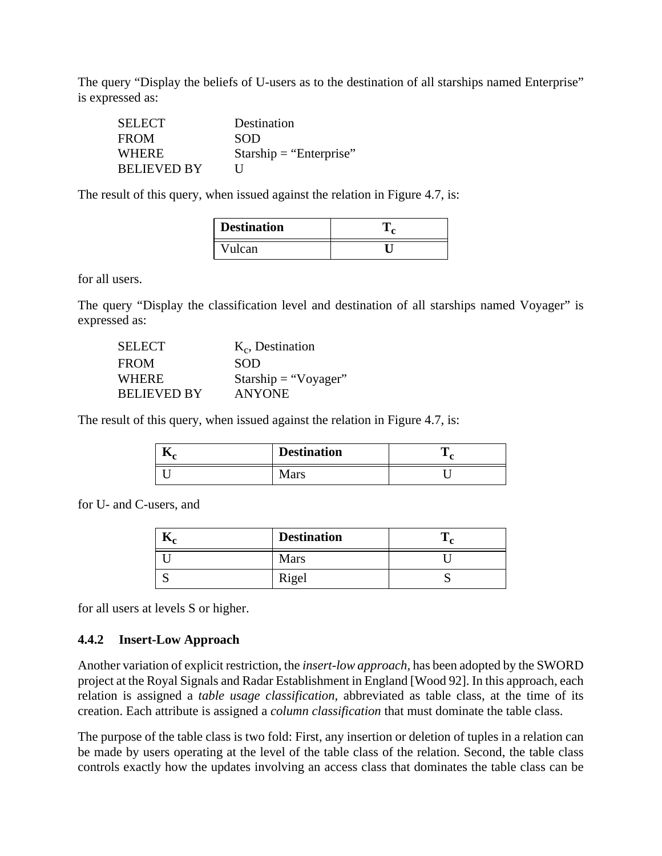The query "Display the beliefs of U-users as to the destination of all starships named Enterprise" is expressed as:

| <b>SELECT</b>      | Destination               |
|--------------------|---------------------------|
| <b>FROM</b>        | <b>SOD</b>                |
| <b>WHERE</b>       | $Starship = "Enterprise"$ |
| <b>BELIEVED BY</b> | $\mathbf{I}$              |

The result of this query, when issued against the relation in Figure 4.7, is:

| <b>Destination</b> |  |
|--------------------|--|
| Vulcan             |  |

for all users.

The query "Display the classification level and destination of all starships named Voyager" is expressed as:

| <b>SELECT</b>      | $K_c$ , Destination  |
|--------------------|----------------------|
| <b>FROM</b>        | <b>SOD</b>           |
| <b>WHERE</b>       | Starship = "Voyager" |
| <b>BELIEVED BY</b> | <b>ANYONE</b>        |

The result of this query, when issued against the relation in Figure 4.7, is:

| 11. | <b>Destination</b> | m |
|-----|--------------------|---|
|     | Mars               |   |

for U- and C-users, and

| <b>Destination</b> |  |
|--------------------|--|
| <b>Mars</b>        |  |
| Rigel              |  |

for all users at levels S or higher.

#### **4.4.2 Insert-Low Approach**

Another variation of explicit restriction, the *insert-low approach,* has been adopted by the SWORD project at the Royal Signals and Radar Establishment in England [Wood 92]. In this approach, each relation is assigned a *table usage classification,* abbreviated as table class, at the time of its creation. Each attribute is assigned a *column classification* that must dominate the table class.

The purpose of the table class is two fold: First, any insertion or deletion of tuples in a relation can be made by users operating at the level of the table class of the relation. Second, the table class controls exactly how the updates involving an access class that dominates the table class can be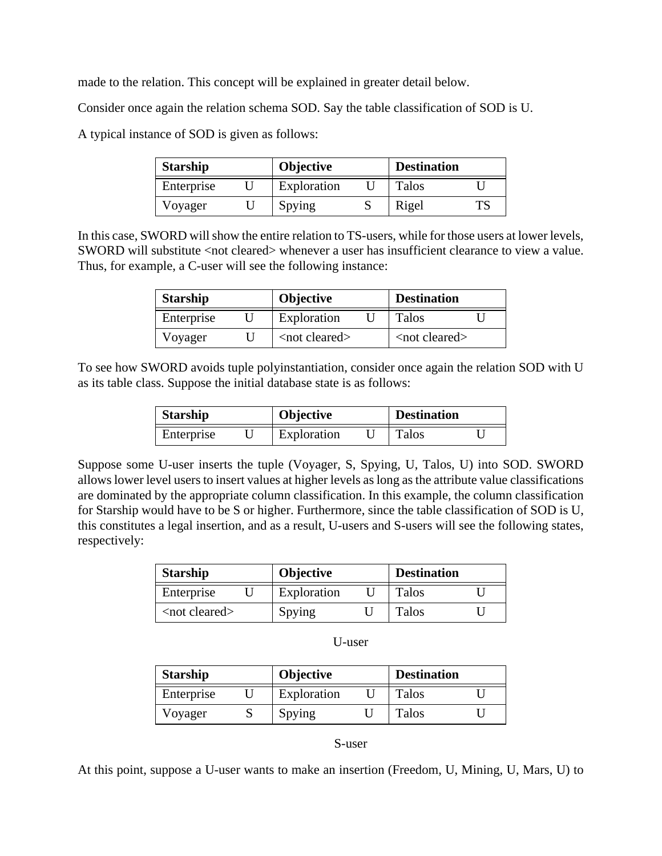made to the relation. This concept will be explained in greater detail below.

Consider once again the relation schema SOD. Say the table classification of SOD is U.

A typical instance of SOD is given as follows:

| <b>Starship</b> |  | <b>Objective</b> |  | <b>Destination</b> |  |
|-----------------|--|------------------|--|--------------------|--|
| Enterprise      |  | Exploration      |  | Talos              |  |
| Voyager         |  | Spying           |  | Rigel              |  |

In this case, SWORD will show the entire relation to TS-users, while for those users at lower levels, SWORD will substitute <not cleared> whenever a user has insufficient clearance to view a value. Thus, for example, a C-user will see the following instance:

| <b>Starship</b> |  | <b>Objective</b>       |  | <b>Destination</b>              |  |
|-----------------|--|------------------------|--|---------------------------------|--|
| Enterprise      |  | Exploration            |  | Talos                           |  |
| Voyager         |  | <not cleared=""></not> |  | $\langle$ not cleared $\rangle$ |  |

To see how SWORD avoids tuple polyinstantiation, consider once again the relation SOD with U as its table class. Suppose the initial database state is as follows:

| Starship   |  | <b>Objective</b> |  | <b>Destination</b> |  |
|------------|--|------------------|--|--------------------|--|
| Enterprise |  | Exploration      |  | <b>Talos</b>       |  |

Suppose some U-user inserts the tuple (Voyager, S, Spying, U, Talos, U) into SOD. SWORD allows lower level users to insert values at higher levels as long as the attribute value classifications are dominated by the appropriate column classification. In this example, the column classification for Starship would have to be S or higher. Furthermore, since the table classification of SOD is U, this constitutes a legal insertion, and as a result, U-users and S-users will see the following states, respectively:

| <b>Starship</b>     | <b>Objective</b> |  | <b>Destination</b> |  |
|---------------------|------------------|--|--------------------|--|
| Enterprise          | Exploration      |  | <b>Talos</b>       |  |
| $<$ not cleared $>$ | Spying           |  | Talos              |  |

| w<br>۰.<br>M<br>v<br>×<br>۹ |
|-----------------------------|
|-----------------------------|

| <b>Starship</b> |  | <b>Objective</b> |  | <b>Destination</b> |  |
|-----------------|--|------------------|--|--------------------|--|
| Enterprise      |  | Exploration      |  | Talos              |  |
| Voyager         |  | Spying           |  | Talos              |  |

#### S-user

At this point, suppose a U-user wants to make an insertion (Freedom, U, Mining, U, Mars, U) to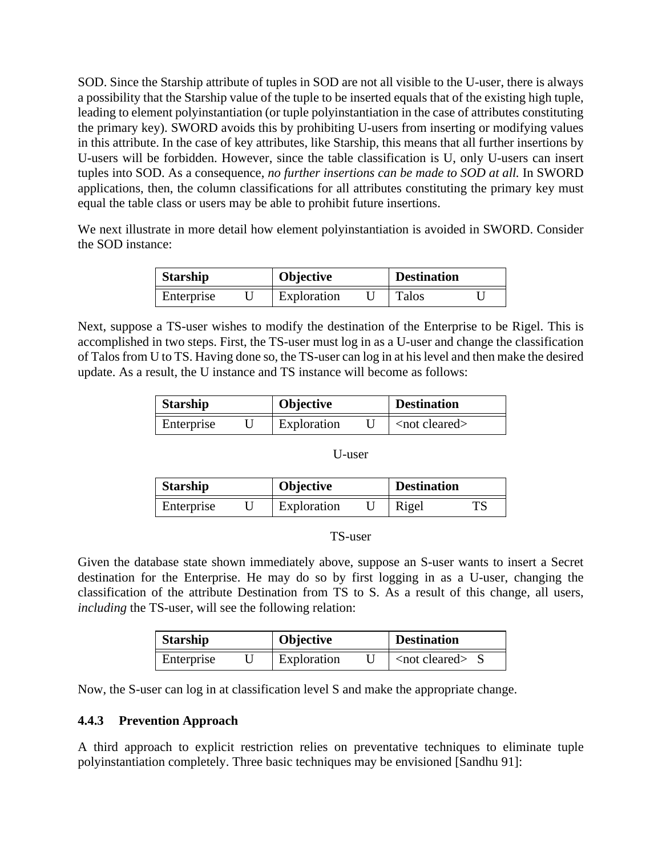SOD. Since the Starship attribute of tuples in SOD are not all visible to the U-user, there is always a possibility that the Starship value of the tuple to be inserted equals that of the existing high tuple, leading to element polyinstantiation (or tuple polyinstantiation in the case of attributes constituting the primary key). SWORD avoids this by prohibiting U-users from inserting or modifying values in this attribute. In the case of key attributes, like Starship, this means that all further insertions by U-users will be forbidden. However, since the table classification is U, only U-users can insert tuples into SOD. As a consequence, *no further insertions can be made to SOD at all.* In SWORD applications, then, the column classifications for all attributes constituting the primary key must equal the table class or users may be able to prohibit future insertions.

We next illustrate in more detail how element polyinstantiation is avoided in SWORD. Consider the SOD instance:

| <b>Starship</b> |  | Objective   |  | <b>Destination</b> |  |
|-----------------|--|-------------|--|--------------------|--|
| Enterprise      |  | Exploration |  | <b>Talos</b>       |  |

Next, suppose a TS-user wishes to modify the destination of the Enterprise to be Rigel. This is accomplished in two steps. First, the TS-user must log in as a U-user and change the classification of Talos from U to TS. Having done so, the TS-user can log in at his level and then make the desired update. As a result, the U instance and TS instance will become as follows:

| <b>Starship</b> |  | <b>Objective</b> |  | <b>Destination</b>              |  |
|-----------------|--|------------------|--|---------------------------------|--|
| Enterprise      |  | Exploration      |  | $\langle$ not cleared $\rangle$ |  |

#### U-user

| <b>Starship</b> |  | <b>Objective</b> |  | <b>Destination</b> |  |
|-----------------|--|------------------|--|--------------------|--|
| Enterprise      |  | Exploration      |  | Rigel              |  |

#### TS-user

Given the database state shown immediately above, suppose an S-user wants to insert a Secret destination for the Enterprise. He may do so by first logging in as a U-user, changing the classification of the attribute Destination from TS to S. As a result of this change, all users, *including* the TS-user, will see the following relation:

| <b>Starship</b> | <b>Objective</b> | <b>Destination</b>      |
|-----------------|------------------|-------------------------|
| Enterprise      | Exploration      | $\lt$ not cleared $\gt$ |

Now, the S-user can log in at classification level S and make the appropriate change.

### **4.4.3 Prevention Approach**

A third approach to explicit restriction relies on preventative techniques to eliminate tuple polyinstantiation completely. Three basic techniques may be envisioned [Sandhu 91]: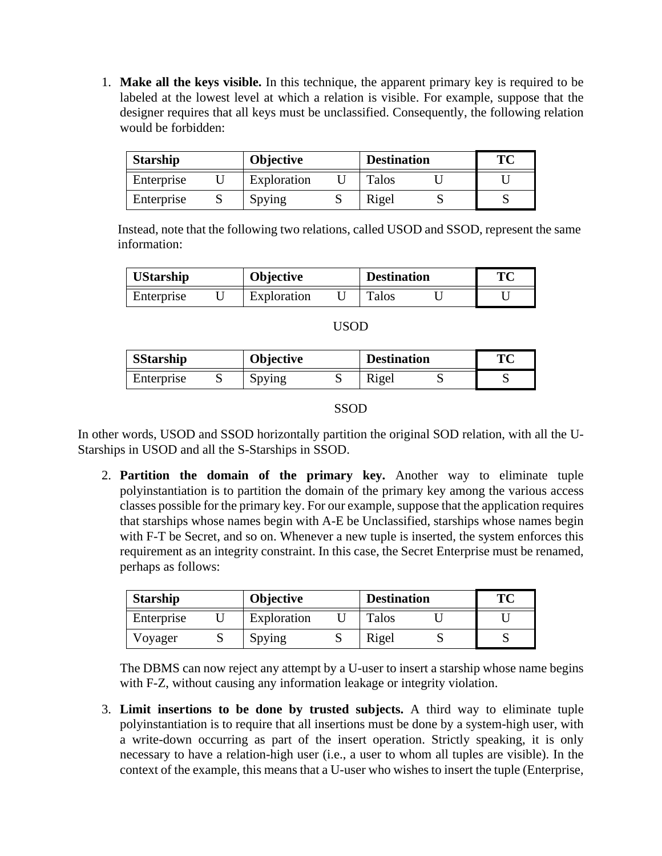1. **Make all the keys visible.** In this technique, the apparent primary key is required to be labeled at the lowest level at which a relation is visible. For example, suppose that the designer requires that all keys must be unclassified. Consequently, the following relation would be forbidden:

| <b>Starship</b> | <b>Objective</b> | <b>Destination</b> | TC |
|-----------------|------------------|--------------------|----|
| Enterprise      | Exploration      | Talos              |    |
| Enterprise      | Spying           | Rigel              |    |

Instead, note that the following two relations, called USOD and SSOD, represent the same information:

| <b>UStarship</b><br><b>Objective</b> |  | <b>Destination</b> |       | TМ |  |
|--------------------------------------|--|--------------------|-------|----|--|
| Enterprise                           |  | Exploration        | Talos |    |  |

| <b>SStarship</b> | <b>Objective</b> | <b>Destination</b> | TC |
|------------------|------------------|--------------------|----|
| Enterprise       | Spying           | Rigel              |    |

### SSOD

In other words, USOD and SSOD horizontally partition the original SOD relation, with all the U-Starships in USOD and all the S-Starships in SSOD.

2. **Partition the domain of the primary key.** Another way to eliminate tuple polyinstantiation is to partition the domain of the primary key among the various access classes possible for the primary key. For our example, suppose that the application requires that starships whose names begin with A-E be Unclassified, starships whose names begin with F-T be Secret, and so on. Whenever a new tuple is inserted, the system enforces this requirement as an integrity constraint. In this case, the Secret Enterprise must be renamed, perhaps as follows:

| <b>Starship</b> |  | <b>Objective</b> |  | <b>Destination</b> |  | <b>TC</b> |
|-----------------|--|------------------|--|--------------------|--|-----------|
| Enterprise      |  | Exploration      |  | Talos              |  |           |
| Voyager         |  | Spying           |  | Rigel              |  |           |

The DBMS can now reject any attempt by a U-user to insert a starship whose name begins with F-Z, without causing any information leakage or integrity violation.

3. **Limit insertions to be done by trusted subjects.** A third way to eliminate tuple polyinstantiation is to require that all insertions must be done by a system-high user, with a write-down occurring as part of the insert operation. Strictly speaking, it is only necessary to have a relation-high user (i.e., a user to whom all tuples are visible). In the context of the example, this means that a U-user who wishes to insert the tuple (Enterprise,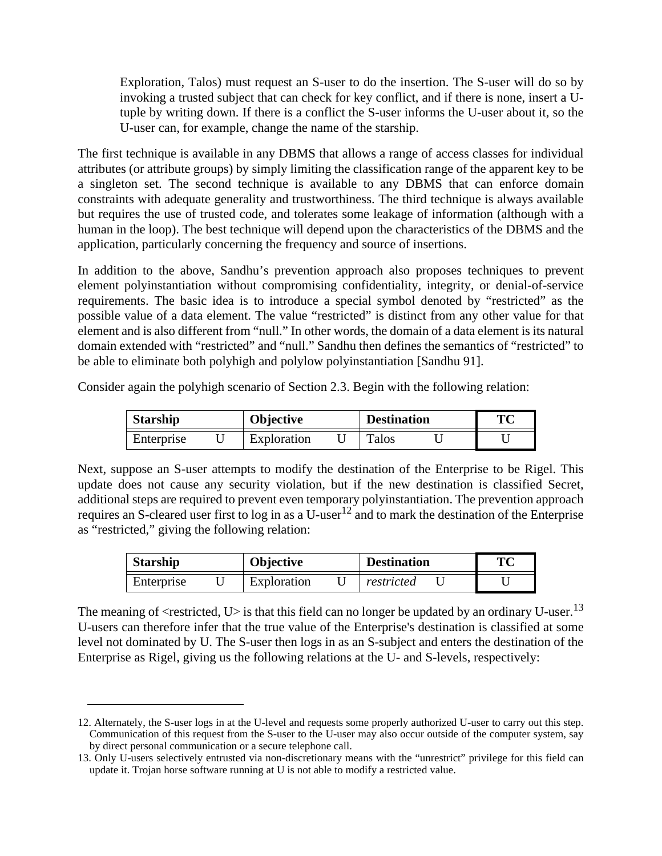Exploration, Talos) must request an S-user to do the insertion. The S-user will do so by invoking a trusted subject that can check for key conflict, and if there is none, insert a Utuple by writing down. If there is a conflict the S-user informs the U-user about it, so the U-user can, for example, change the name of the starship.

The first technique is available in any DBMS that allows a range of access classes for individual attributes (or attribute groups) by simply limiting the classification range of the apparent key to be a singleton set. The second technique is available to any DBMS that can enforce domain constraints with adequate generality and trustworthiness. The third technique is always available but requires the use of trusted code, and tolerates some leakage of information (although with a human in the loop). The best technique will depend upon the characteristics of the DBMS and the application, particularly concerning the frequency and source of insertions.

In addition to the above, Sandhu's prevention approach also proposes techniques to prevent element polyinstantiation without compromising confidentiality, integrity, or denial-of-service requirements. The basic idea is to introduce a special symbol denoted by "restricted" as the possible value of a data element. The value "restricted" is distinct from any other value for that element and is also different from "null." In other words, the domain of a data element is its natural domain extended with "restricted" and "null." Sandhu then defines the semantics of "restricted" to be able to eliminate both polyhigh and polylow polyinstantiation [Sandhu 91].

Consider again the polyhigh scenario of Section 2.3. Begin with the following relation:

| <b>Starship</b> | <b>Objective</b> | <b>Destination</b> | TС |
|-----------------|------------------|--------------------|----|
| Enterprise      | Exploration      | Talos              |    |

Next, suppose an S-user attempts to modify the destination of the Enterprise to be Rigel. This update does not cause any security violation, but if the new destination is classified Secret, additional steps are required to prevent even temporary polyinstantiation. The prevention approach requires an S-cleared user first to log in as a U-user<sup>12</sup> and to mark the destination of the Enterprise as "restricted," giving the following relation:

| <b>Starship</b> | <b>Objective</b> | <b>Destination</b> | Tм |
|-----------------|------------------|--------------------|----|
| Enterprise      | Exploration      | restricted         |    |

The meaning of  $\le$  restricted, U $>$  is that this field can no longer be updated by an ordinary U-user.<sup>13</sup> U-users can therefore infer that the true value of the Enterprise's destination is classified at some level not dominated by U. The S-user then logs in as an S-subject and enters the destination of the Enterprise as Rigel, giving us the following relations at the U- and S-levels, respectively:

<sup>12.</sup> Alternately, the S-user logs in at the U-level and requests some properly authorized U-user to carry out this step. Communication of this request from the S-user to the U-user may also occur outside of the computer system, say by direct personal communication or a secure telephone call.

<sup>13.</sup> Only U-users selectively entrusted via non-discretionary means with the "unrestrict" privilege for this field can update it. Trojan horse software running at U is not able to modify a restricted value.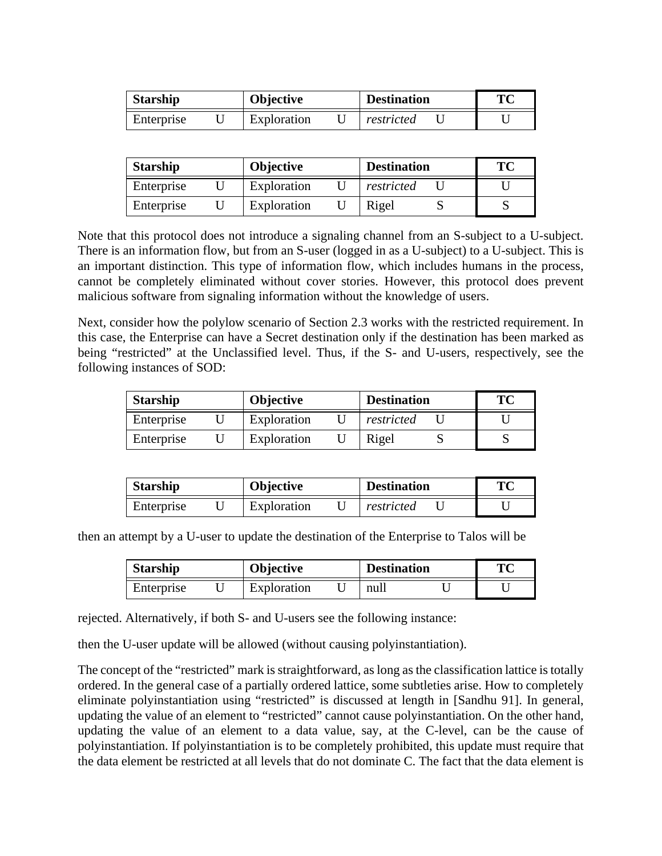| <b>Starship</b> | <b>Objective</b> | <b>Destination</b> | ТC |
|-----------------|------------------|--------------------|----|
| Enterprise      | Exploration      | restricted         |    |

| <b>Starship</b> | <b>Objective</b> | <b>Destination</b> | TC |
|-----------------|------------------|--------------------|----|
| Enterprise      | Exploration      | restricted         |    |
| Enterprise      | Exploration      | Rigel              |    |

Note that this protocol does not introduce a signaling channel from an S-subject to a U-subject. There is an information flow, but from an S-user (logged in as a U-subject) to a U-subject. This is an important distinction. This type of information flow, which includes humans in the process, cannot be completely eliminated without cover stories. However, this protocol does prevent malicious software from signaling information without the knowledge of users.

Next, consider how the polylow scenario of Section 2.3 works with the restricted requirement. In this case, the Enterprise can have a Secret destination only if the destination has been marked as being "restricted" at the Unclassified level. Thus, if the S- and U-users, respectively, see the following instances of SOD:

| <b>Starship</b> | <b>Objective</b> | <b>Destination</b> | TC |
|-----------------|------------------|--------------------|----|
| Enterprise      | Exploration      | restricted         |    |
| Enterprise      | Exploration      | Rigel              |    |

| <b>Starship</b> | <b>Objective</b> | <b>Destination</b> | TО |
|-----------------|------------------|--------------------|----|
| Enterprise      | Exploration      | restricted         |    |

then an attempt by a U-user to update the destination of the Enterprise to Talos will be

| <b>Starship</b> |  | Objective   |  | <b>Destination</b> | ТC |  |
|-----------------|--|-------------|--|--------------------|----|--|
| Enterprise      |  | Exploration |  | null               |    |  |

rejected. Alternatively, if both S- and U-users see the following instance:

then the U-user update will be allowed (without causing polyinstantiation).

The concept of the "restricted" mark is straightforward, as long as the classification lattice is totally ordered. In the general case of a partially ordered lattice, some subtleties arise. How to completely eliminate polyinstantiation using "restricted" is discussed at length in [Sandhu 91]. In general, updating the value of an element to "restricted" cannot cause polyinstantiation. On the other hand, updating the value of an element to a data value, say, at the C-level, can be the cause of polyinstantiation. If polyinstantiation is to be completely prohibited, this update must require that the data element be restricted at all levels that do not dominate C. The fact that the data element is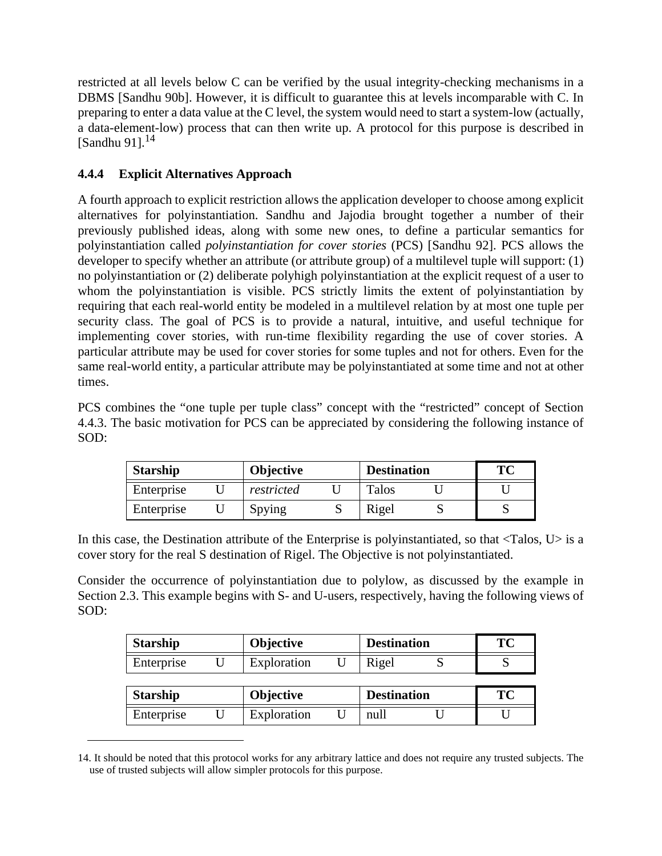restricted at all levels below C can be verified by the usual integrity-checking mechanisms in a DBMS [Sandhu 90b]. However, it is difficult to guarantee this at levels incomparable with C. In preparing to enter a data value at the C level, the system would need to start a system-low (actually, a data-element-low) process that can then write up. A protocol for this purpose is described in  $[Sandhu 91]$ .<sup>14</sup>

# **4.4.4 Explicit Alternatives Approach**

A fourth approach to explicit restriction allows the application developer to choose among explicit alternatives for polyinstantiation. Sandhu and Jajodia brought together a number of their previously published ideas, along with some new ones, to define a particular semantics for polyinstantiation called *polyinstantiation for cover stories* (PCS) [Sandhu 92]. PCS allows the developer to specify whether an attribute (or attribute group) of a multilevel tuple will support: (1) no polyinstantiation or (2) deliberate polyhigh polyinstantiation at the explicit request of a user to whom the polyinstantiation is visible. PCS strictly limits the extent of polyinstantiation by requiring that each real-world entity be modeled in a multilevel relation by at most one tuple per security class. The goal of PCS is to provide a natural, intuitive, and useful technique for implementing cover stories, with run-time flexibility regarding the use of cover stories. A particular attribute may be used for cover stories for some tuples and not for others. Even for the same real-world entity, a particular attribute may be polyinstantiated at some time and not at other times.

PCS combines the "one tuple per tuple class" concept with the "restricted" concept of Section 4.4.3. The basic motivation for PCS can be appreciated by considering the following instance of SOD:

| <b>Starship</b> |  | <b>Objective</b> |  | <b>Destination</b> |  | ТС |
|-----------------|--|------------------|--|--------------------|--|----|
| Enterprise      |  | restricted       |  | <b>Talos</b>       |  |    |
| Enterprise      |  | Spying           |  | Rigel              |  |    |

In this case, the Destination attribute of the Enterprise is polyinstantiated, so that <Talos, U> is a cover story for the real S destination of Rigel. The Objective is not polyinstantiated.

Consider the occurrence of polyinstantiation due to polylow, as discussed by the example in Section 2.3. This example begins with S- and U-users, respectively, having the following views of SOD:

| <b>Starship</b> | <b>Objective</b> | <b>Destination</b> |  | TC        |
|-----------------|------------------|--------------------|--|-----------|
| Enterprise      | Exploration      | Rigel              |  |           |
|                 |                  |                    |  |           |
| <b>Starship</b> | <b>Objective</b> | <b>Destination</b> |  | <b>TC</b> |

<sup>14.</sup> It should be noted that this protocol works for any arbitrary lattice and does not require any trusted subjects. The use of trusted subjects will allow simpler protocols for this purpose.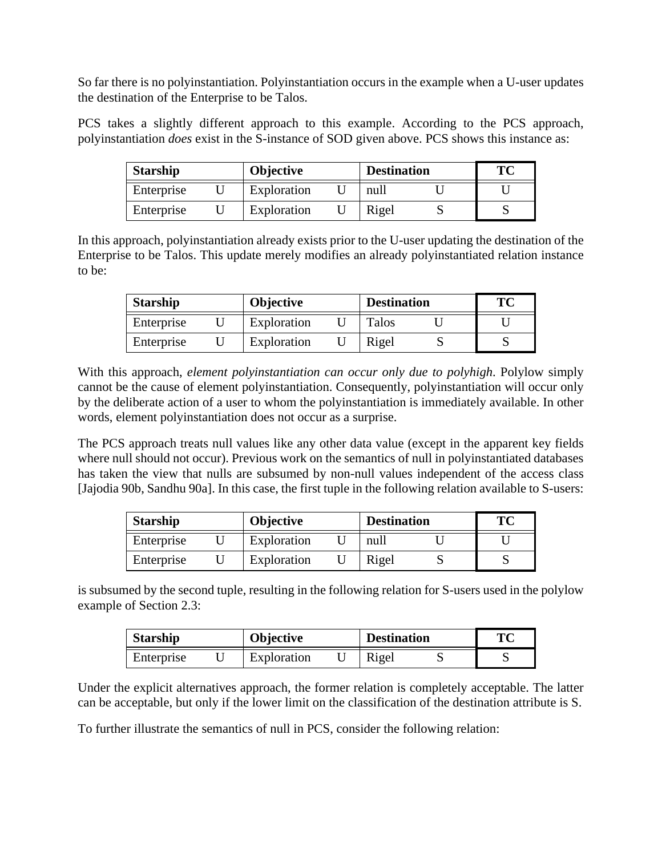So far there is no polyinstantiation. Polyinstantiation occurs in the example when a U-user updates the destination of the Enterprise to be Talos.

PCS takes a slightly different approach to this example. According to the PCS approach, polyinstantiation *does* exist in the S-instance of SOD given above. PCS shows this instance as:

| <b>Starship</b> |  | <b>Objective</b> |  | <b>Destination</b> |  | TC |
|-----------------|--|------------------|--|--------------------|--|----|
| Enterprise      |  | Exploration      |  | null               |  |    |
| Enterprise      |  | Exploration      |  | Rigel              |  |    |

In this approach, polyinstantiation already exists prior to the U-user updating the destination of the Enterprise to be Talos. This update merely modifies an already polyinstantiated relation instance to be:

| <b>Starship</b> |  | <b>Objective</b> |  | <b>Destination</b> |  | ТC |
|-----------------|--|------------------|--|--------------------|--|----|
| Enterprise      |  | Exploration      |  | Talos              |  |    |
| Enterprise      |  | Exploration      |  | Rigel              |  |    |

With this approach, *element polyinstantiation can occur only due to polyhigh*. Polylow simply cannot be the cause of element polyinstantiation. Consequently, polyinstantiation will occur only by the deliberate action of a user to whom the polyinstantiation is immediately available. In other words, element polyinstantiation does not occur as a surprise.

The PCS approach treats null values like any other data value (except in the apparent key fields where null should not occur). Previous work on the semantics of null in polyinstantiated databases has taken the view that nulls are subsumed by non-null values independent of the access class [Jajodia 90b, Sandhu 90a]. In this case, the first tuple in the following relation available to S-users:

| <b>Starship</b> |  | <b>Objective</b> |  | <b>Destination</b> |  | ТC |
|-----------------|--|------------------|--|--------------------|--|----|
| Enterprise      |  | Exploration      |  | null               |  |    |
| Enterprise      |  | Exploration      |  | Rigel              |  |    |

is subsumed by the second tuple, resulting in the following relation for S-users used in the polylow example of Section 2.3:

| <b>Starship</b> |  | Objective   |  |       | <b>Destination</b> |  |
|-----------------|--|-------------|--|-------|--------------------|--|
| Enterprise      |  | Exploration |  | Rigel |                    |  |

Under the explicit alternatives approach, the former relation is completely acceptable. The latter can be acceptable, but only if the lower limit on the classification of the destination attribute is S.

To further illustrate the semantics of null in PCS, consider the following relation: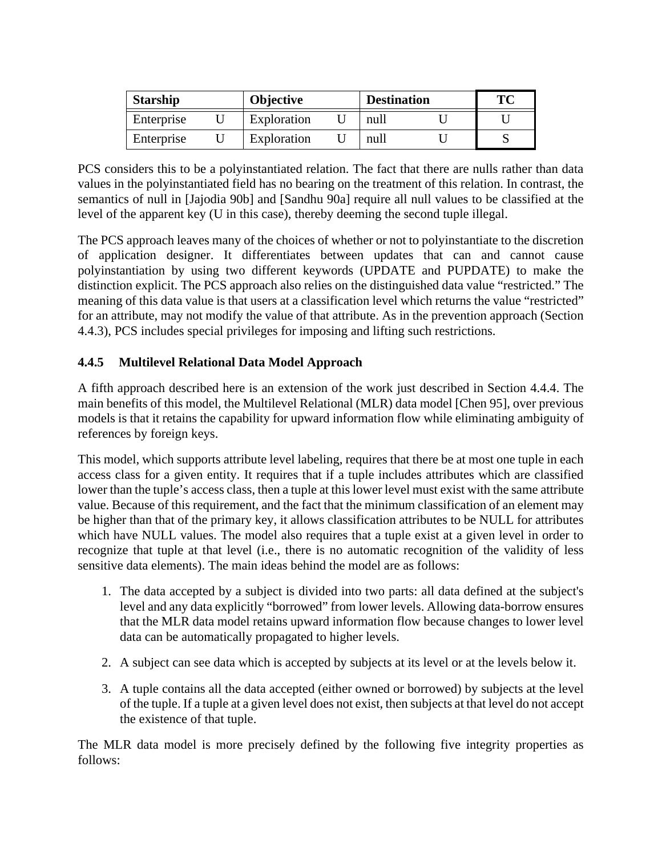| <b>Starship</b> |  | <b>Objective</b> |  | <b>Destination</b> |  | TC |
|-----------------|--|------------------|--|--------------------|--|----|
| Enterprise      |  | Exploration      |  | null               |  |    |
| Enterprise      |  | Exploration      |  | null               |  |    |

PCS considers this to be a polyinstantiated relation. The fact that there are nulls rather than data values in the polyinstantiated field has no bearing on the treatment of this relation. In contrast, the semantics of null in [Jajodia 90b] and [Sandhu 90a] require all null values to be classified at the level of the apparent key (U in this case), thereby deeming the second tuple illegal.

The PCS approach leaves many of the choices of whether or not to polyinstantiate to the discretion of application designer. It differentiates between updates that can and cannot cause polyinstantiation by using two different keywords (UPDATE and PUPDATE) to make the distinction explicit. The PCS approach also relies on the distinguished data value "restricted." The meaning of this data value is that users at a classification level which returns the value "restricted" for an attribute, may not modify the value of that attribute. As in the prevention approach (Section 4.4.3), PCS includes special privileges for imposing and lifting such restrictions.

# **4.4.5 Multilevel Relational Data Model Approach**

A fifth approach described here is an extension of the work just described in Section 4.4.4. The main benefits of this model, the Multilevel Relational (MLR) data model [Chen 95], over previous models is that it retains the capability for upward information flow while eliminating ambiguity of references by foreign keys.

This model, which supports attribute level labeling, requires that there be at most one tuple in each access class for a given entity. It requires that if a tuple includes attributes which are classified lower than the tuple's access class, then a tuple at this lower level must exist with the same attribute value. Because of this requirement, and the fact that the minimum classification of an element may be higher than that of the primary key, it allows classification attributes to be NULL for attributes which have NULL values. The model also requires that a tuple exist at a given level in order to recognize that tuple at that level (i.e., there is no automatic recognition of the validity of less sensitive data elements). The main ideas behind the model are as follows:

- 1. The data accepted by a subject is divided into two parts: all data defined at the subject's level and any data explicitly "borrowed" from lower levels. Allowing data-borrow ensures that the MLR data model retains upward information flow because changes to lower level data can be automatically propagated to higher levels.
- 2. A subject can see data which is accepted by subjects at its level or at the levels below it.
- 3. A tuple contains all the data accepted (either owned or borrowed) by subjects at the level of the tuple. If a tuple at a given level does not exist, then subjects at that level do not accept the existence of that tuple.

The MLR data model is more precisely defined by the following five integrity properties as follows: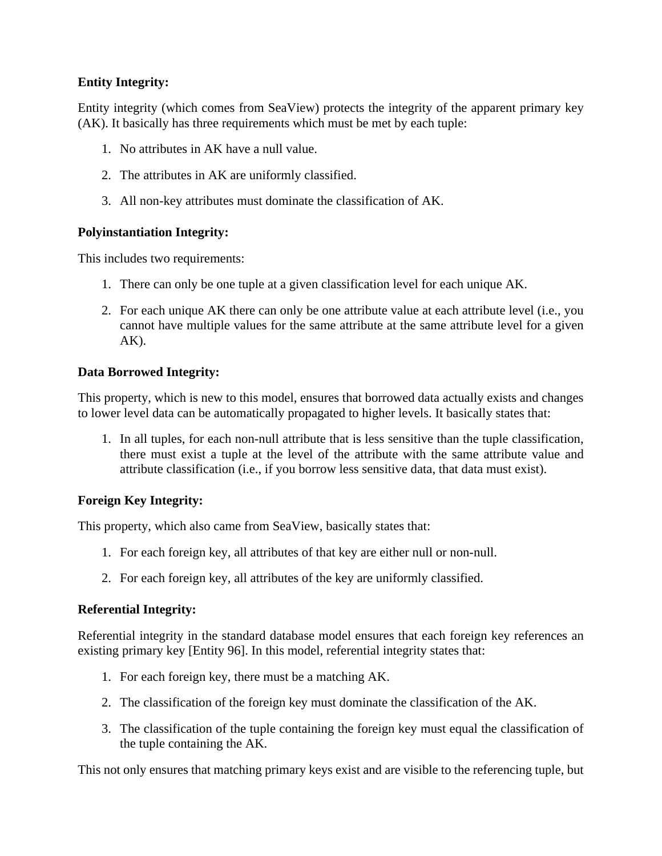### **Entity Integrity:**

Entity integrity (which comes from SeaView) protects the integrity of the apparent primary key (AK). It basically has three requirements which must be met by each tuple:

- 1. No attributes in AK have a null value.
- 2. The attributes in AK are uniformly classified.
- 3. All non-key attributes must dominate the classification of AK.

# **Polyinstantiation Integrity:**

This includes two requirements:

- 1. There can only be one tuple at a given classification level for each unique AK.
- 2. For each unique AK there can only be one attribute value at each attribute level (i.e., you cannot have multiple values for the same attribute at the same attribute level for a given  $AK$ ).

# **Data Borrowed Integrity:**

This property, which is new to this model, ensures that borrowed data actually exists and changes to lower level data can be automatically propagated to higher levels. It basically states that:

1. In all tuples, for each non-null attribute that is less sensitive than the tuple classification, there must exist a tuple at the level of the attribute with the same attribute value and attribute classification (i.e., if you borrow less sensitive data, that data must exist).

### **Foreign Key Integrity:**

This property, which also came from SeaView, basically states that:

- 1. For each foreign key, all attributes of that key are either null or non-null.
- 2. For each foreign key, all attributes of the key are uniformly classified.

### **Referential Integrity:**

Referential integrity in the standard database model ensures that each foreign key references an existing primary key [Entity 96]. In this model, referential integrity states that:

- 1. For each foreign key, there must be a matching AK.
- 2. The classification of the foreign key must dominate the classification of the AK.
- 3. The classification of the tuple containing the foreign key must equal the classification of the tuple containing the AK.

This not only ensures that matching primary keys exist and are visible to the referencing tuple, but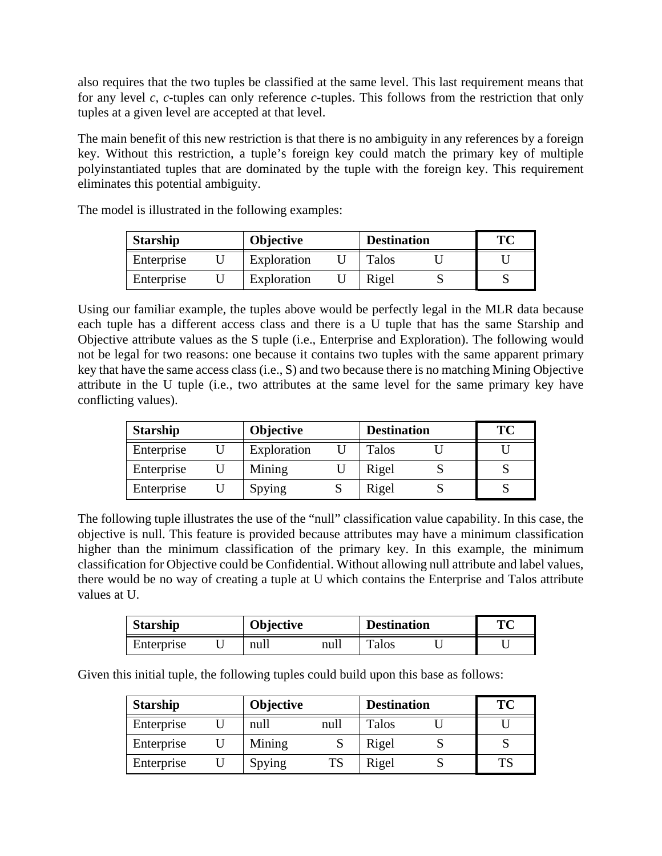also requires that the two tuples be classified at the same level. This last requirement means that for any level *c, c*-tuples can only reference *c*-tuples. This follows from the restriction that only tuples at a given level are accepted at that level.

The main benefit of this new restriction is that there is no ambiguity in any references by a foreign key. Without this restriction, a tuple's foreign key could match the primary key of multiple polyinstantiated tuples that are dominated by the tuple with the foreign key. This requirement eliminates this potential ambiguity.

| <b>Starship</b> |  | <b>Objective</b> |  | <b>Destination</b> |  | TC |
|-----------------|--|------------------|--|--------------------|--|----|
| Enterprise      |  | Exploration      |  | Talos              |  |    |
| Enterprise      |  | Exploration      |  | Rigel              |  |    |

The model is illustrated in the following examples:

Using our familiar example, the tuples above would be perfectly legal in the MLR data because each tuple has a different access class and there is a U tuple that has the same Starship and Objective attribute values as the S tuple (i.e., Enterprise and Exploration). The following would not be legal for two reasons: one because it contains two tuples with the same apparent primary key that have the same access class (i.e., S) and two because there is no matching Mining Objective attribute in the U tuple (i.e., two attributes at the same level for the same primary key have conflicting values).

| <b>Starship</b><br><b>Objective</b> |  | <b>Destination</b> | TC    |  |
|-------------------------------------|--|--------------------|-------|--|
| Enterprise                          |  | Exploration        | Talos |  |
| Enterprise                          |  | Mining             | Rigel |  |
| Enterprise                          |  | Spying             | Rigel |  |

The following tuple illustrates the use of the "null" classification value capability. In this case, the objective is null. This feature is provided because attributes may have a minimum classification higher than the minimum classification of the primary key. In this example, the minimum classification for Objective could be Confidential. Without allowing null attribute and label values, there would be no way of creating a tuple at U which contains the Enterprise and Talos attribute values at U.

| <b>Starship</b> | Objective |      | <b>Destination</b> | Tм |
|-----------------|-----------|------|--------------------|----|
| Enterprise      | null      | null | Talos              |    |

Given this initial tuple, the following tuples could build upon this base as follows:

| <b>Starship</b> | <b>Objective</b> |           | <b>Destination</b> | <b>TC</b> |
|-----------------|------------------|-----------|--------------------|-----------|
| Enterprise      | null             | null      | Talos              |           |
| Enterprise      | Mining           |           | Rigel              |           |
| Enterprise      | Spying           | <b>TS</b> | Rigel              |           |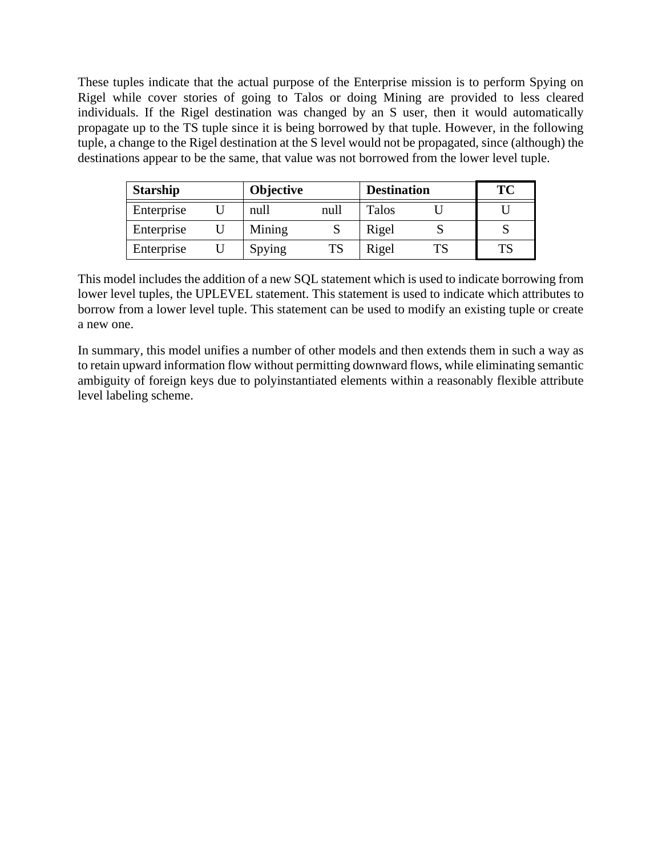These tuples indicate that the actual purpose of the Enterprise mission is to perform Spying on Rigel while cover stories of going to Talos or doing Mining are provided to less cleared individuals. If the Rigel destination was changed by an S user, then it would automatically propagate up to the TS tuple since it is being borrowed by that tuple. However, in the following tuple, a change to the Rigel destination at the S level would not be propagated, since (although) the destinations appear to be the same, that value was not borrowed from the lower level tuple.

| <b>Starship</b> | <b>Objective</b> |      | <b>Destination</b> |    | TC |
|-----------------|------------------|------|--------------------|----|----|
| Enterprise      | null             | null | Talos              |    |    |
| Enterprise      | Mining           | N    | Rigel              |    |    |
| Enterprise      | Spying           | TS   | Rigel              | ΓS |    |

This model includes the addition of a new SQL statement which is used to indicate borrowing from lower level tuples, the UPLEVEL statement. This statement is used to indicate which attributes to borrow from a lower level tuple. This statement can be used to modify an existing tuple or create a new one.

In summary, this model unifies a number of other models and then extends them in such a way as to retain upward information flow without permitting downward flows, while eliminating semantic ambiguity of foreign keys due to polyinstantiated elements within a reasonably flexible attribute level labeling scheme.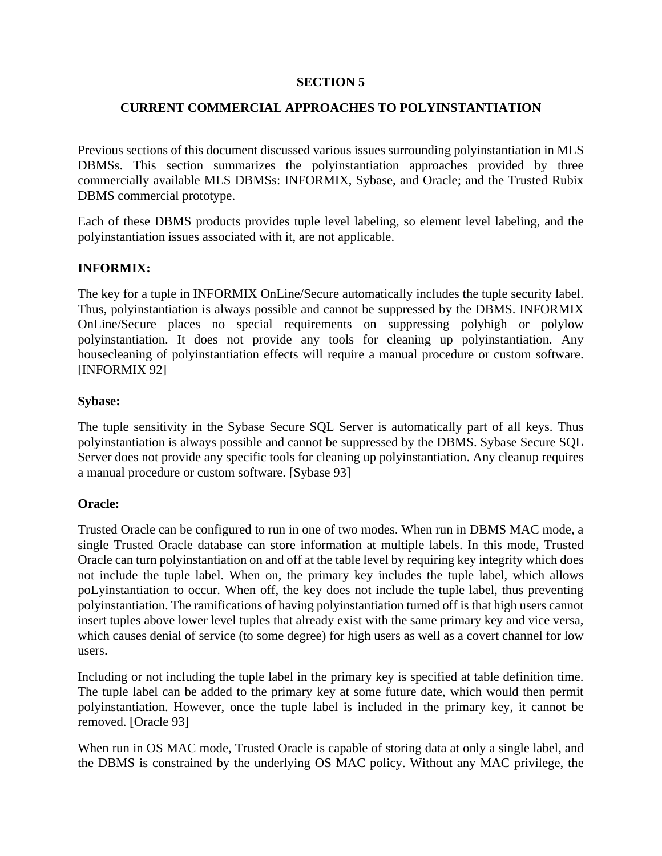### **SECTION 5**

### **CURRENT COMMERCIAL APPROACHES TO POLYINSTANTIATION**

Previous sections of this document discussed various issues surrounding polyinstantiation in MLS DBMSs. This section summarizes the polyinstantiation approaches provided by three commercially available MLS DBMSs: INFORMIX, Sybase, and Oracle; and the Trusted Rubix DBMS commercial prototype.

Each of these DBMS products provides tuple level labeling, so element level labeling, and the polyinstantiation issues associated with it, are not applicable.

#### **INFORMIX:**

The key for a tuple in INFORMIX OnLine/Secure automatically includes the tuple security label. Thus, polyinstantiation is always possible and cannot be suppressed by the DBMS. INFORMIX OnLine/Secure places no special requirements on suppressing polyhigh or polylow polyinstantiation. It does not provide any tools for cleaning up polyinstantiation. Any housecleaning of polyinstantiation effects will require a manual procedure or custom software. [INFORMIX 92]

#### **Sybase:**

The tuple sensitivity in the Sybase Secure SQL Server is automatically part of all keys. Thus polyinstantiation is always possible and cannot be suppressed by the DBMS. Sybase Secure SQL Server does not provide any specific tools for cleaning up polyinstantiation. Any cleanup requires a manual procedure or custom software. [Sybase 93]

#### **Oracle:**

Trusted Oracle can be configured to run in one of two modes. When run in DBMS MAC mode, a single Trusted Oracle database can store information at multiple labels. In this mode, Trusted Oracle can turn polyinstantiation on and off at the table level by requiring key integrity which does not include the tuple label. When on, the primary key includes the tuple label, which allows poLyinstantiation to occur. When off, the key does not include the tuple label, thus preventing polyinstantiation. The ramifications of having polyinstantiation turned off is that high users cannot insert tuples above lower level tuples that already exist with the same primary key and vice versa, which causes denial of service (to some degree) for high users as well as a covert channel for low users.

Including or not including the tuple label in the primary key is specified at table definition time. The tuple label can be added to the primary key at some future date, which would then permit polyinstantiation. However, once the tuple label is included in the primary key, it cannot be removed. [Oracle 93]

When run in OS MAC mode, Trusted Oracle is capable of storing data at only a single label, and the DBMS is constrained by the underlying OS MAC policy. Without any MAC privilege, the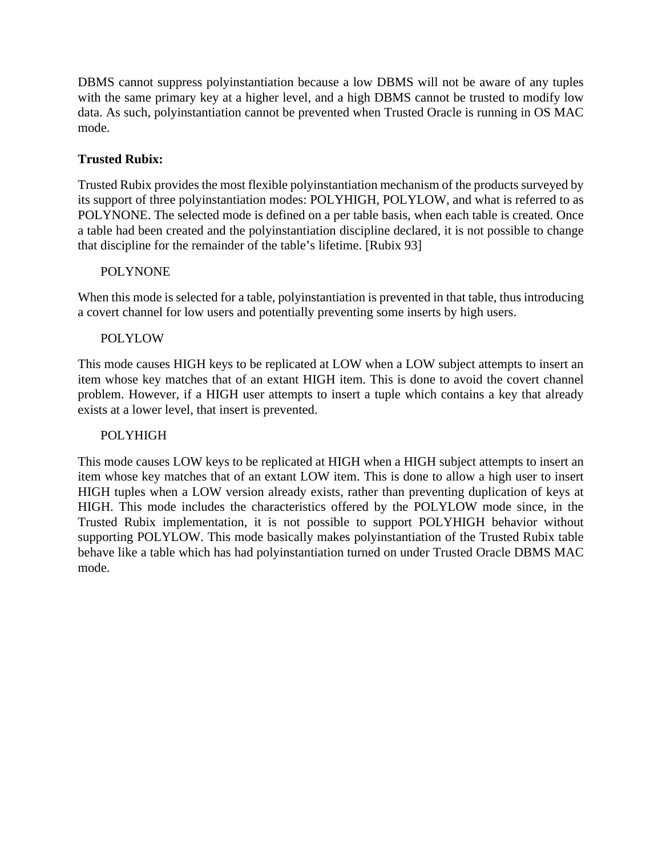DBMS cannot suppress polyinstantiation because a low DBMS will not be aware of any tuples with the same primary key at a higher level, and a high DBMS cannot be trusted to modify low data. As such, polyinstantiation cannot be prevented when Trusted Oracle is running in OS MAC mode.

### **Trusted Rubix:**

Trusted Rubix provides the most flexible polyinstantiation mechanism of the products surveyed by its support of three polyinstantiation modes: POLYHIGH, POLYLOW, and what is referred to as POLYNONE. The selected mode is defined on a per table basis, when each table is created. Once a table had been created and the polyinstantiation discipline declared, it is not possible to change that discipline for the remainder of the table's lifetime. [Rubix 93]

### POLYNONE

When this mode is selected for a table, polyinstantiation is prevented in that table, thus introducing a covert channel for low users and potentially preventing some inserts by high users.

### POLYLOW

This mode causes HIGH keys to be replicated at LOW when a LOW subject attempts to insert an item whose key matches that of an extant HIGH item. This is done to avoid the covert channel problem. However, if a HIGH user attempts to insert a tuple which contains a key that already exists at a lower level, that insert is prevented.

### POLYHIGH

This mode causes LOW keys to be replicated at HIGH when a HIGH subject attempts to insert an item whose key matches that of an extant LOW item. This is done to allow a high user to insert HIGH tuples when a LOW version already exists, rather than preventing duplication of keys at HIGH. This mode includes the characteristics offered by the POLYLOW mode since, in the Trusted Rubix implementation, it is not possible to support POLYHIGH behavior without supporting POLYLOW. This mode basically makes polyinstantiation of the Trusted Rubix table behave like a table which has had polyinstantiation turned on under Trusted Oracle DBMS MAC mode.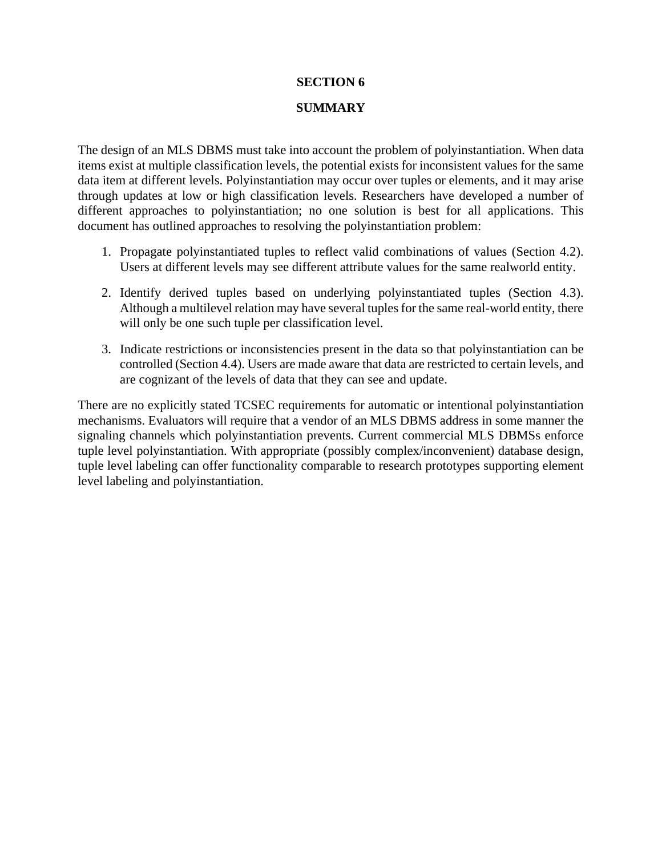#### **SECTION 6**

#### **SUMMARY**

The design of an MLS DBMS must take into account the problem of polyinstantiation. When data items exist at multiple classification levels, the potential exists for inconsistent values for the same data item at different levels. Polyinstantiation may occur over tuples or elements, and it may arise through updates at low or high classification levels. Researchers have developed a number of different approaches to polyinstantiation; no one solution is best for all applications. This document has outlined approaches to resolving the polyinstantiation problem:

- 1. Propagate polyinstantiated tuples to reflect valid combinations of values (Section 4.2). Users at different levels may see different attribute values for the same realworld entity.
- 2. Identify derived tuples based on underlying polyinstantiated tuples (Section 4.3). Although a multilevel relation may have several tuples for the same real-world entity, there will only be one such tuple per classification level.
- 3. Indicate restrictions or inconsistencies present in the data so that polyinstantiation can be controlled (Section 4.4). Users are made aware that data are restricted to certain levels, and are cognizant of the levels of data that they can see and update.

There are no explicitly stated TCSEC requirements for automatic or intentional polyinstantiation mechanisms. Evaluators will require that a vendor of an MLS DBMS address in some manner the signaling channels which polyinstantiation prevents. Current commercial MLS DBMSs enforce tuple level polyinstantiation. With appropriate (possibly complex/inconvenient) database design, tuple level labeling can offer functionality comparable to research prototypes supporting element level labeling and polyinstantiation.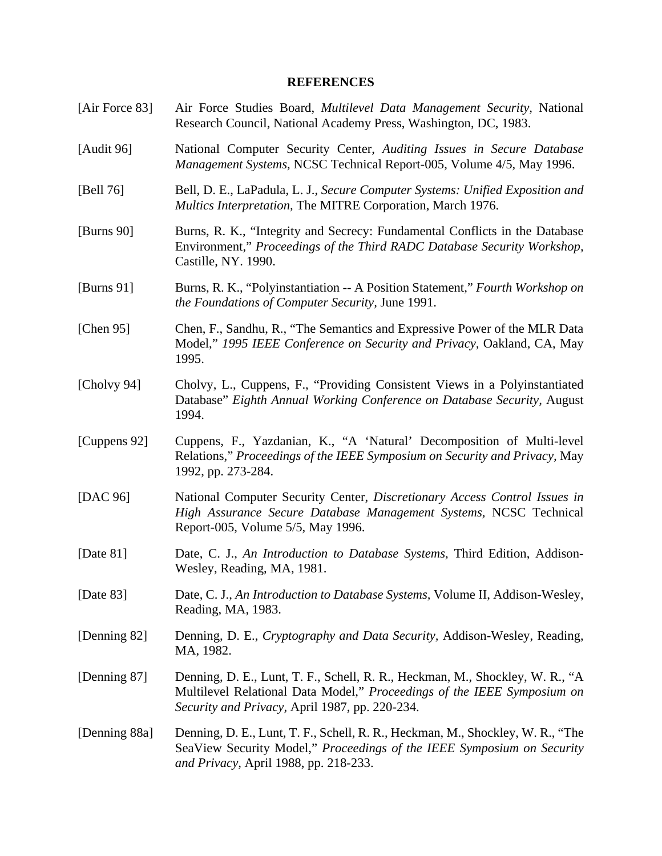#### **REFERENCES**

- [Air Force 83] Air Force Studies Board, *Multilevel Data Management Security,* National Research Council, National Academy Press, Washington, DC, 1983.
- [Audit 96] National Computer Security Center, *Auditing Issues in Secure Database Management Systems,* NCSC Technical Report-005, Volume 4/5, May 1996.
- [Bell 76] Bell, D. E., LaPadula, L. J., *Secure Computer Systems: Unified Exposition and Multics Interpretation,* The MITRE Corporation, March 1976.
- [Burns 90] Burns, R. K., "Integrity and Secrecy: Fundamental Conflicts in the Database Environment," *Proceedings of the Third RADC Database Security Workshop,* Castille, NY. 1990.
- [Burns 91] Burns, R. K., "Polyinstantiation -- A Position Statement," *Fourth Workshop on the Foundations of Computer Security,* June 1991.
- [Chen 95] Chen, F., Sandhu, R., "The Semantics and Expressive Power of the MLR Data Model," *1995 IEEE Conference on Security and Privacy,* Oakland, CA, May 1995.
- [Cholvy 94] Cholvy, L., Cuppens, F., "Providing Consistent Views in a Polyinstantiated Database" *Eighth Annual Working Conference on Database Security,* August 1994.
- [Cuppens 92] Cuppens, F., Yazdanian, K., "A 'Natural' Decomposition of Multi-level Relations," *Proceedings of the IEEE Symposium on Security and Privacy,* May 1992, pp. 273-284.
- [DAC 96] National Computer Security Center, *Discretionary Access Control Issues in High Assurance Secure Database Management Systems,* NCSC Technical Report-005, Volume 5/5, May 1996.
- [Date 81] Date, C. J., *An Introduction to Database Systems,* Third Edition, Addison-Wesley, Reading, MA, 1981.
- [Date 83] Date, C. J., *An Introduction to Database Systems,* Volume II, Addison-Wesley, Reading, MA, 1983.
- [Denning 82] Denning, D. E., *Cryptography and Data Security,* Addison-Wesley, Reading, MA, 1982.
- [Denning 87] Denning, D. E., Lunt, T. F., Schell, R. R., Heckman, M., Shockley, W. R., "A Multilevel Relational Data Model," *Proceedings of the IEEE Symposium on Security and Privacy,* April 1987, pp. 220-234.
- [Denning 88a] Denning, D. E., Lunt, T. F., Schell, R. R., Heckman, M., Shockley, W. R., "The SeaView Security Model," *Proceedings of the IEEE Symposium on Security and Privacy,* April 1988, pp. 218-233.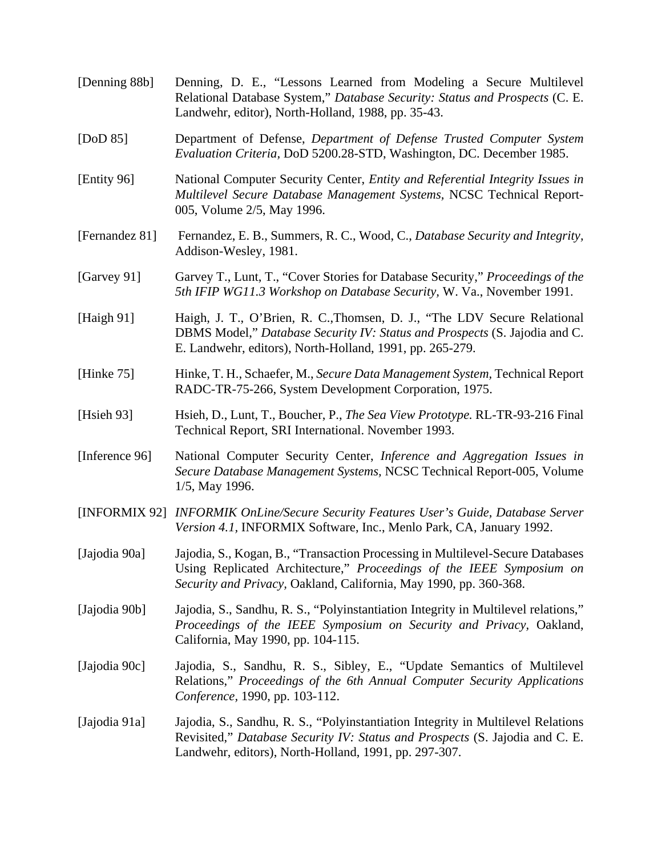| [Denning 88b]  | Denning, D. E., "Lessons Learned from Modeling a Secure Multilevel<br>Relational Database System," Database Security: Status and Prospects (C. E.<br>Landwehr, editor), North-Holland, 1988, pp. 35-43.                     |
|----------------|-----------------------------------------------------------------------------------------------------------------------------------------------------------------------------------------------------------------------------|
| [DoD $85$ ]    | Department of Defense, Department of Defense Trusted Computer System<br>Evaluation Criteria, DoD 5200.28-STD, Washington, DC. December 1985.                                                                                |
| [Entity 96]    | National Computer Security Center, Entity and Referential Integrity Issues in<br>Multilevel Secure Database Management Systems, NCSC Technical Report-<br>005, Volume 2/5, May 1996.                                        |
| [Fernandez 81] | Fernandez, E. B., Summers, R. C., Wood, C., Database Security and Integrity,<br>Addison-Wesley, 1981.                                                                                                                       |
| [Garvey 91]    | Garvey T., Lunt, T., "Cover Stories for Database Security," Proceedings of the<br>5th IFIP WG11.3 Workshop on Database Security, W. Va., November 1991.                                                                     |
| [Haigh $91$ ]  | Haigh, J. T., O'Brien, R. C., Thomsen, D. J., "The LDV Secure Relational<br>DBMS Model," Database Security IV: Status and Prospects (S. Jajodia and C.<br>E. Landwehr, editors), North-Holland, 1991, pp. 265-279.          |
| [Hinke $75$ ]  | Hinke, T. H., Schaefer, M., Secure Data Management System, Technical Report<br>RADC-TR-75-266, System Development Corporation, 1975.                                                                                        |
| [Hsieh $93$ ]  | Hsieh, D., Lunt, T., Boucher, P., The Sea View Prototype. RL-TR-93-216 Final<br>Technical Report, SRI International. November 1993.                                                                                         |
| [Inference 96] | National Computer Security Center, Inference and Aggregation Issues in<br>Secure Database Management Systems, NCSC Technical Report-005, Volume<br>1/5, May 1996.                                                           |
|                | [INFORMIX 92] INFORMIK OnLine/Secure Security Features User's Guide, Database Server<br>Version 4.1, INFORMIX Software, Inc., Menlo Park, CA, January 1992.                                                                 |
| [Jajodia 90a]  | Jajodia, S., Kogan, B., "Transaction Processing in Multilevel-Secure Databases<br>Using Replicated Architecture," Proceedings of the IEEE Symposium on<br>Security and Privacy, Oakland, California, May 1990, pp. 360-368. |
| [Jajodia 90b]  | Jajodia, S., Sandhu, R. S., "Polyinstantiation Integrity in Multilevel relations,"<br>Proceedings of the IEEE Symposium on Security and Privacy, Oakland,<br>California, May 1990, pp. 104-115.                             |
| [Jajodia 90c]  | Jajodia, S., Sandhu, R. S., Sibley, E., "Update Semantics of Multilevel<br>Relations," Proceedings of the 6th Annual Computer Security Applications<br>Conference, 1990, pp. 103-112.                                       |
| [Jajodia 91a]  | Jajodia, S., Sandhu, R. S., "Polyinstantiation Integrity in Multilevel Relations<br>Revisited," Database Security IV: Status and Prospects (S. Jajodia and C. E.<br>Landwehr, editors), North-Holland, 1991, pp. 297-307.   |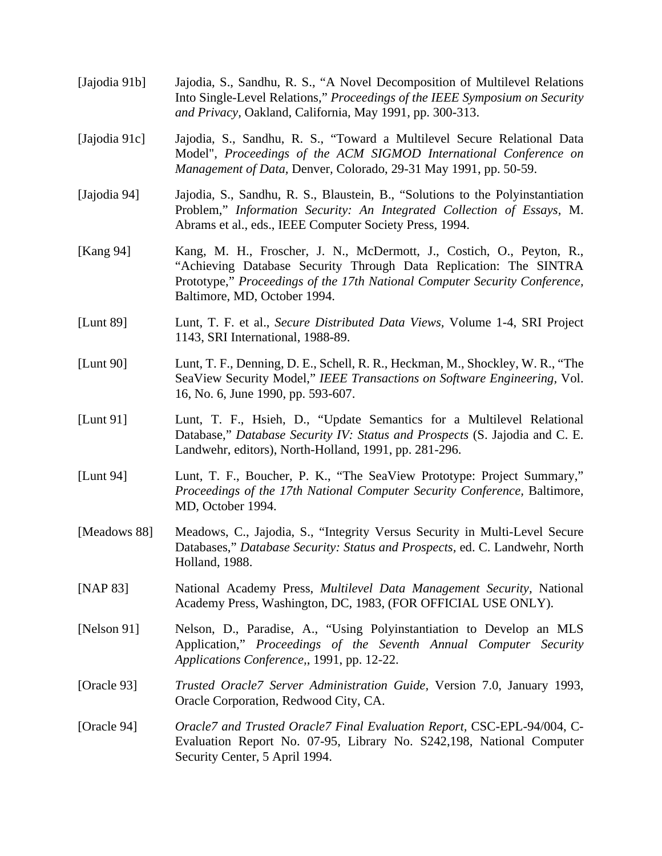- [Jajodia 91b] Jajodia, S., Sandhu, R. S., "A Novel Decomposition of Multilevel Relations Into Single-Level Relations," *Proceedings of the IEEE Symposium on Security and Privacy,* Oakland, California, May 1991, pp. 300-313.
- [Jajodia 91c] Jajodia, S., Sandhu, R. S., "Toward a Multilevel Secure Relational Data Model", *Proceedings of the ACM SIGMOD International Conference on Management of Data,* Denver*,* Colorado, 29-31 May 1991, pp. 50-59.
- [Jajodia 94] Jajodia, S., Sandhu, R. S., Blaustein, B., "Solutions to the Polyinstantiation Problem," *Information Security: An Integrated Collection of Essays,* M. Abrams et al., eds., IEEE Computer Society Press, 1994.
- [Kang 94] Kang, M. H., Froscher, J. N., McDermott, J., Costich, O., Peyton, R., "Achieving Database Security Through Data Replication: The SINTRA Prototype," *Proceedings of the 17th National Computer Security Conference,* Baltimore, MD, October 1994.
- [Lunt 89] Lunt, T. F. et al., *Secure Distributed Data Views,* Volume 1-4, SRI Project 1143, SRI International, 1988-89.
- [Lunt 90] Lunt, T. F., Denning, D. E., Schell, R. R., Heckman, M., Shockley, W. R., "The SeaView Security Model," *IEEE Transactions on Software Engineering,* Vol. 16, No. 6, June 1990, pp. 593-607.
- [Lunt 91] Lunt, T. F., Hsieh, D., "Update Semantics for a Multilevel Relational Database," *Database Security IV: Status and Prospects* (S. Jajodia and C. E. Landwehr, editors), North-Holland, 1991, pp. 281-296.
- [Lunt 94] Lunt, T. F., Boucher, P. K., "The SeaView Prototype: Project Summary," *Proceedings of the 17th National Computer Security Conference,* Baltimore, MD, October 1994.
- [Meadows 88] Meadows, C., Jajodia, S., "Integrity Versus Security in Multi-Level Secure Databases," *Database Security: Status and Prospects,* ed. C. Landwehr, North Holland, 1988.
- [NAP 83] National Academy Press, *Multilevel Data Management Security,* National Academy Press, Washington, DC, 1983, (FOR OFFICIAL USE ONLY).
- [Nelson 91] Nelson, D., Paradise, A., "Using Polyinstantiation to Develop an MLS Application," *Proceedings of the Seventh Annual Computer Security Applications Conference,*, 1991, pp. 12-22.
- [Oracle 93] *Trusted Oracle7 Server Administration Guide,* Version 7.0, January 1993, Oracle Corporation, Redwood City, CA.
- [Oracle 94] *Oracle7 and Trusted Oracle7 Final Evaluation Report,* CSC-EPL-94/004, C-Evaluation Report No. 07-95, Library No. S242,198, National Computer Security Center, 5 April 1994.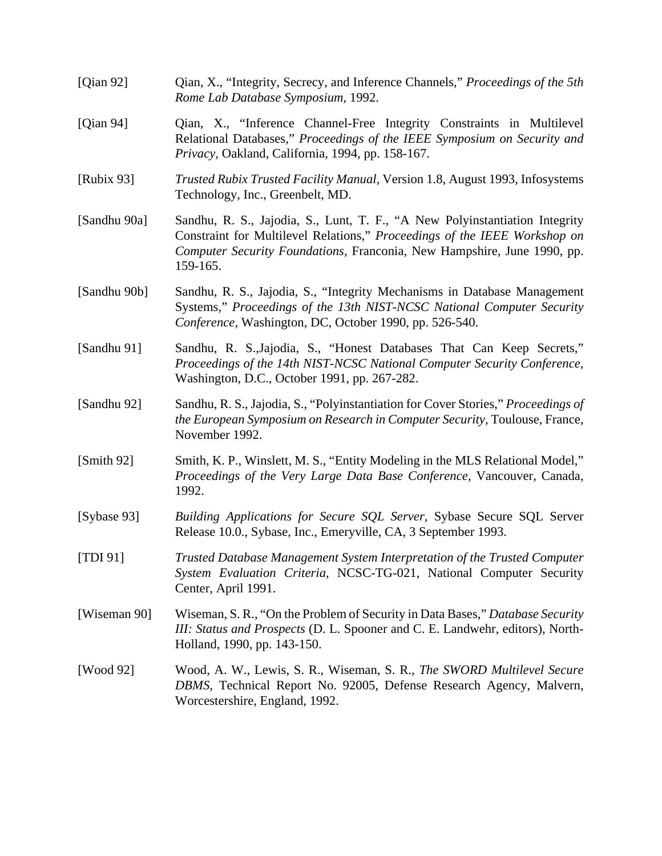| [Qian 92]    | Qian, X., "Integrity, Secrecy, and Inference Channels," <i>Proceedings of the 5th</i><br>Rome Lab Database Symposium, 1992.                                                                                                                     |  |  |  |  |
|--------------|-------------------------------------------------------------------------------------------------------------------------------------------------------------------------------------------------------------------------------------------------|--|--|--|--|
| [Qian 94]    | Qian, X., "Inference Channel-Free Integrity Constraints in Multilevel<br>Relational Databases," Proceedings of the IEEE Symposium on Security and<br>Privacy, Oakland, California, 1994, pp. 158-167.                                           |  |  |  |  |
| [Rubix 93]   | Trusted Rubix Trusted Facility Manual, Version 1.8, August 1993, Infosystems<br>Technology, Inc., Greenbelt, MD.                                                                                                                                |  |  |  |  |
| [Sandhu 90a] | Sandhu, R. S., Jajodia, S., Lunt, T. F., "A New Polyinstantiation Integrity<br>Constraint for Multilevel Relations," Proceedings of the IEEE Workshop on<br>Computer Security Foundations, Franconia, New Hampshire, June 1990, pp.<br>159-165. |  |  |  |  |
| [Sandhu 90b] | Sandhu, R. S., Jajodia, S., "Integrity Mechanisms in Database Management<br>Systems," Proceedings of the 13th NIST-NCSC National Computer Security<br>Conference, Washington, DC, October 1990, pp. 526-540.                                    |  |  |  |  |
| [Sandhu 91]  | Sandhu, R. S., Jajodia, S., "Honest Databases That Can Keep Secrets,"<br>Proceedings of the 14th NIST-NCSC National Computer Security Conference,<br>Washington, D.C., October 1991, pp. 267-282.                                               |  |  |  |  |
| [Sandhu 92]  | Sandhu, R. S., Jajodia, S., "Polyinstantiation for Cover Stories," Proceedings of<br>the European Symposium on Research in Computer Security, Toulouse, France,<br>November 1992.                                                               |  |  |  |  |
| [Smith 92]   | Smith, K. P., Winslett, M. S., "Entity Modeling in the MLS Relational Model,"<br>Proceedings of the Very Large Data Base Conference, Vancouver, Canada,<br>1992.                                                                                |  |  |  |  |
| [Sybase 93]  | Building Applications for Secure SQL Server, Sybase Secure SQL Server<br>Release 10.0., Sybase, Inc., Emeryville, CA, 3 September 1993.                                                                                                         |  |  |  |  |
| [TDI 91]     | Trusted Database Management System Interpretation of the Trusted Computer<br>System Evaluation Criteria, NCSC-TG-021, National Computer Security<br>Center, April 1991.                                                                         |  |  |  |  |
| [Wiseman 90] | Wiseman, S. R., "On the Problem of Security in Data Bases," Database Security<br>III: Status and Prospects (D. L. Spooner and C. E. Landwehr, editors), North-<br>Holland, 1990, pp. 143-150.                                                   |  |  |  |  |
| [Wood 92]    | Wood, A. W., Lewis, S. R., Wiseman, S. R., <i>The SWORD Multilevel Secure</i><br>DBMS, Technical Report No. 92005, Defense Research Agency, Malvern,<br>Worcestershire, England, 1992.                                                          |  |  |  |  |